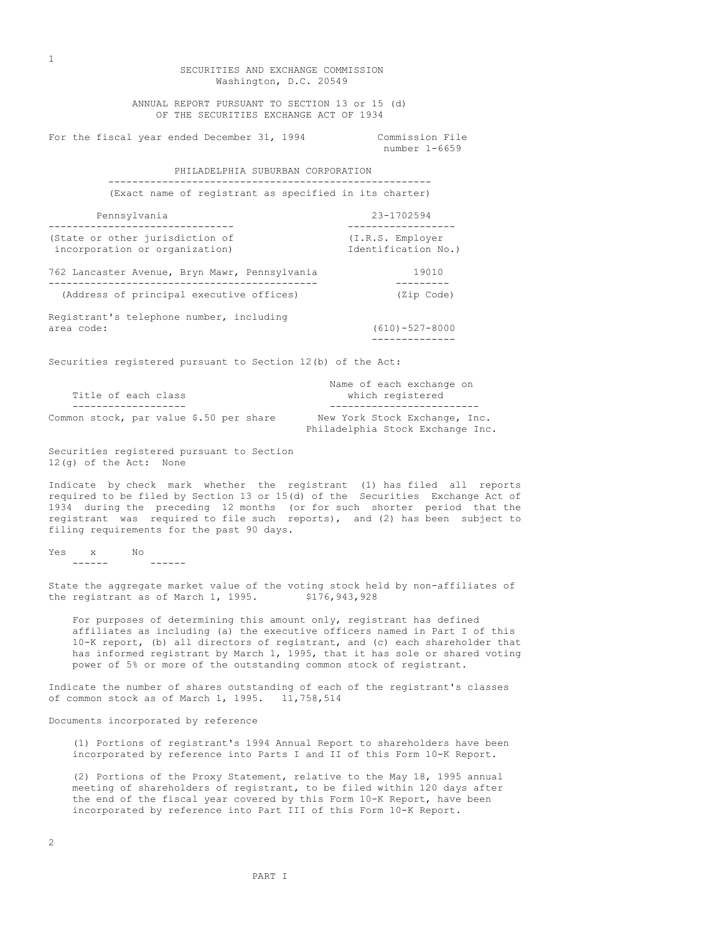Washington, D.C. 20549 ANNUAL REPORT PURSUANT TO SECTION 13 or 15 (d) OF THE SECURITIES EXCHANGE ACT OF 1934 For the fiscal year ended December 31, 1994 Commission File number 1-6659 PHILADELPHIA SUBURBAN CORPORATION ------------------------------------------------------ (Exact name of registrant as specified in its charter) Pennsylvania 23-1702594 ------------------------------- ------------------ (State or other jurisdiction of  $(1.R.S.$  Employer<br>incorporation or organization)  $\qquad \qquad$  Identification No.) incorporation or organization) 762 Lancaster Avenue, Bryn Mawr, Pennsylvania 19010 --------------------------------------------- --------- (Address of principal executive offices) (Zip Code) Registrant's telephone number, including area code: (610)-527-8000 -------------- Securities registered pursuant to Section 12(b) of the Act: Name of each exchange on Title of each class which reqistered ------------------- ------------------------- Common stock, par value \$.50 per share New York Stock Exchange, Inc. Philadelphia Stock Exchange Inc. Securities registered pursuant to Section 12(g) of the Act: None Indicate by check mark whether the registrant (1) has filed all reports required to be filed by Section 13 or 15(d) of the Securities Exchange Act of 1934 during the preceding 12 months (or for such shorter period that the registrant was required to file such reports), and (2) has been subject to filing requirements for the past 90 days.

SECURITIES AND EXCHANGE COMMISSION

Yes x No ------ ------

State the aggregate market value of the voting stock held by non-affiliates of the registrant as of March  $1, 1995.$  \$176,943,928

For purposes of determining this amount only, registrant has defined affiliates as including (a) the executive officers named in Part I of this 10-K report, (b) all directors of registrant, and (c) each shareholder that has informed registrant by March 1, 1995, that it has sole or shared voting power of 5% or more of the outstanding common stock of registrant.

Indicate the number of shares outstanding of each of the registrant's classes of common stock as of March 1, 1995. 11,758,514

Documents incorporated by reference

(1) Portions of registrant's 1994 Annual Report to shareholders have been incorporated by reference into Parts I and II of this Form 10-K Report.

(2) Portions of the Proxy Statement, relative to the May 18, 1995 annual meeting of shareholders of registrant, to be filed within 120 days after the end of the fiscal year covered by this Form 10-K Report, have been incorporated by reference into Part III of this Form 10-K Report.

1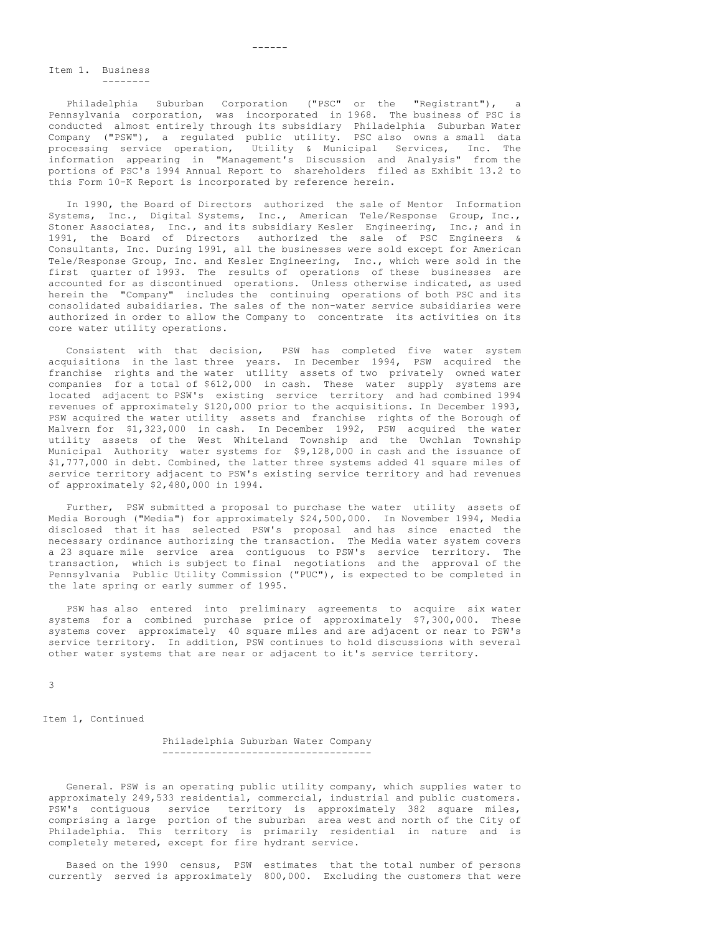Item 1. Business --------

Philadelphia Suburban Corporation ("PSC" or the "Registrant"), a Pennsylvania corporation, was incorporated in 1968. The business of PSC is conducted almost entirely through its subsidiary Philadelphia Suburban Water Company ("PSW"), a regulated public utility. PSC also owns a small data processing service operation, Utility & Municipal Services, Inc. The information appearing in "Management's Discussion and Analysis" from the portions of PSC's 1994 Annual Report to shareholders filed as Exhibit 13.2 to this Form 10-K Report is incorporated by reference herein.

In 1990, the Board of Directors authorized the sale of Mentor Information Systems, Inc., Digital Systems, Inc., American Tele/Response Group, Inc., Stoner Associates, Inc., and its subsidiary Kesler Engineering, Inc.; and in 1991, the Board of Directors authorized the sale of PSC Engineers & Consultants, Inc. During 1991, all the businesses were sold except for American Tele/Response Group, Inc. and Kesler Engineering, Inc., which were sold in the first quarter of 1993. The results of operations of these businesses are accounted for as discontinued operations. Unless otherwise indicated, as used herein the "Company" includes the continuing operations of both PSC and its consolidated subsidiaries. The sales of the non-water service subsidiaries were authorized in order to allow the Company to concentrate its activities on its core water utility operations.

Consistent with that decision, PSW has completed five water system acquisitions in the last three years. In December 1994, PSW acquired the franchise rights and the water utility assets of two privately owned water companies for a total of \$612,000 in cash. These water supply systems are located adjacent to PSW's existing service territory and had combined 1994 revenues of approximately \$120,000 prior to the acquisitions. In December 1993, PSW acquired the water utility assets and franchise rights of the Borough of Malvern for \$1,323,000 in cash. In December 1992, PSW acquired the water utility assets of the West Whiteland Township and the Uwchlan Township Municipal Authority water systems for \$9,128,000 in cash and the issuance of \$1,777,000 in debt. Combined, the latter three systems added 41 square miles of service territory adjacent to PSW's existing service territory and had revenues of approximately \$2,480,000 in 1994.

Further, PSW submitted a proposal to purchase the water utility assets of Media Borough ("Media") for approximately \$24,500,000. In November 1994, Media disclosed that it has selected PSW's proposal and has since enacted the necessary ordinance authorizing the transaction. The Media water system covers a 23 square mile service area contiguous to PSW's service territory. The transaction, which is subject to final negotiations and the approval of the Pennsylvania Public Utility Commission ("PUC"), is expected to be completed in the late spring or early summer of 1995.

PSW has also entered into preliminary agreements to acquire six water systems for a combined purchase price of approximately \$7,300,000. These systems cover approximately 40 square miles and are adjacent or near to PSW's service territory. In addition, PSW continues to hold discussions with several other water systems that are near or adjacent to it's service territory.

3

Item 1, Continued

Philadelphia Suburban Water Company -----------------------------------

General. PSW is an operating public utility company, which supplies water to approximately 249,533 residential, commercial, industrial and public customers. PSW's contiguous service territory is approximately 382 square miles, comprising a large portion of the suburban area west and north of the City of Philadelphia. This territory is primarily residential in nature and is completely metered, except for fire hydrant service.

Based on the 1990 census, PSW estimates that the total number of persons currently served is approximately 800,000. Excluding the customers that were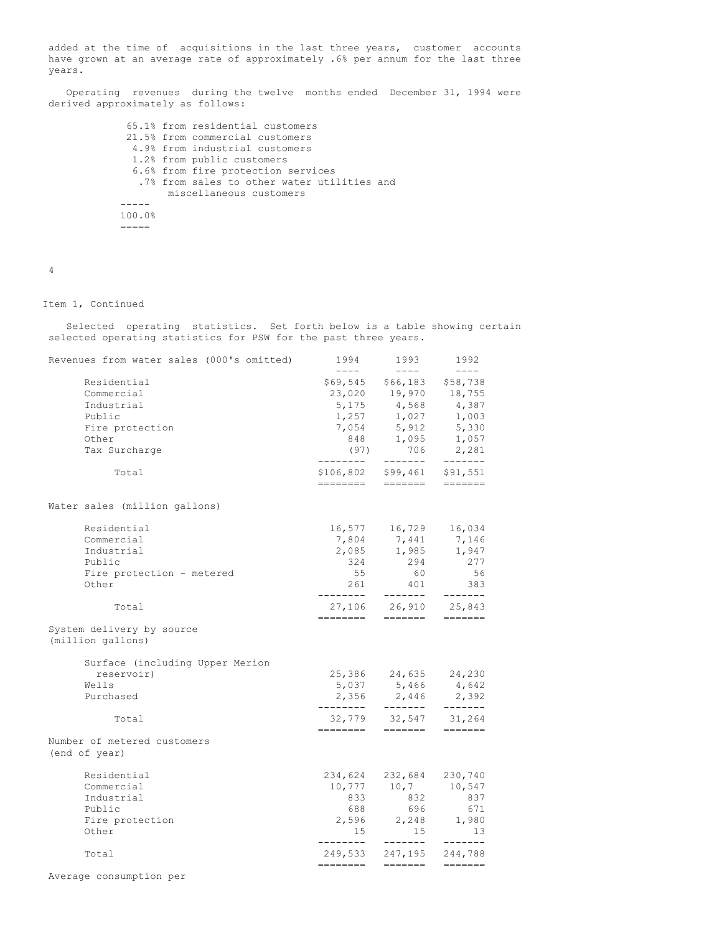added at the time of acquisitions in the last three years, customer accounts have grown at an average rate of approximately .6% per annum for the last three years.

Operating revenues during the twelve months ended December 31, 1994 were derived approximately as follows:

> 65.1% from residential customers 21.5% from commercial customers 4.9% from industrial customers 1.2% from public customers 6.6% from fire protection services .7% from sales to other water utilities and miscellaneous customers ----- 100.0% =====

4

# Item 1, Continued

Selected operating statistics. Set forth below is a table showing certain selected operating statistics for PSW for the past three years.

| Revenues from water sales (000's omitted)                                                      | 1994<br>$- - - -$                                                   | 1993<br>$- - - -$                                                                  | 1992<br>$- - - - -$                                                                                                                                                                                                                                                                                                                                                                                                                                                                                                                                                       |
|------------------------------------------------------------------------------------------------|---------------------------------------------------------------------|------------------------------------------------------------------------------------|---------------------------------------------------------------------------------------------------------------------------------------------------------------------------------------------------------------------------------------------------------------------------------------------------------------------------------------------------------------------------------------------------------------------------------------------------------------------------------------------------------------------------------------------------------------------------|
| Residential<br>Commercial<br>Industrial<br>Public<br>Fire protection<br>Other<br>Tax Surcharge | 23,020<br>5,175<br>1,257<br>7,054<br>848<br>(97)<br>. _ _ _ _ _ _ _ | \$69,545 \$66,183<br>19,970<br>4,568<br>1,027<br>5,912<br>1,095<br>706<br>-------- | \$58,738<br>18,755<br>4,387<br>1,003<br>5,330<br>1,057<br>2,281<br>-------                                                                                                                                                                                                                                                                                                                                                                                                                                                                                                |
| Total                                                                                          | ========                                                            | \$106,802 \$99,461<br>$=$ $=$ $=$ $=$ $=$ $=$ $=$                                  | \$91,551<br>$\qquad \qquad \dfrac{}{}\qquad \qquad \dfrac{}{}\qquad \qquad \dfrac{}{}\qquad \dfrac{}{}\qquad \dfrac{}{}\qquad \dfrac{}{}\qquad \dfrac{}{}\qquad \dfrac{}{}\qquad \dfrac{}{}\qquad \dfrac{}{}\qquad \dfrac{}{}\qquad \dfrac{}{}\qquad \dfrac{}{}\qquad \dfrac{}{}\qquad \dfrac{}{}\qquad \dfrac{}{}\qquad \dfrac{}{}\qquad \dfrac{}{}\qquad \dfrac{}{}\qquad \dfrac{}{}\qquad \dfrac{}{}\qquad \dfrac{}{}\qquad \dfrac{}{}\qquad \dfrac{}{}\qquad \dfrac{}{}\qquad \dfrac{}{}\qquad \dfrac{}{}\qquad \dfrac{}{}\qquad \dfrac{}{}\qquad \dfrac{}{}\$        |
| Water sales (million gallons)                                                                  |                                                                     |                                                                                    |                                                                                                                                                                                                                                                                                                                                                                                                                                                                                                                                                                           |
| Residential<br>Commercial<br>Industrial<br>Public<br>Fire protection - metered<br>Other        | 16,577<br>7,804<br>324<br>55<br>261<br>---------                    | 16,729<br>7,441<br>2,085 1,985<br>294<br>60<br>401<br>--------                     | 16,034<br>7,146<br>1,947<br>277<br>56<br>383<br>-------                                                                                                                                                                                                                                                                                                                                                                                                                                                                                                                   |
| Total                                                                                          | $=$ $=$ $=$ $=$ $=$ $=$ $=$                                         | 27,106 26,910 25,843<br>$=$ $=$ $=$ $=$ $=$ $=$                                    | $\qquad \qquad \displaystyle =\qquad \qquad \qquad \displaystyle =\qquad \qquad \qquad$                                                                                                                                                                                                                                                                                                                                                                                                                                                                                   |
| System delivery by source<br>(million gallons)                                                 |                                                                     |                                                                                    |                                                                                                                                                                                                                                                                                                                                                                                                                                                                                                                                                                           |
| Surface (including Upper Merion<br>reservoir)<br>Wells<br>Purchased                            | 5,037<br>2,356<br>---------                                         | 25,386 24,635 24,230<br>5,466<br>2,446<br>--------                                 | 4,642<br>2,392<br>$- - - - - - -$                                                                                                                                                                                                                                                                                                                                                                                                                                                                                                                                         |
| Total                                                                                          | 32,779<br>========                                                  | 32,547<br>=======                                                                  | 31,264                                                                                                                                                                                                                                                                                                                                                                                                                                                                                                                                                                    |
| Number of metered customers<br>(end of year)                                                   |                                                                     |                                                                                    |                                                                                                                                                                                                                                                                                                                                                                                                                                                                                                                                                                           |
| Residential<br>Commercial<br>Industrial<br>Public<br>Fire protection<br>Other                  | 234,624<br>10,777<br>833<br>688<br>2,596<br>15<br>--------          | 232,684<br>10,7<br>832<br>696<br>2,248<br>15<br>--------                           | 230,740<br>10,547<br>837<br>671<br>1,980<br>13<br>-------                                                                                                                                                                                                                                                                                                                                                                                                                                                                                                                 |
| Total                                                                                          | 249,533<br>========                                                 |                                                                                    | 247,195 244,788<br>$\qquad \qquad \dfrac{}{}\qquad \qquad \dfrac{}{}\qquad \qquad \dfrac{}{}\qquad \dfrac{}{}\qquad \dfrac{}{}\qquad \dfrac{}{}\qquad \dfrac{}{}\qquad \dfrac{}{}\qquad \dfrac{}{}\qquad \dfrac{}{}\qquad \dfrac{}{}\qquad \dfrac{}{}\qquad \dfrac{}{}\qquad \dfrac{}{}\qquad \dfrac{}{}\qquad \dfrac{}{}\qquad \dfrac{}{}\qquad \dfrac{}{}\qquad \dfrac{}{}\qquad \dfrac{}{}\qquad \dfrac{}{}\qquad \dfrac{}{}\qquad \dfrac{}{}\qquad \dfrac{}{}\qquad \dfrac{}{}\qquad \dfrac{}{}\qquad \dfrac{}{}\qquad \dfrac{}{}\qquad \dfrac{}{}\qquad \dfrac{}{}\$ |

Average consumption per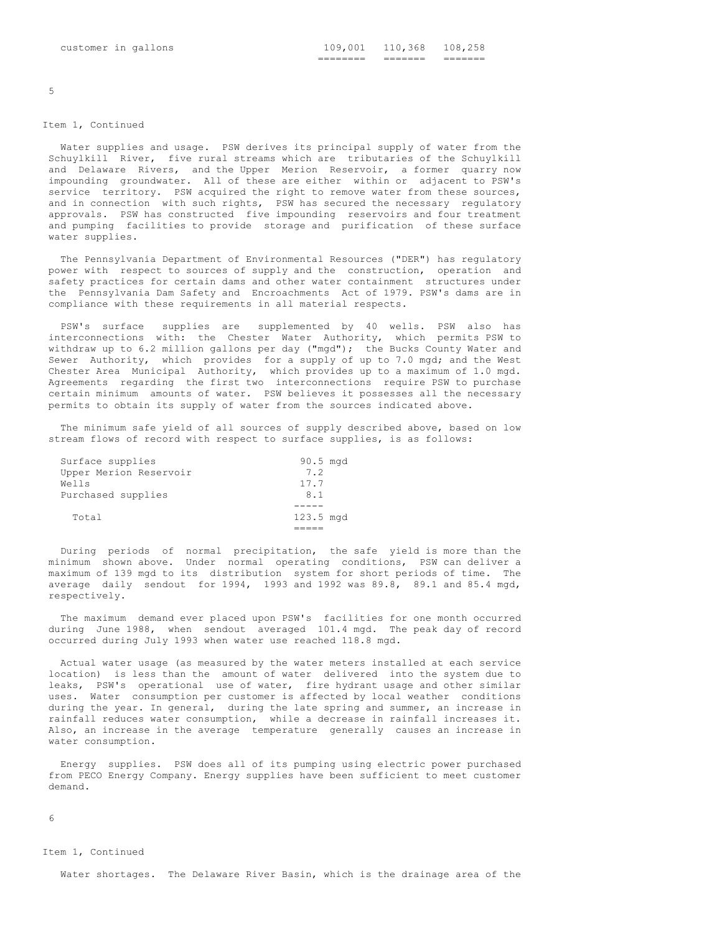5

## Item 1, Continued

Water supplies and usage. PSW derives its principal supply of water from the Schuylkill River, five rural streams which are tributaries of the Schuylkill and Delaware Rivers, and the Upper Merion Reservoir, a former quarry now impounding groundwater. All of these are either within or adjacent to PSW's service territory. PSW acquired the right to remove water from these sources, and in connection with such rights, PSW has secured the necessary regulatory approvals. PSW has constructed five impounding reservoirs and four treatment and pumping facilities to provide storage and purification of these surface water supplies.

The Pennsylvania Department of Environmental Resources ("DER") has regulatory power with respect to sources of supply and the construction, operation and safety practices for certain dams and other water containment structures under the Pennsylvania Dam Safety and Encroachments Act of 1979. PSW's dams are in compliance with these requirements in all material respects.

PSW's surface supplies are supplemented by 40 wells. PSW also has interconnections with: the Chester Water Authority, which permits PSW to withdraw up to 6.2 million gallons per day ("mgd"); the Bucks County Water and Sewer Authority, which provides for a supply of up to 7.0 mgd; and the West Chester Area Municipal Authority, which provides up to a maximum of 1.0 mgd. Agreements regarding the first two interconnections require PSW to purchase certain minimum amounts of water. PSW believes it possesses all the necessary permits to obtain its supply of water from the sources indicated above.

The minimum safe yield of all sources of supply described above, based on low stream flows of record with respect to surface supplies, is as follows:

| Surface supplies       | $90.5 \text{ mod}$ |  |
|------------------------|--------------------|--|
| Upper Merion Reservoir | 7.2                |  |
| Wells                  | 17.7               |  |
| Purchased supplies     | 8.1                |  |
|                        |                    |  |
| Total                  | 123.5 mgd          |  |
|                        |                    |  |

During periods of normal precipitation, the safe yield is more than the minimum shown above. Under normal operating conditions, PSW can deliver a maximum of 139 mgd to its distribution system for short periods of time. The average daily sendout for 1994, 1993 and 1992 was 89.8, 89.1 and 85.4 mgd, respectively.

The maximum demand ever placed upon PSW's facilities for one month occurred during June 1988, when sendout averaged 101.4 mgd. The peak day of record occurred during July 1993 when water use reached 118.8 mgd.

Actual water usage (as measured by the water meters installed at each service location) is less than the amount of water delivered into the system due to leaks, PSW's operational use of water, fire hydrant usage and other similar uses. Water consumption per customer is affected by local weather conditions during the year. In general, during the late spring and summer, an increase in rainfall reduces water consumption, while a decrease in rainfall increases it. Also, an increase in the average temperature generally causes an increase in water consumption.

Energy supplies. PSW does all of its pumping using electric power purchased from PECO Energy Company. Energy supplies have been sufficient to meet customer demand.

6

#### Item 1, Continued

Water shortages. The Delaware River Basin, which is the drainage area of the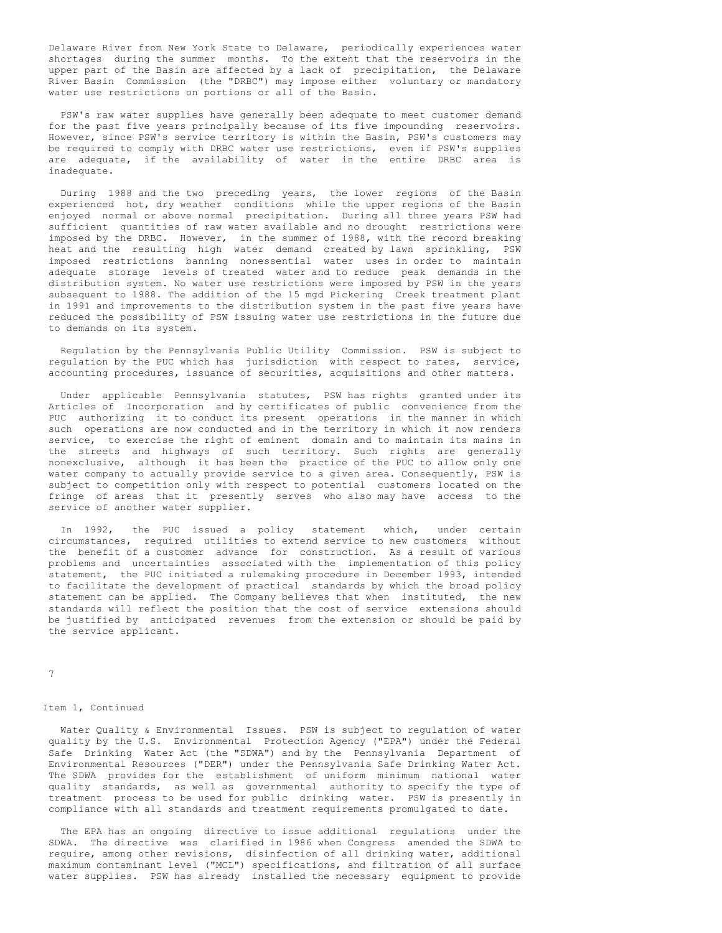Delaware River from New York State to Delaware, periodically experiences water shortages during the summer months. To the extent that the reservoirs in the upper part of the Basin are affected by a lack of precipitation, the Delaware River Basin Commission (the "DRBC") may impose either voluntary or mandatory water use restrictions on portions or all of the Basin.

PSW's raw water supplies have generally been adequate to meet customer demand for the past five years principally because of its five impounding reservoirs. However, since PSW's service territory is within the Basin, PSW's customers may be required to comply with DRBC water use restrictions, even if PSW's supplies are adequate, if the availability of water in the entire DRBC area is inadequate.

During 1988 and the two preceding years, the lower regions of the Basin experienced hot, dry weather conditions while the upper regions of the Basin enjoyed normal or above normal precipitation. During all three years PSW had sufficient quantities of raw water available and no drought restrictions were imposed by the DRBC. However, in the summer of 1988, with the record breaking heat and the resulting high water demand created by lawn sprinkling, PSW imposed restrictions banning nonessential water uses in order to maintain adequate storage levels of treated water and to reduce peak demands in the distribution system. No water use restrictions were imposed by PSW in the years subsequent to 1988. The addition of the 15 mgd Pickering Creek treatment plant in 1991 and improvements to the distribution system in the past five years have reduced the possibility of PSW issuing water use restrictions in the future due to demands on its system.

Regulation by the Pennsylvania Public Utility Commission. PSW is subject to regulation by the PUC which has jurisdiction with respect to rates, service, accounting procedures, issuance of securities, acquisitions and other matters.

Under applicable Pennsylvania statutes, PSW has rights granted under its Articles of Incorporation and by certificates of public convenience from the PUC authorizing it to conduct its present operations in the manner in which such operations are now conducted and in the territory in which it now renders service, to exercise the right of eminent domain and to maintain its mains in the streets and highways of such territory. Such rights are generally nonexclusive, although it has been the practice of the PUC to allow only one water company to actually provide service to a given area. Consequently, PSW is subject to competition only with respect to potential customers located on the fringe of areas that it presently serves who also may have access to the service of another water supplier.

In 1992, the PUC issued a policy statement which, under certain circumstances, required utilities to extend service to new customers without the benefit of a customer advance for construction. As a result of various problems and uncertainties associated with the implementation of this policy statement, the PUC initiated a rulemaking procedure in December 1993, intended to facilitate the development of practical standards by which the broad policy statement can be applied. The Company believes that when instituted, the new standards will reflect the position that the cost of service extensions should be justified by anticipated revenues from the extension or should be paid by the service applicant.

7

## Item 1, Continued

Water Quality & Environmental Issues. PSW is subject to regulation of water quality by the U.S. Environmental Protection Agency ("EPA") under the Federal Safe Drinking Water Act (the "SDWA") and by the Pennsylvania Department of Environmental Resources ("DER") under the Pennsylvania Safe Drinking Water Act. The SDWA provides for the establishment of uniform minimum national water quality standards, as well as governmental authority to specify the type of treatment process to be used for public drinking water. PSW is presently in compliance with all standards and treatment requirements promulgated to date.

The EPA has an ongoing directive to issue additional regulations under the SDWA. The directive was clarified in 1986 when Congress amended the SDWA to require, among other revisions, disinfection of all drinking water, additional maximum contaminant level ("MCL") specifications, and filtration of all surface water supplies. PSW has already installed the necessary equipment to provide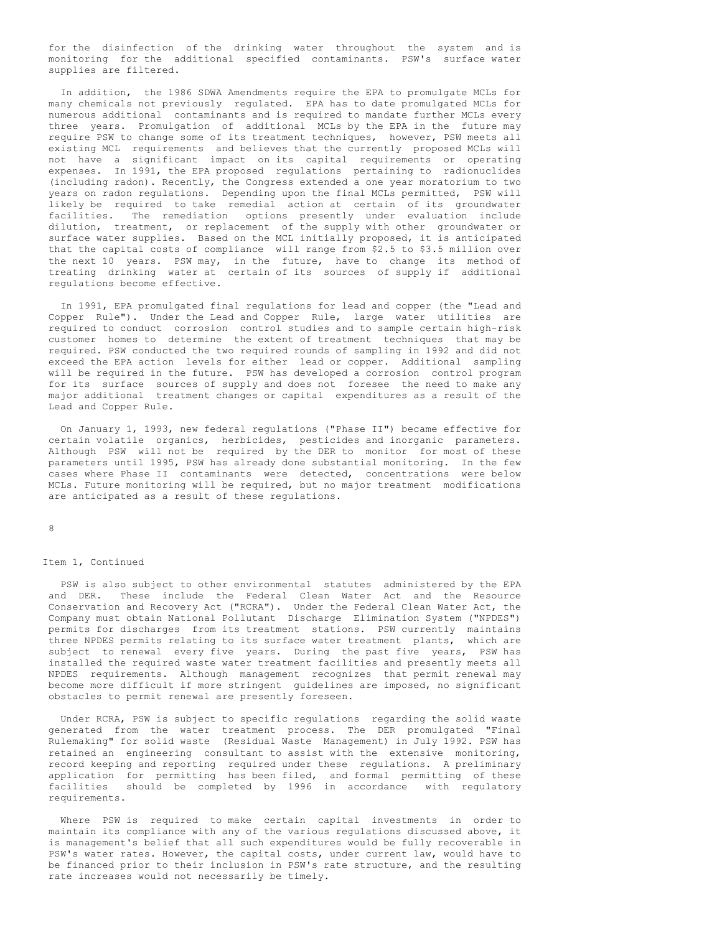for the disinfection of the drinking water throughout the system and is monitoring for the additional specified contaminants. PSW's surface water supplies are filtered.

In addition, the 1986 SDWA Amendments require the EPA to promulgate MCLs for many chemicals not previously regulated. EPA has to date promulgated MCLs for numerous additional contaminants and is required to mandate further MCLs every three years. Promulgation of additional MCLs by the EPA in the future may require PSW to change some of its treatment techniques, however, PSW meets all existing MCL requirements and believes that the currently proposed MCLs will not have a significant impact on its capital requirements or operating expenses. In 1991, the EPA proposed regulations pertaining to radionuclides (including radon). Recently, the Congress extended a one year moratorium to two years on radon regulations. Depending upon the final MCLs permitted, PSW will likely be required to take remedial action at certain of its groundwater facilities. The remediation options presently under evaluation include dilution, treatment, or replacement of the supply with other groundwater or surface water supplies. Based on the MCL initially proposed, it is anticipated that the capital costs of compliance will range from \$2.5 to \$3.5 million over the next 10 years. PSW may, in the future, have to change its method of treating drinking water at certain of its sources of supply if additional regulations become effective.

In 1991, EPA promulgated final regulations for lead and copper (the "Lead and Copper Rule"). Under the Lead and Copper Rule, large water utilities are required to conduct corrosion control studies and to sample certain high-risk customer homes to determine the extent of treatment techniques that may be required. PSW conducted the two required rounds of sampling in 1992 and did not exceed the EPA action levels for either lead or copper. Additional sampling will be required in the future. PSW has developed a corrosion control program for its surface sources of supply and does not foresee the need to make any major additional treatment changes or capital expenditures as a result of the Lead and Copper Rule.

On January 1, 1993, new federal regulations ("Phase II") became effective for certain volatile organics, herbicides, pesticides and inorganic parameters. Although PSW will not be required by the DER to monitor for most of these parameters until 1995, PSW has already done substantial monitoring. In the few cases where Phase II contaminants were detected, concentrations were below MCLs. Future monitoring will be required, but no major treatment modifications are anticipated as a result of these regulations.

8

### Item 1, Continued

PSW is also subject to other environmental statutes administered by the EPA and DER. These include the Federal Clean Water Act and the Resource Conservation and Recovery Act ("RCRA"). Under the Federal Clean Water Act, the Company must obtain National Pollutant Discharge Elimination System ("NPDES") permits for discharges from its treatment stations. PSW currently maintains three NPDES permits relating to its surface water treatment plants, which are subject to renewal every five years. During the past five years, PSW has installed the required waste water treatment facilities and presently meets all NPDES requirements. Although management recognizes that permit renewal may become more difficult if more stringent guidelines are imposed, no significant obstacles to permit renewal are presently foreseen.

Under RCRA, PSW is subject to specific regulations regarding the solid waste generated from the water treatment process. The DER promulgated "Final Rulemaking" for solid waste (Residual Waste Management) in July 1992. PSW has retained an engineering consultant to assist with the extensive monitoring, record keeping and reporting required under these regulations. A preliminary application for permitting has been filed, and formal permitting of these facilities should be completed by 1996 in accordance with regulatory requirements.

Where PSW is required to make certain capital investments in order to maintain its compliance with any of the various regulations discussed above, it is management's belief that all such expenditures would be fully recoverable in PSW's water rates. However, the capital costs, under current law, would have to be financed prior to their inclusion in PSW's rate structure, and the resulting rate increases would not necessarily be timely.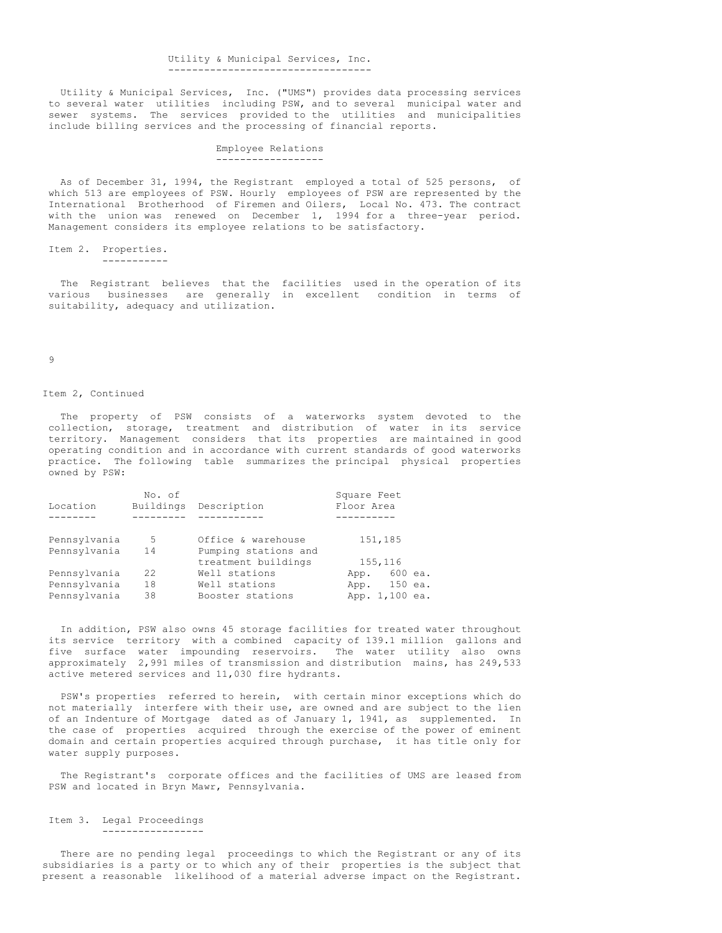#### Utility & Municipal Services, Inc. ----------------------------------

Utility & Municipal Services, Inc. ("UMS") provides data processing services to several water utilities including PSW, and to several municipal water and sewer systems. The services provided to the utilities and municipalities include billing services and the processing of financial reports.

### Employee Relations ------------------

As of December 31, 1994, the Registrant employed a total of 525 persons, of which 513 are employees of PSW. Hourly employees of PSW are represented by the International Brotherhood of Firemen and Oilers, Local No. 473. The contract with the union was renewed on December 1, 1994 for a three-year period. Management considers its employee relations to be satisfactory.

Item 2. Properties. -----------

The Registrant believes that the facilities used in the operation of its various businesses are generally in excellent condition in terms of suitability, adequacy and utilization.

#### 9

## Item 2, Continued

The property of PSW consists of a waterworks system devoted to the collection, storage, treatment and distribution of water in its service territory. Management considers that its properties are maintained in good operating condition and in accordance with current standards of good waterworks practice. The following table summarizes the principal physical properties owned by PSW:

|              | No. of    |                                             | Square Feet     |
|--------------|-----------|---------------------------------------------|-----------------|
| Location     | Buildings | Description                                 | Floor Area      |
|              |           |                                             |                 |
| Pennsylvania | 5         | Office & warehouse                          | 151,185         |
| Pennsylvania | 14        | Pumping stations and<br>treatment buildings | 155,116         |
| Pennsylvania | 22.2      | Well stations                               | 600 ea.<br>App. |
| Pennsylvania | 18        | Well stations                               | App. 150 ea.    |
| Pennsylvania | 38        | Booster stations                            | App. 1,100 ea.  |

In addition, PSW also owns 45 storage facilities for treated water throughout its service territory with a combined capacity of 139.1 million gallons and five surface water impounding reservoirs. The water utility also owns approximately 2,991 miles of transmission and distribution mains, has 249,533 active metered services and 11,030 fire hydrants.

PSW's properties referred to herein, with certain minor exceptions which do not materially interfere with their use, are owned and are subject to the lien of an Indenture of Mortgage dated as of January 1, 1941, as supplemented. In the case of properties acquired through the exercise of the power of eminent domain and certain properties acquired through purchase, it has title only for water supply purposes.

The Registrant's corporate offices and the facilities of UMS are leased from PSW and located in Bryn Mawr, Pennsylvania.

Item 3. Legal Proceedings -----------------

There are no pending legal proceedings to which the Registrant or any of its subsidiaries is a party or to which any of their properties is the subject that present a reasonable likelihood of a material adverse impact on the Registrant.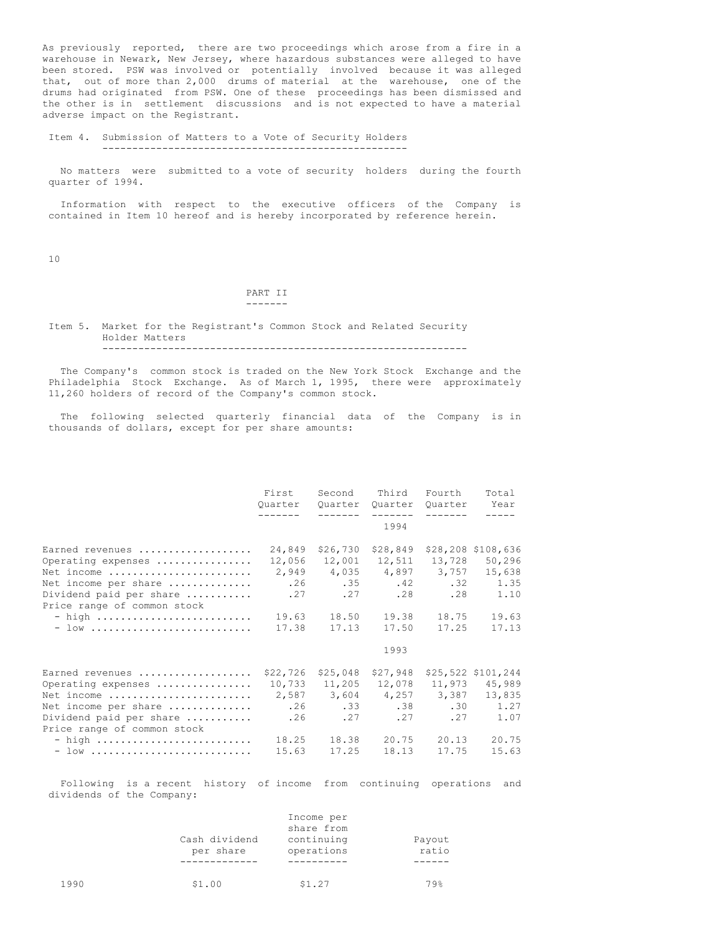As previously reported, there are two proceedings which arose from a fire in a warehouse in Newark, New Jersey, where hazardous substances were alleged to have been stored. PSW was involved or potentially involved because it was alleged that, out of more than 2,000 drums of material at the warehouse, one of the drums had originated from PSW. One of these proceedings has been dismissed and the other is in settlement discussions and is not expected to have a material adverse impact on the Registrant.

Item 4. Submission of Matters to a Vote of Security Holders ---------------------------------------------------

No matters were submitted to a vote of security holders during the fourth quarter of 1994.

Information with respect to the executive officers of the Company is contained in Item 10 hereof and is hereby incorporated by reference herein.

10

#### PART II -------

Item 5. Market for the Registrant's Common Stock and Related Security Holder Matters -------------------------------------------------------------

The Company's common stock is traded on the New York Stock Exchange and the Philadelphia Stock Exchange. As of March 1, 1995, there were approximately 11,260 holders of record of the Company's common stock.

The following selected quarterly financial data of the Company is in thousands of dollars, except for per share amounts:

|                                                                                                                                                              | First<br>Ouarter                                 | Second<br>Ouarter<br>--------                                     | Third<br>Quarter<br>1994                           | Fourth<br>Ouarter                                     | Total<br>Year                                                                                   |
|--------------------------------------------------------------------------------------------------------------------------------------------------------------|--------------------------------------------------|-------------------------------------------------------------------|----------------------------------------------------|-------------------------------------------------------|-------------------------------------------------------------------------------------------------|
| Earned revenues<br>Operating expenses<br>Net income<br>Net income per share<br>Dividend paid per share<br>Price range of common stock<br>$-$ high<br>$-$ low | 24,849<br>12,056<br>.26<br>.27<br>19.63<br>17.38 | \$26,730<br>12,001<br>2,949 4,035<br>.35<br>.27<br>18.50<br>17.13 | \$28,849<br>12,511<br>.42<br>.28<br>19.38<br>17.50 | 13,728<br>4,897 3,757<br>.32<br>.28<br>18.75<br>17.25 | \$28,208 \$108,636<br>50,296<br>15,638<br>1.35<br>1.10<br>19.63<br>17.13                        |
|                                                                                                                                                              |                                                  |                                                                   | 1993                                               |                                                       |                                                                                                 |
| Earned revenues<br>Operating expenses<br>Net income<br>Net income per share<br>Dividend paid per share<br>Price range of common stock<br>$-$ high<br>$-$ low | \$22,726<br>.26<br>.26<br>18.25<br>15.63         | \$25,048<br>10,733 11,205<br>2,587 3,604<br>.27<br>18.38<br>17.25 | \$27,948<br>12,078<br>.27<br>20.75<br>18.13        | 11,973<br>4,257 3,387<br>.27<br>20.13<br>17.75        | \$25,522 \$101,244<br>45,989<br>13,835<br>$.33 \t .38 \t .30 \t 1.27$<br>1.07<br>20.75<br>15.63 |

Following is a recent history of income from continuing operations and dividends of the Company:

|      | Cash dividend<br>per share | Income per<br>share from<br>continuing<br>operations | Payout<br>ratio |
|------|----------------------------|------------------------------------------------------|-----------------|
|      |                            |                                                      |                 |
| 1990 | \$1.00                     | \$1.27                                               | 79%             |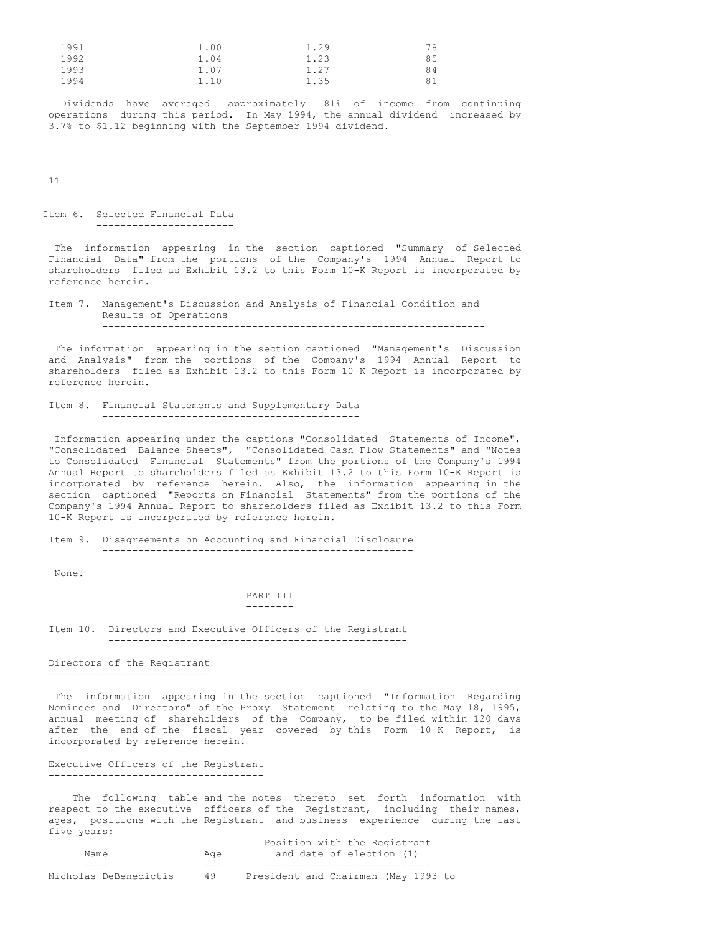| 1991 | 1.00 | 1.29 | 78 |
|------|------|------|----|
| 1992 | 1.04 | 1.23 | 85 |
| 1993 | 1.07 | 1.27 | 84 |
| 1994 | 1.10 | 1.35 | 81 |

Dividends have averaged approximately 81% of income from continuing operations during this period. In May 1994, the annual dividend increased by 3.7% to \$1.12 beginning with the September 1994 dividend.

11

Item 6. Selected Financial Data -----------------------

The information appearing in the section captioned "Summary of Selected Financial Data" from the portions of the Company's 1994 Annual Report to shareholders filed as Exhibit 13.2 to this Form 10-K Report is incorporated by reference herein.

Item 7. Management's Discussion and Analysis of Financial Condition and Results of Operations ----------------------------------------------------------------

The information appearing in the section captioned "Management's Discussion and Analysis" from the portions of the Company's 1994 Annual Report to shareholders filed as Exhibit 13.2 to this Form 10-K Report is incorporated by reference herein.

```
Item 8. Financial Statements and Supplementary Data
-------------------------------------------
```
Information appearing under the captions "Consolidated Statements of Income", "Consolidated Balance Sheets", "Consolidated Cash Flow Statements" and "Notes to Consolidated Financial Statements" from the portions of the Company's 1994 Annual Report to shareholders filed as Exhibit 13.2 to this Form 10-K Report is incorporated by reference herein. Also, the information appearing in the section captioned "Reports on Financial Statements" from the portions of the Company's 1994 Annual Report to shareholders filed as Exhibit 13.2 to this Form 10-K Report is incorporated by reference herein.

Item 9. Disagreements on Accounting and Financial Disclosure ----------------------------------------------------

None.

### PART III --------

Item 10. Directors and Executive Officers of the Registrant --------------------------------------------------

Directors of the Registrant ---------------------------

The information appearing in the section captioned "Information Regarding Nominees and Directors" of the Proxy Statement relating to the May 18, 1995, annual meeting of shareholders of the Company, to be filed within 120 days after the end of the fiscal year covered by this Form 10-K Report, is incorporated by reference herein.

Executive Officers of the Registrant ------------------------------------

The following table and the notes thereto set forth information with respect to the executive officers of the Registrant, including their names, ages, positions with the Registrant and business experience during the last five years: Position with the Registrant

|                       |     | Position with the Registrant        |
|-----------------------|-----|-------------------------------------|
| Name                  | Aae | and date of election (1)            |
|                       | .   |                                     |
| Nicholas DeBenedictis | 49  | President and Chairman (May 1993 to |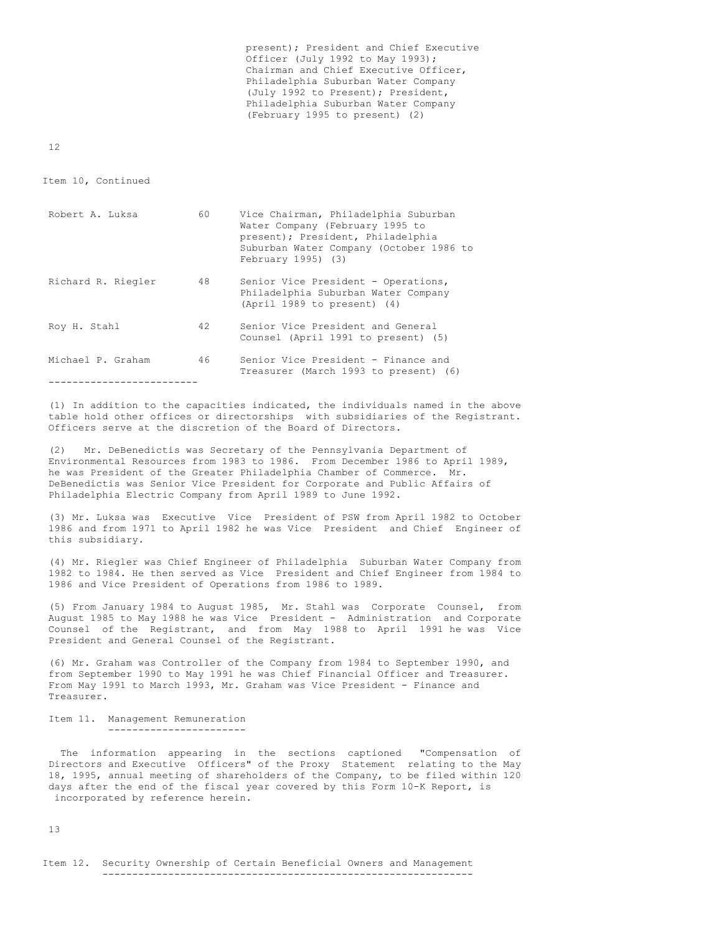present); President and Chief Executive Officer (July 1992 to May 1993); Chairman and Chief Executive Officer, Philadelphia Suburban Water Company (July 1992 to Present); President, Philadelphia Suburban Water Company (February 1995 to present) (2)

12

Item 10, Continued

-------------------------

| Robert A. Luksa    | 60 | Vice Chairman, Philadelphia Suburban<br>Water Company (February 1995 to<br>present); President, Philadelphia<br>Suburban Water Company (October 1986 to<br>February 1995) (3) |
|--------------------|----|-------------------------------------------------------------------------------------------------------------------------------------------------------------------------------|
| Richard R. Riegler | 48 | Senior Vice President - Operations,<br>Philadelphia Suburban Water Company<br>$(April 1989 to present)$ (4)                                                                   |
| Roy H. Stahl       | 42 | Senior Vice President and General<br>Counsel (April 1991 to present) (5)                                                                                                      |
| Michael P. Graham  | 46 | Senior Vice President - Finance and<br>Treasurer (March 1993 to present) (6)                                                                                                  |

(1) In addition to the capacities indicated, the individuals named in the above table hold other offices or directorships with subsidiaries of the Registrant. Officers serve at the discretion of the Board of Directors.

(2) Mr. DeBenedictis was Secretary of the Pennsylvania Department of Environmental Resources from 1983 to 1986. From December 1986 to April 1989, he was President of the Greater Philadelphia Chamber of Commerce. Mr. DeBenedictis was Senior Vice President for Corporate and Public Affairs of Philadelphia Electric Company from April 1989 to June 1992.

(3) Mr. Luksa was Executive Vice President of PSW from April 1982 to October 1986 and from 1971 to April 1982 he was Vice President and Chief Engineer of this subsidiary.

(4) Mr. Riegler was Chief Engineer of Philadelphia Suburban Water Company from 1982 to 1984. He then served as Vice President and Chief Engineer from 1984 to 1986 and Vice President of Operations from 1986 to 1989.

(5) From January 1984 to August 1985, Mr. Stahl was Corporate Counsel, from August 1985 to May 1988 he was Vice President - Administration and Corporate Counsel of the Registrant, and from May 1988 to April 1991 he was Vice President and General Counsel of the Registrant.

(6) Mr. Graham was Controller of the Company from 1984 to September 1990, and from September 1990 to May 1991 he was Chief Financial Officer and Treasurer. From May 1991 to March 1993, Mr. Graham was Vice President - Finance and Treasurer.

Item 11. Management Remuneration -----------------------

The information appearing in the sections captioned "Compensation of Directors and Executive Officers" of the Proxy Statement relating to the May 18, 1995, annual meeting of shareholders of the Company, to be filed within 120 days after the end of the fiscal year covered by this Form 10-K Report, is incorporated by reference herein.

13

Item 12. Security Ownership of Certain Beneficial Owners and Management --------------------------------------------------------------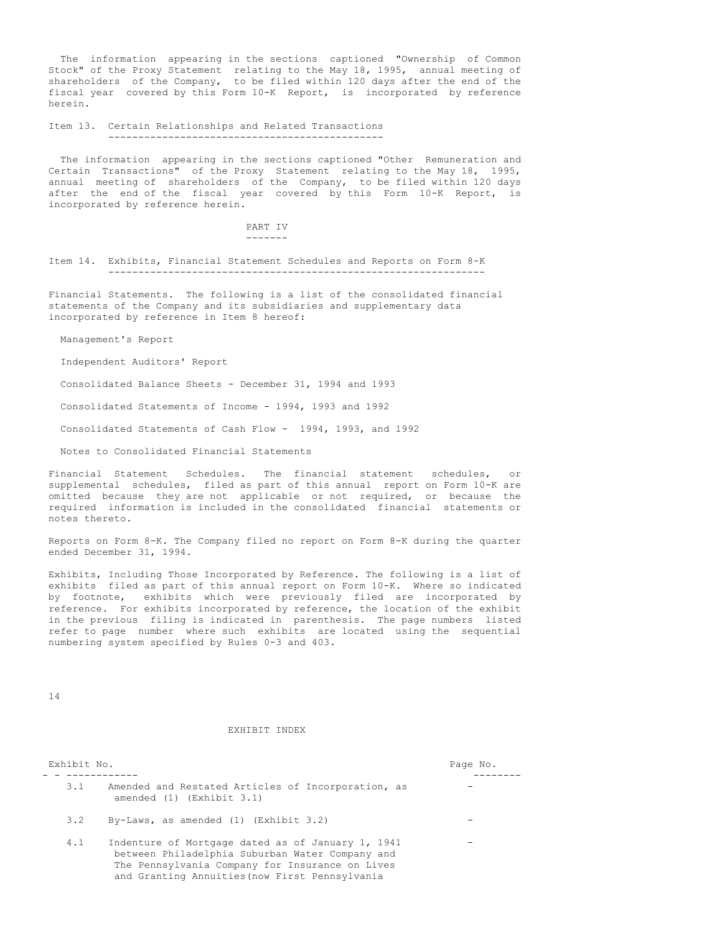The information appearing in the sections captioned "Ownership of Common Stock" of the Proxy Statement relating to the May 18, 1995, annual meeting of shareholders of the Company, to be filed within 120 days after the end of the fiscal year covered by this Form 10-K Report, is incorporated by reference herein.

Item 13. Certain Relationships and Related Transactions

----------------------------------------------

The information appearing in the sections captioned "Other Remuneration and Certain Transactions" of the Proxy Statement relating to the May 18, 1995, annual meeting of shareholders of the Company, to be filed within 120 days after the end of the fiscal year covered by this Form 10-K Report, is incorporated by reference herein.

> PART IV -------

Item 14. Exhibits, Financial Statement Schedules and Reports on Form 8-K ---------------------------------------------------------------

Financial Statements. The following is a list of the consolidated financial statements of the Company and its subsidiaries and supplementary data incorporated by reference in Item 8 hereof:

Management's Report

Independent Auditors' Report

Consolidated Balance Sheets - December 31, 1994 and 1993

Consolidated Statements of Income - 1994, 1993 and 1992

Consolidated Statements of Cash Flow - 1994, 1993, and 1992

Notes to Consolidated Financial Statements

Financial Statement Schedules. The financial statement schedules, or supplemental schedules, filed as part of this annual report on Form 10-K are omitted because they are not applicable or not required, or because the required information is included in the consolidated financial statements or notes thereto.

Reports on Form 8-K. The Company filed no report on Form 8-K during the quarter ended December 31, 1994.

Exhibits, Including Those Incorporated by Reference. The following is a list of exhibits filed as part of this annual report on Form 10-K. Where so indicated by footnote, exhibits which were previously filed are incorporated by reference. For exhibits incorporated by reference, the location of the exhibit in the previous filing is indicated in parenthesis. The page numbers listed refer to page number where such exhibits are located using the sequential numbering system specified by Rules 0-3 and 403.

14

## EXHIBIT INDEX

| Exhibit No. |                                                                                                                                                                                                           | Page No. |
|-------------|-----------------------------------------------------------------------------------------------------------------------------------------------------------------------------------------------------------|----------|
| 3.1         | Amended and Restated Articles of Incorporation, as<br>amended $(1)$ (Exhibit $3.1$ )                                                                                                                      |          |
| 3.2         | By-Laws, as amended $(1)$ (Exhibit 3.2)                                                                                                                                                                   |          |
| 4.1         | Indenture of Mortgage dated as of January 1, 1941<br>between Philadelphia Suburban Water Company and<br>The Pennsylvania Company for Insurance on Lives<br>and Granting Annuities (now First Pennsylvania |          |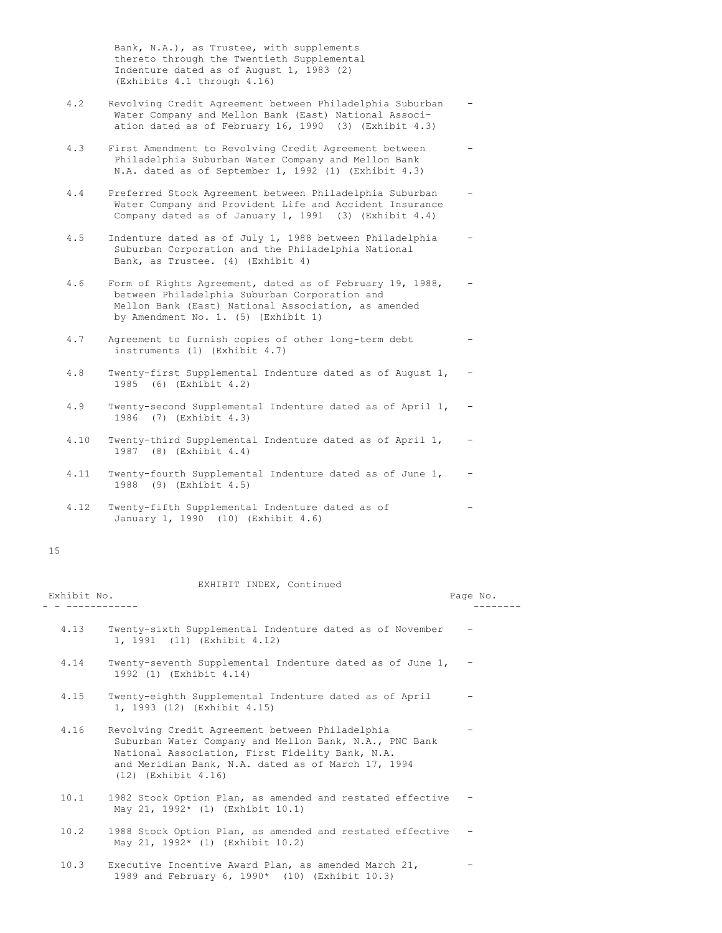Bank, N.A.), as Trustee, with supplements thereto through the Twentieth Supplemental Indenture dated as of August 1, 1983 (2) (Exhibits 4.1 through 4.16)

- 4.2 Revolving Credit Agreement between Philadelphia Suburban Water Company and Mellon Bank (East) National Association dated as of February 16, 1990 (3) (Exhibit 4.3)
- 4.3 First Amendment to Revolving Credit Agreement between Philadelphia Suburban Water Company and Mellon Bank N.A. dated as of September 1, 1992 (1) (Exhibit 4.3)
- 4.4 Preferred Stock Agreement between Philadelphia Suburban Water Company and Provident Life and Accident Insurance Company dated as of January 1, 1991 (3) (Exhibit 4.4)
- 4.5 Indenture dated as of July 1, 1988 between Philadelphia Suburban Corporation and the Philadelphia National Bank, as Trustee. (4) (Exhibit 4)
- 4.6 Form of Rights Agreement, dated as of February 19, 1988, between Philadelphia Suburban Corporation and Mellon Bank (East) National Association, as amended by Amendment No. 1. (5) (Exhibit 1)
- 4.7 Agreement to furnish copies of other long-term debt instruments (1) (Exhibit 4.7)
- 4.8 Twenty-first Supplemental Indenture dated as of August 1, 1985 (6) (Exhibit 4.2)
- 4.9 Twenty-second Supplemental Indenture dated as of April 1, 1986 (7) (Exhibit 4.3)
- 4.10 Twenty-third Supplemental Indenture dated as of April 1, 1987 (8) (Exhibit 4.4)
- 4.11 Twenty-fourth Supplemental Indenture dated as of June 1, -1988 (9) (Exhibit 4.5)
- 4.12 Twenty-fifth Supplemental Indenture dated as of -January 1, 1990 (10) (Exhibit 4.6)

## 15

| Exhibit No. | EXHIBIT INDEX, Continued                                                                                                                                                                                                                       | Page No. |
|-------------|------------------------------------------------------------------------------------------------------------------------------------------------------------------------------------------------------------------------------------------------|----------|
| 4.13        | Twenty-sixth Supplemental Indenture dated as of November<br>1, 1991 (11) (Exhibit 4.12)                                                                                                                                                        |          |
| 4.14        | Twenty-seventh Supplemental Indenture dated as of June 1,<br>1992 (1) (Exhibit 4.14)                                                                                                                                                           |          |
| 4.15        | Twenty-eighth Supplemental Indenture dated as of April<br>1, 1993 (12) (Exhibit 4.15)                                                                                                                                                          |          |
| 4.16        | Revolving Credit Agreement between Philadelphia<br>Suburban Water Company and Mellon Bank, N.A., PNC Bank<br>National Association, First Fidelity Bank, N.A.<br>and Meridian Bank, N.A. dated as of March 17, 1994<br>$(12)$ (Exhibit $4.16$ ) |          |
| 10.1        | 1982 Stock Option Plan, as amended and restated effective<br>May 21, 1992* (1) (Exhibit 10.1)                                                                                                                                                  |          |
| 10.2        | 1988 Stock Option Plan, as amended and restated effective<br>May 21, 1992* (1) (Exhibit 10.2)                                                                                                                                                  |          |
| 10.3        | Executive Incentive Award Plan, as amended March 21.                                                                                                                                                                                           |          |

1989 and February 6, 1990\* (10) (Exhibit 10.3)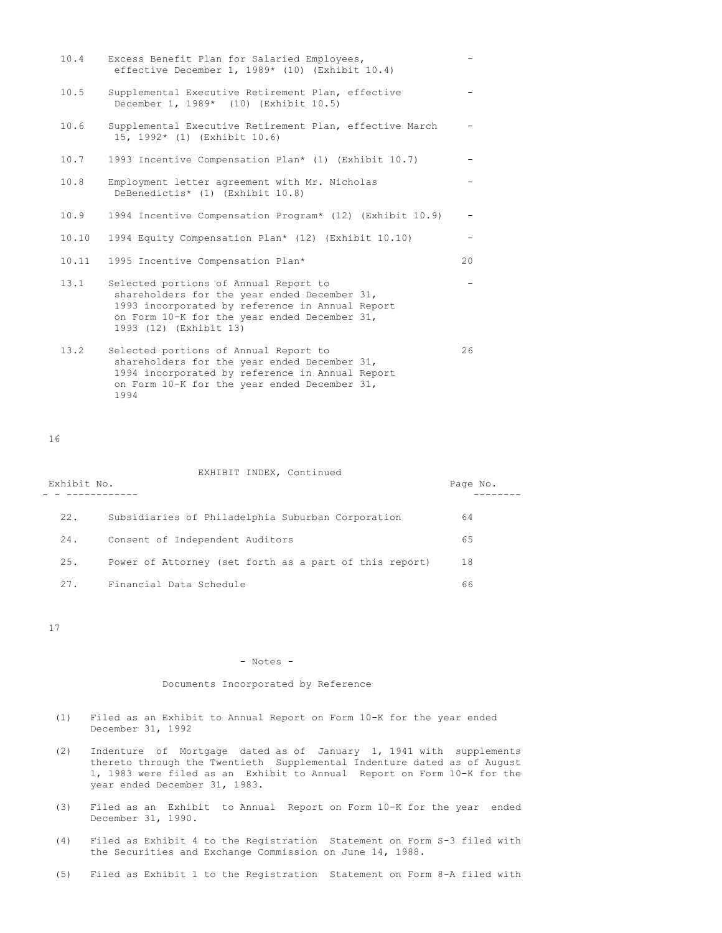| 10.4  | Excess Benefit Plan for Salaried Employees,<br>effective December 1, 1989* (10) (Exhibit 10.4)                                                                                                                     |    |
|-------|--------------------------------------------------------------------------------------------------------------------------------------------------------------------------------------------------------------------|----|
| 10.5  | Supplemental Executive Retirement Plan, effective<br>December 1, 1989* (10) (Exhibit 10.5)                                                                                                                         |    |
| 10.6  | Supplemental Executive Retirement Plan, effective March<br>15, 1992* (1) (Exhibit 10.6)                                                                                                                            |    |
| 10.7  | 1993 Incentive Compensation Plan* (1) (Exhibit 10.7)                                                                                                                                                               |    |
| 10.8  | Employment letter agreement with Mr. Nicholas<br>DeBenedictis* (1) (Exhibit 10.8)                                                                                                                                  |    |
| 10.9  | 1994 Incentive Compensation Program* (12) (Exhibit 10.9)                                                                                                                                                           |    |
| 10.10 | 1994 Equity Compensation Plan* (12) (Exhibit 10.10)                                                                                                                                                                |    |
| 10.11 | 1995 Incentive Compensation Plan*                                                                                                                                                                                  | 20 |
| 13.1  | Selected portions of Annual Report to<br>shareholders for the year ended December 31,<br>1993 incorporated by reference in Annual Report<br>on Form 10-K for the year ended December 31,<br>1993 (12) (Exhibit 13) |    |
| 13.2  | Selected portions of Annual Report to<br>shareholders for the year ended December 31,<br>1994 incorporated by reference in Annual Report<br>on Form 10-K for the year ended December 31,                           | 26 |

16

1994

| Exhibit No. | EXHIBIT INDEX, Continued                               | Page No. |
|-------------|--------------------------------------------------------|----------|
| 22.         | Subsidiaries of Philadelphia Suburban Corporation      | 64       |
| 24.         | Consent of Independent Auditors                        | 65       |
| 25.         | Power of Attorney (set forth as a part of this report) | 18       |
| 27.         | Financial Data Schedule                                | 66       |

17

# - Notes -

## Documents Incorporated by Reference

- (1) Filed as an Exhibit to Annual Report on Form 10-K for the year ended December 31, 1992
- (2) Indenture of Mortgage dated as of January 1, 1941 with supplements thereto through the Twentieth Supplemental Indenture dated as of August 1, 1983 were filed as an Exhibit to Annual Report on Form 10-K for the year ended December 31, 1983.
- (3) Filed as an Exhibit to Annual Report on Form 10-K for the year ended December 31, 1990.
- (4) Filed as Exhibit 4 to the Registration Statement on Form S-3 filed with the Securities and Exchange Commission on June 14, 1988.
- (5) Filed as Exhibit 1 to the Registration Statement on Form 8-A filed with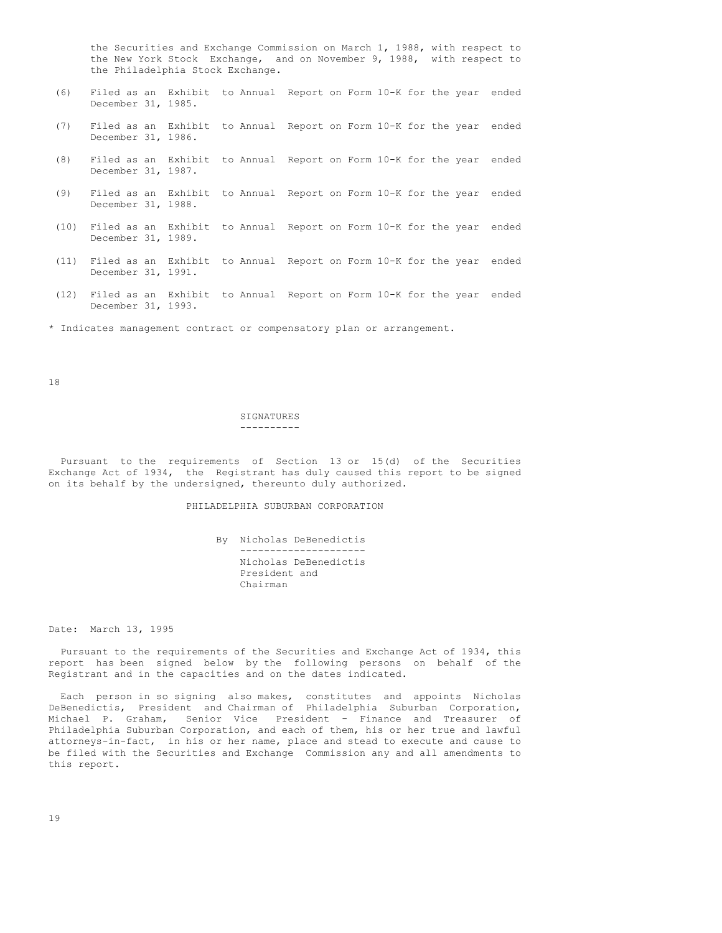the Securities and Exchange Commission on March 1, 1988, with respect to the New York Stock Exchange, and on November 9, 1988, with respect to the Philadelphia Stock Exchange.

- (6) Filed as an Exhibit to Annual Report on Form 10-K for the year ended December 31, 1985.
- (7) Filed as an Exhibit to Annual Report on Form 10-K for the year ended December 31, 1986.
- (8) Filed as an Exhibit to Annual Report on Form 10-K for the year ended December 31, 1987.
- (9) Filed as an Exhibit to Annual Report on Form 10-K for the year ended December 31, 1988.
- (10) Filed as an Exhibit to Annual Report on Form 10-K for the year ended December 31, 1989.
- (11) Filed as an Exhibit to Annual Report on Form 10-K for the year ended December 31, 1991.
- (12) Filed as an Exhibit to Annual Report on Form 10-K for the year ended December 31, 1993.
- \* Indicates management contract or compensatory plan or arrangement.

18

### SIGNATURES ----------

Pursuant to the requirements of Section 13 or 15(d) of the Securities Exchange Act of 1934, the Registrant has duly caused this report to be signed on its behalf by the undersigned, thereunto duly authorized.

PHILADELPHIA SUBURBAN CORPORATION

By Nicholas DeBenedictis --------------------- Nicholas DeBenedictis President and Chairman

Date: March 13, 1995

Pursuant to the requirements of the Securities and Exchange Act of 1934, this report has been signed below by the following persons on behalf of the Registrant and in the capacities and on the dates indicated.

Each person in so signing also makes, constitutes and appoints Nicholas DeBenedictis, President and Chairman of Philadelphia Suburban Corporation, Michael P. Graham, Senior Vice President - Finance and Treasurer of Philadelphia Suburban Corporation, and each of them, his or her true and lawful attorneys-in-fact, in his or her name, place and stead to execute and cause to be filed with the Securities and Exchange Commission any and all amendments to this report.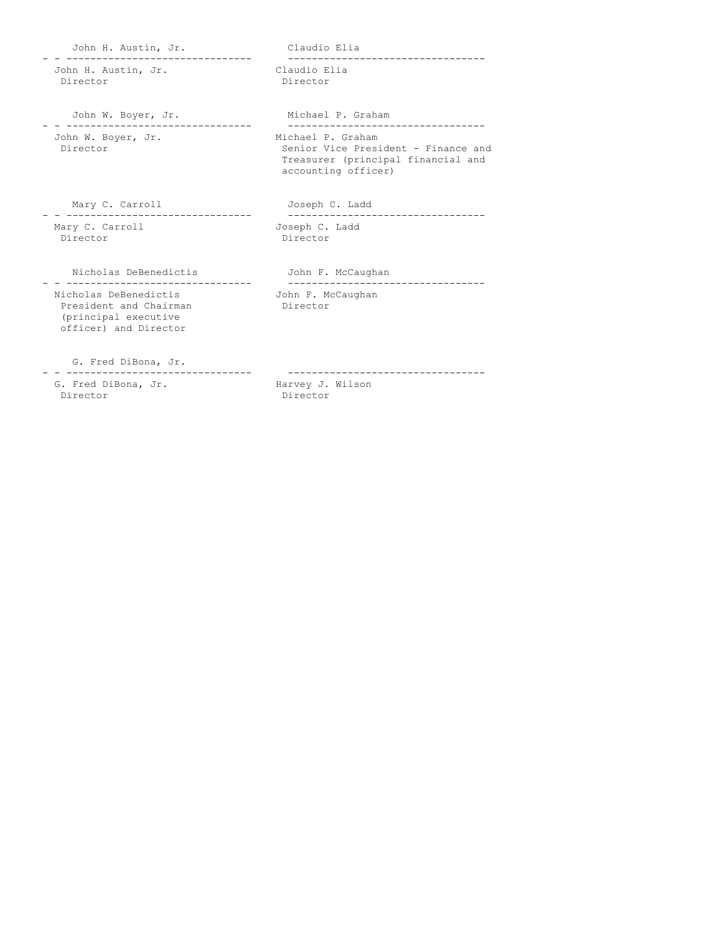John H. Austin, Jr. Claudio Elia - - ------------------------------- --------------------------------- John H. Austin, Jr.<br>Director Director John W. Boyer, Jr. Michael P. Graham - - ------------------------------- --------------------------------- John W. Boyer, Jr. Director Senior Vice President - Finance and Treasurer (principal financial and accounting officer) Mary C. Carroll **Gallery** Joseph C. Ladd - - ------------------------------- --------------------------------- Mary C. Carroll<br>Director Director Nicholas DeBenedictis John F. McCaughan - - ------------------------------- --------------------------------- Nicholas DeBenedictis John F. McCaughan<br>President and Chairman Director President and Chairman (principal executive officer) and Director G. Fred DiBona, Jr. - - ------------------------------- ---------------------------------

G. Fred DiBona, Jr. Harvey J. Wilson Director Director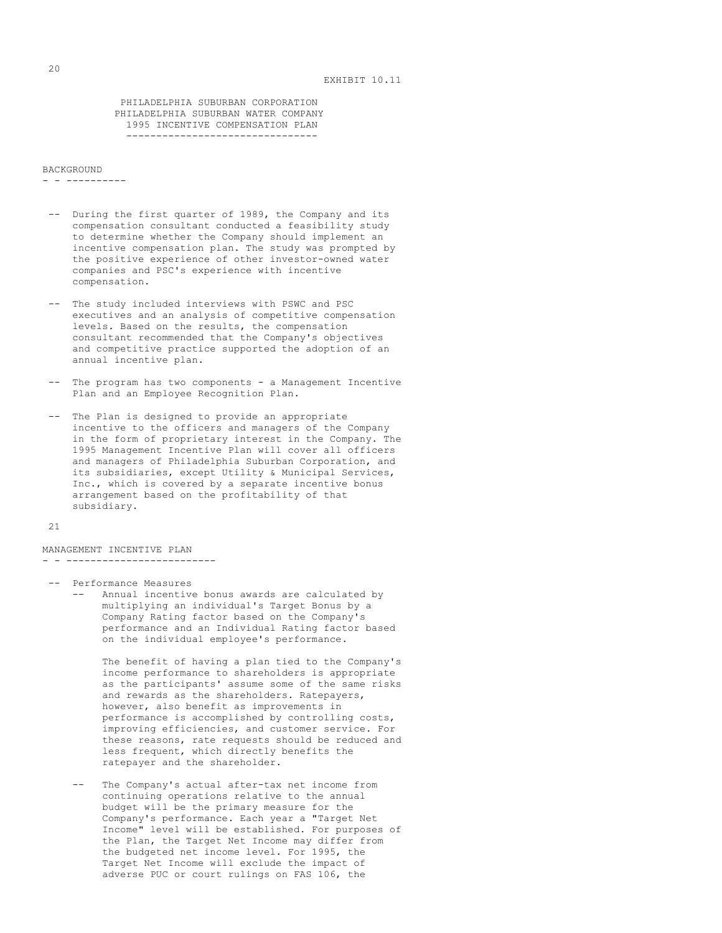PHILADELPHIA SUBURBAN CORPORATION PHILADELPHIA SUBURBAN WATER COMPANY 1995 INCENTIVE COMPENSATION PLAN --------------------------------

### **BACKGROUND**

- - ----------

- -- During the first quarter of 1989, the Company and its compensation consultant conducted a feasibility study to determine whether the Company should implement an incentive compensation plan. The study was prompted by the positive experience of other investor-owned water companies and PSC's experience with incentive compensation.
- -- The study included interviews with PSWC and PSC executives and an analysis of competitive compensation levels. Based on the results, the compensation consultant recommended that the Company's objectives and competitive practice supported the adoption of an annual incentive plan.
- -- The program has two components a Management Incentive Plan and an Employee Recognition Plan.
- -- The Plan is designed to provide an appropriate incentive to the officers and managers of the Company in the form of proprietary interest in the Company. The 1995 Management Incentive Plan will cover all officers and managers of Philadelphia Suburban Corporation, and its subsidiaries, except Utility & Municipal Services, Inc., which is covered by a separate incentive bonus arrangement based on the profitability of that subsidiary.

```
21
```
MANAGEMENT INCENTIVE PLAN - - -------------------------

-- Performance Measures -- Annual incentive bonus awards are calculated by multiplying an individual's Target Bonus by a Company Rating factor based on the Company's performance and an Individual Rating factor based on the individual employee's performance.

> The benefit of having a plan tied to the Company's income performance to shareholders is appropriate as the participants' assume some of the same risks and rewards as the shareholders. Ratepayers, however, also benefit as improvements in performance is accomplished by controlling costs, improving efficiencies, and customer service. For these reasons, rate requests should be reduced and less frequent, which directly benefits the ratepayer and the shareholder.

The Company's actual after-tax net income from continuing operations relative to the annual budget will be the primary measure for the Company's performance. Each year a "Target Net Income" level will be established. For purposes of the Plan, the Target Net Income may differ from the budgeted net income level. For 1995, the Target Net Income will exclude the impact of adverse PUC or court rulings on FAS 106, the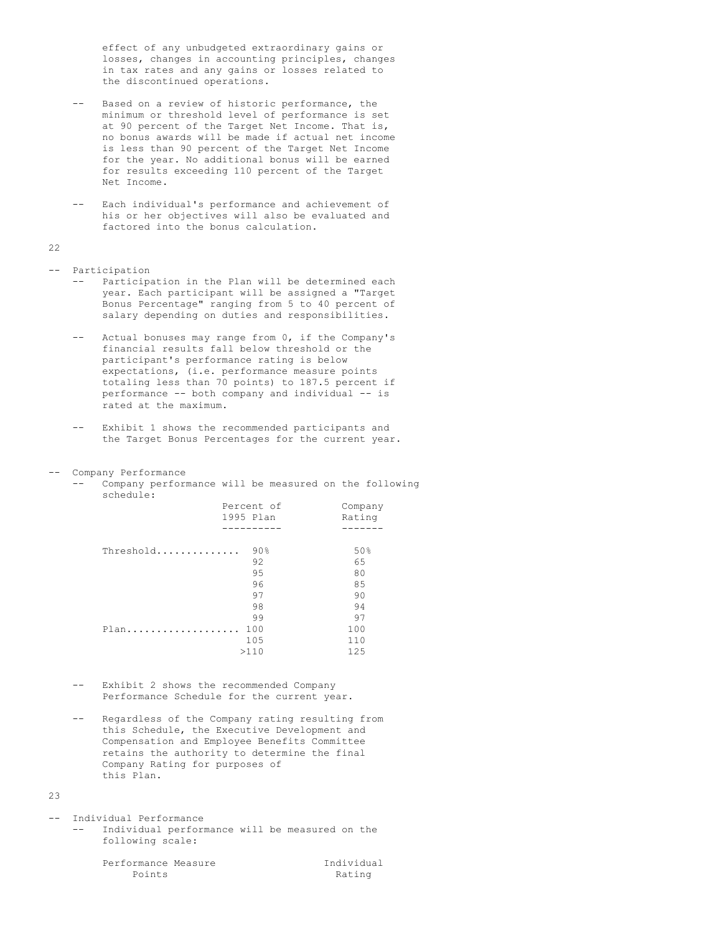effect of any unbudgeted extraordinary gains or losses, changes in accounting principles, changes in tax rates and any gains or losses related to the discontinued operations.

- -- Based on a review of historic performance, the minimum or threshold level of performance is set at 90 percent of the Target Net Income. That is, no bonus awards will be made if actual net income is less than 90 percent of the Target Net Income for the year. No additional bonus will be earned for results exceeding 110 percent of the Target Net Income.
- -- Each individual's performance and achievement of his or her objectives will also be evaluated and factored into the bonus calculation.

### 22

-- Participation

- -- Participation in the Plan will be determined each year. Each participant will be assigned a "Target Bonus Percentage" ranging from 5 to 40 percent of salary depending on duties and responsibilities.
- -- Actual bonuses may range from 0, if the Company's financial results fall below threshold or the participant's performance rating is below expectations, (i.e. performance measure points totaling less than 70 points) to 187.5 percent if performance -- both company and individual -- is rated at the maximum.
- -- Exhibit 1 shows the recommended participants and the Target Bonus Percentages for the current year.

## -- Company Performance

-- Company performance will be measured on the following schedule:

|           | Percent of<br>1995 Plan | Company<br>Rating |
|-----------|-------------------------|-------------------|
|           |                         |                   |
| Threshold | $90\%$                  | 50%               |
|           | 92                      | 65                |
|           | 95                      | 80                |
|           | 96                      | 85                |
|           | 97                      | 90                |
|           | 98                      | 94                |
|           | 99                      | 97                |
| Plan      | 100                     | 100               |
|           | 105                     | 110               |
|           | >110                    | 125               |
|           |                         |                   |

- -- Exhibit 2 shows the recommended Company Performance Schedule for the current year.
- Regardless of the Company rating resulting from this Schedule, the Executive Development and Compensation and Employee Benefits Committee retains the authority to determine the final Company Rating for purposes of this Plan.

## $23$

-- Individual Performance Individual performance will be measured on the following scale:

Performance Measure **Individual**<br>Points Rating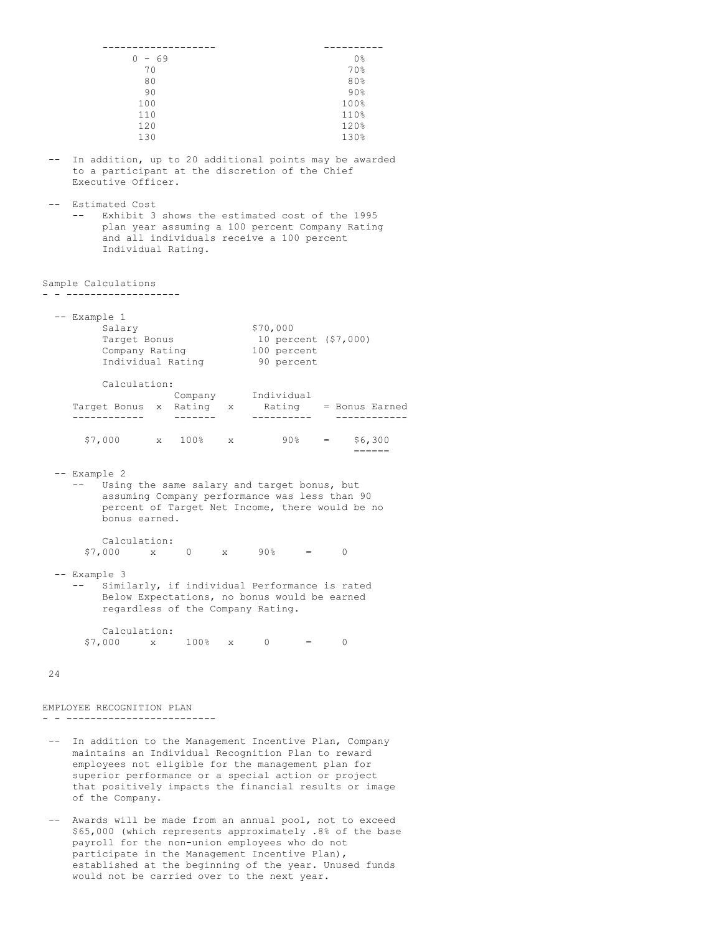|       |              |                                                                                                                                                                                        | $0 - 69$    |                 |              |          |                      |   | 0 %                                                                                                             |  |
|-------|--------------|----------------------------------------------------------------------------------------------------------------------------------------------------------------------------------------|-------------|-----------------|--------------|----------|----------------------|---|-----------------------------------------------------------------------------------------------------------------|--|
|       |              |                                                                                                                                                                                        | 70          |                 |              |          |                      |   | 70%                                                                                                             |  |
|       |              |                                                                                                                                                                                        | 80          |                 |              |          |                      |   | 80%                                                                                                             |  |
|       |              |                                                                                                                                                                                        | 90          |                 |              |          |                      |   | 90%                                                                                                             |  |
|       |              | 100                                                                                                                                                                                    |             |                 |              |          |                      |   | 100%                                                                                                            |  |
|       |              | 110                                                                                                                                                                                    |             |                 |              |          |                      |   | 110%                                                                                                            |  |
|       |              | 120                                                                                                                                                                                    |             |                 |              |          |                      |   | 120%                                                                                                            |  |
|       |              | 130                                                                                                                                                                                    |             |                 |              |          |                      |   | 130%                                                                                                            |  |
|       |              |                                                                                                                                                                                        |             |                 |              |          |                      |   |                                                                                                                 |  |
|       |              | to a participant at the discretion of the Chief<br>Executive Officer.                                                                                                                  |             |                 |              |          |                      |   | In addition, up to 20 additional points may be awarded                                                          |  |
|       |              | Estimated Cost<br>Exhibit 3 shows the estimated cost of the 1995<br>plan year assuming a 100 percent Company Rating<br>and all individuals receive a 100 percent<br>Individual Rating. |             |                 |              |          |                      |   |                                                                                                                 |  |
|       |              | Sample Calculations                                                                                                                                                                    |             |                 |              |          |                      |   |                                                                                                                 |  |
|       |              |                                                                                                                                                                                        |             |                 |              |          |                      |   |                                                                                                                 |  |
|       | -- Example 1 | Salary                                                                                                                                                                                 |             |                 |              | \$70,000 |                      |   |                                                                                                                 |  |
|       |              | Target Bonus                                                                                                                                                                           |             |                 |              |          | 10 percent (\$7,000) |   |                                                                                                                 |  |
|       |              | Company Rating                                                                                                                                                                         |             |                 |              |          | 100 percent          |   |                                                                                                                 |  |
|       |              | Individual Rating                                                                                                                                                                      |             |                 |              |          | 90 percent           |   |                                                                                                                 |  |
|       |              |                                                                                                                                                                                        |             |                 |              |          |                      |   |                                                                                                                 |  |
|       |              | Calculation:                                                                                                                                                                           |             |                 |              |          |                      |   |                                                                                                                 |  |
|       |              |                                                                                                                                                                                        |             | Company         |              |          | Individual           |   |                                                                                                                 |  |
|       |              | Target Bonus x Rating x                                                                                                                                                                |             |                 |              |          |                      |   | Rating = Bonus Earned                                                                                           |  |
|       |              |                                                                                                                                                                                        |             | $- - - - - - -$ |              |          | . _ _ _ _ _ _ _ _ _  |   |                                                                                                                 |  |
|       |              |                                                                                                                                                                                        |             |                 |              |          |                      |   |                                                                                                                 |  |
|       |              | \$7,000 x 100% x                                                                                                                                                                       |             |                 |              |          | $90\%$ =             |   | \$6,300                                                                                                         |  |
|       |              |                                                                                                                                                                                        |             |                 |              |          |                      |   | $=$ $=$ $=$ $=$ $=$                                                                                             |  |
|       | -- Example 2 | Using the same salary and target bonus, but<br>assuming Company performance was less than 90<br>percent of Target Net Income, there would be no<br>bonus earned.                       |             |                 |              |          |                      |   |                                                                                                                 |  |
|       |              | Calculation:                                                                                                                                                                           |             |                 |              |          |                      |   |                                                                                                                 |  |
|       |              | \$7,000                                                                                                                                                                                | $\mathbf x$ | $\overline{0}$  | $\mathbf{X}$ |          | $90\%$ =             | 0 |                                                                                                                 |  |
|       |              |                                                                                                                                                                                        |             |                 |              |          |                      |   |                                                                                                                 |  |
|       | -- Example 3 | Similarly, if individual Performance is rated<br>Below Expectations, no bonus would be earned<br>regardless of the Company Rating.                                                     |             |                 |              |          |                      |   |                                                                                                                 |  |
|       |              | Calculation:<br>$$7,000$ x 100% x 0 = 0                                                                                                                                                |             |                 |              |          |                      |   |                                                                                                                 |  |
| 24    |              |                                                                                                                                                                                        |             |                 |              |          |                      |   |                                                                                                                 |  |
|       |              | EMPLOYEE RECOGNITION PLAN                                                                                                                                                              |             | -----------     |              |          |                      |   |                                                                                                                 |  |
| $- -$ |              | maintains an Individual Recognition Plan to reward<br>employees not eligible for the management plan for<br>superior performance or a special action or project<br>of the Company.     |             |                 |              |          |                      |   | In addition to the Management Incentive Plan, Company<br>that positively impacts the financial results or image |  |
|       |              |                                                                                                                                                                                        |             |                 |              |          |                      |   | Awards will be made from an annual pool, not to exceed                                                          |  |

\$65,000 (which represents approximately .8% of the base payroll for the non-union employees who do not participate in the Management Incentive Plan), established at the beginning of the year. Unused funds would not be carried over to the next year.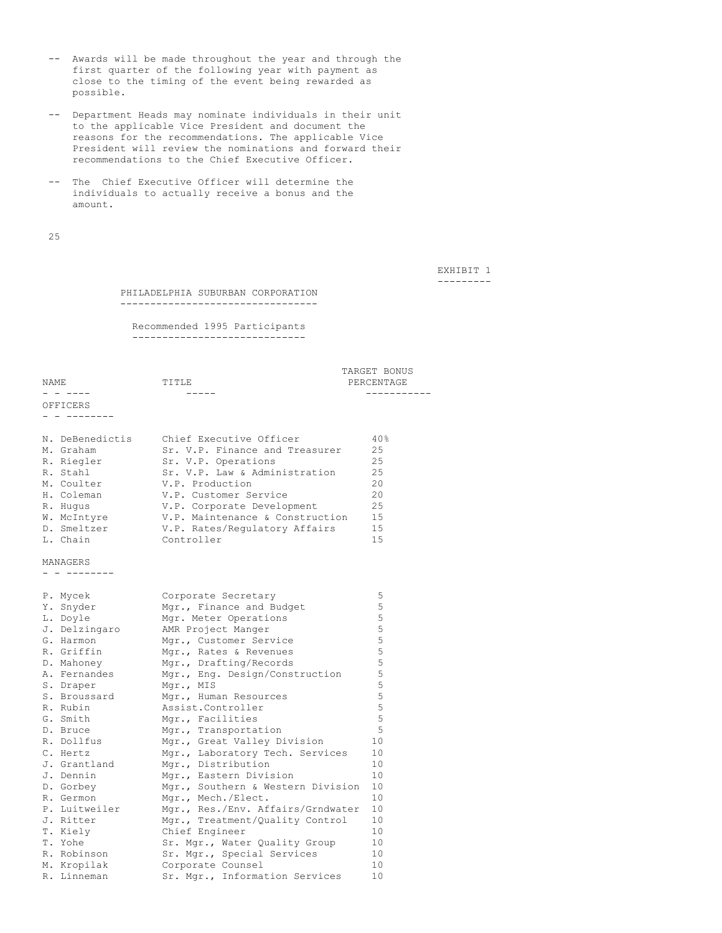- -- Awards will be made throughout the year and through the first quarter of the following year with payment as close to the timing of the event being rewarded as possible.
- -- Department Heads may nominate individuals in their unit to the applicable Vice President and document the reasons for the recommendations. The applicable Vice President will review the nominations and forward their recommendations to the Chief Executive Officer.
- -- The Chief Executive Officer will determine the individuals to actually receive a bonus and the amount.

25

EXHIBIT 1 ---------

TARGET BONUS PERCENTAGE

PHILADELPHIA SUBURBAN CORPORATION ---------------------------------

Recommended 1995 Participants -----------------------------

|          |       | TAVARI DAMAS |
|----------|-------|--------------|
| NAME     | TITLE | PERCENTAGE   |
| - -      |       |              |
| OFFICERS |       |              |

- - --------

| N. DeBenedictis | Chief Executive Officer         | 40% |
|-----------------|---------------------------------|-----|
| M. Graham       | Sr. V.P. Finance and Treasurer  | 25  |
| R. Riegler      | Sr. V.P. Operations             | 2.5 |
| R. Stahl        | Sr. V.P. Law & Administration   | 2.5 |
| M. Coulter      | V.P. Production                 | 20  |
| H. Coleman      | V.P. Customer Service           | 20  |
| R. Hugus        | V.P. Corporate Development      | 2.5 |
| W. McIntyre     | V.P. Maintenance & Construction | 1.5 |
| D. Smeltzer     | V.P. Rates/Regulatory Affairs   | 15  |
| L. Chain        | Controller                      | 1.5 |

MANAGERS

- - --------

| P. Mycek      | Corporate Secretary               | 5           |
|---------------|-----------------------------------|-------------|
| Y. Snyder     | Mgr., Finance and Budget          | 5           |
| L. Doyle      | Mgr. Meter Operations             | 5           |
| J. Delzingaro | AMR Project Manger                | 5           |
| G. Harmon     | Mgr., Customer Service            | 5           |
| R. Griffin    | Mgr., Rates & Revenues            | 5           |
| D. Mahoney    | Mqr., Drafting/Records            | 5           |
| A. Fernandes  | Mgr., Eng. Design/Construction    | 5           |
| S. Draper     | Mgr., MIS                         | 5           |
| S. Broussard  | Mgr., Human Resources             | 5           |
| R. Rubin      | Assist.Controller                 | 5           |
| G. Smith      | Mgr., Facilities                  | $\mathsf S$ |
| D. Bruce      | Mgr., Transportation              | 5           |
| R. Dollfus    | Mgr., Great Valley Division       | 10          |
| C. Hertz      | Mgr., Laboratory Tech. Services   | 10          |
| J. Grantland  | Mgr., Distribution                | 10          |
| J. Dennin     | Mgr., Eastern Division            | 10          |
| D. Gorbey     | Mgr., Southern & Western Division | 10          |
| R. Germon     | Mgr., Mech./Elect.                | 10          |
| P. Luitweiler | Mgr., Res./Env. Affairs/Grndwater | 10          |
| J. Ritter     | Mgr., Treatment/Quality Control   | 10          |
| T. Kiely      | Chief Engineer                    | 10          |
| T. Yohe       | Sr. Mgr., Water Quality Group     | 10          |
| R. Robinson   | Sr. Mgr., Special Services        | 10          |
| M. Kropilak   | Corporate Counsel                 | 10          |
| R. Linneman   | Sr. Mgr., Information Services    | 10          |
|               |                                   |             |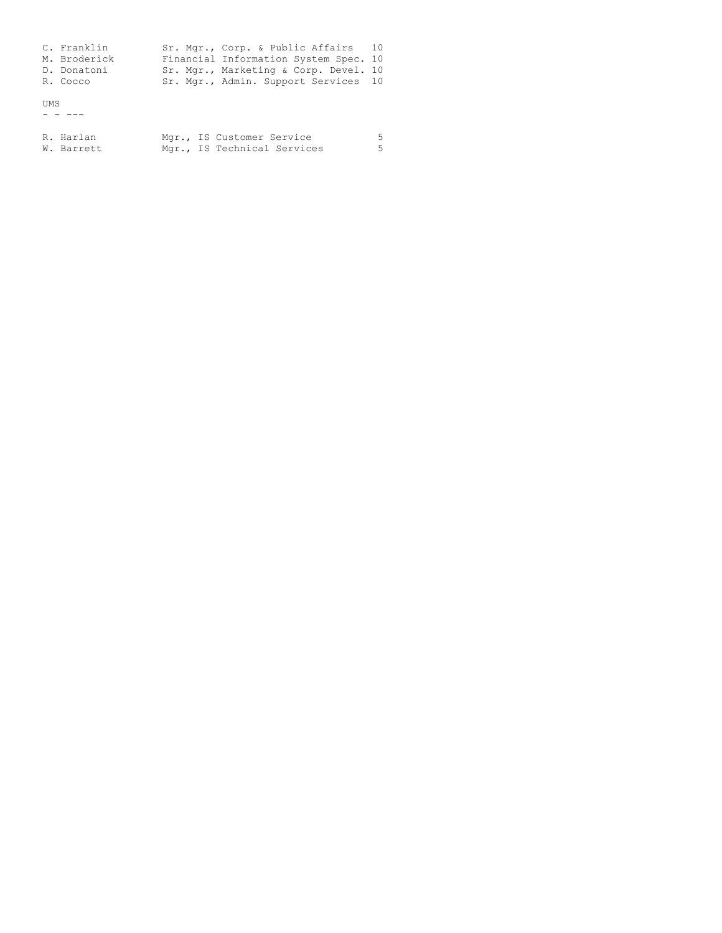|      | C. Franklin<br>M. Broderick<br>D. Donatoni<br>R. Cocco |  | Sr. Mgr., Corp. & Public Affairs 10<br>Financial Information System Spec. 10<br>Sr. Mgr., Marketing & Corp. Devel. 10<br>Sr. Mgr., Admin. Support Services 10 |        |
|------|--------------------------------------------------------|--|---------------------------------------------------------------------------------------------------------------------------------------------------------------|--------|
| ums. |                                                        |  |                                                                                                                                                               |        |
|      | R. Harlan<br>W. Barrett                                |  | Mgr., IS Customer Service<br>Mgr., IS Technical Services                                                                                                      | 5<br>5 |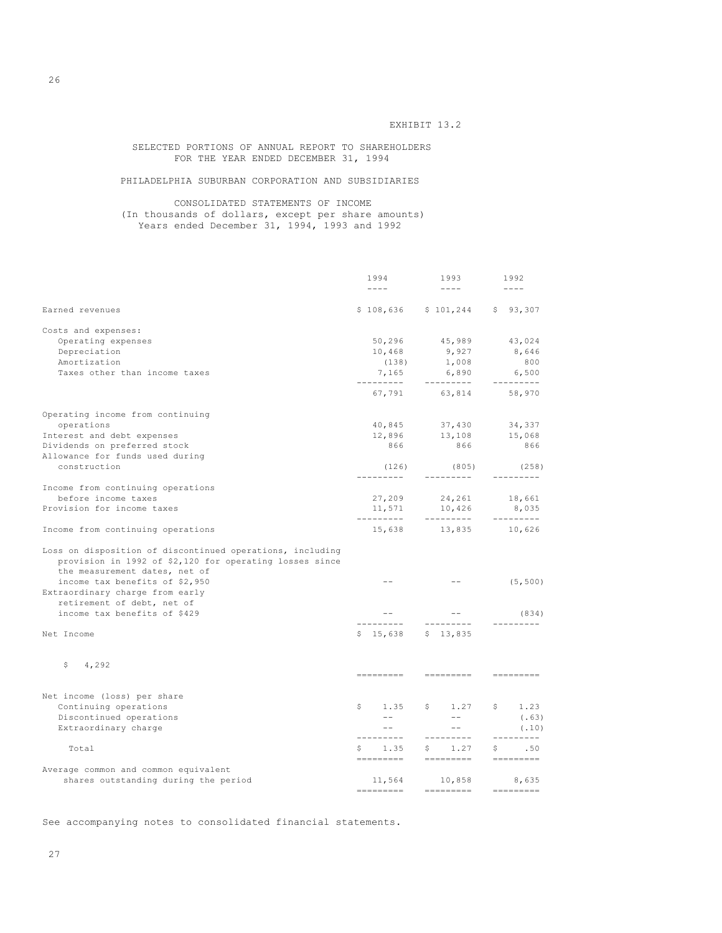EXHIBIT 13.2

SELECTED PORTIONS OF ANNUAL REPORT TO SHAREHOLDERS FOR THE YEAR ENDED DECEMBER 31, 1994

PHILADELPHIA SUBURBAN CORPORATION AND SUBSIDIARIES

CONSOLIDATED STATEMENTS OF INCOME (In thousands of dollars, except per share amounts) Years ended December 31, 1994, 1993 and 1992

|                                                                                                                                                                                                                            |    | 1994                       | 1993                         | 1992                                                                                                             |
|----------------------------------------------------------------------------------------------------------------------------------------------------------------------------------------------------------------------------|----|----------------------------|------------------------------|------------------------------------------------------------------------------------------------------------------|
|                                                                                                                                                                                                                            |    | $\frac{1}{2}$              | $- - - -$                    | $\frac{1}{2}$                                                                                                    |
| Earned revenues                                                                                                                                                                                                            |    |                            | \$108,636 \$101,244 \$93,307 |                                                                                                                  |
| Costs and expenses:                                                                                                                                                                                                        |    |                            |                              |                                                                                                                  |
| Operating expenses                                                                                                                                                                                                         |    |                            | 50,296 45,989 43,024         |                                                                                                                  |
| Depreciation                                                                                                                                                                                                               |    | 10,468                     | 9,927                        | 8,646                                                                                                            |
| Amortization                                                                                                                                                                                                               |    | (138)                      | 1,008                        | 800                                                                                                              |
| Taxes other than income taxes                                                                                                                                                                                              |    | 7,165                      | 6,890                        | 6,500                                                                                                            |
|                                                                                                                                                                                                                            |    |                            | 67,791 63,814 58,970         | ----------                                                                                                       |
| Operating income from continuing                                                                                                                                                                                           |    |                            |                              |                                                                                                                  |
| operations                                                                                                                                                                                                                 |    |                            | 40,845 37,430                | 34,337                                                                                                           |
| Interest and debt expenses                                                                                                                                                                                                 |    |                            | 12,896 13,108                | 15,068                                                                                                           |
| Dividends on preferred stock                                                                                                                                                                                               |    | 866                        | 866                          | 866                                                                                                              |
| Allowance for funds used during                                                                                                                                                                                            |    |                            |                              |                                                                                                                  |
| construction                                                                                                                                                                                                               |    | (126)                      | (805)                        | (258)                                                                                                            |
| Income from continuing operations                                                                                                                                                                                          |    | ---------                  | ----------                   | ---------                                                                                                        |
| before income taxes                                                                                                                                                                                                        |    |                            | $27,209$ $24,261$ $18,661$   |                                                                                                                  |
| Provision for income taxes                                                                                                                                                                                                 |    | 11,571                     | 10,426                       | 8,035                                                                                                            |
| Income from continuing operations                                                                                                                                                                                          |    | 15,638                     | 13,835                       | __________<br>10,626                                                                                             |
| Loss on disposition of discontinued operations, including<br>provision in 1992 of \$2,120 for operating losses since<br>the measurement dates, net of<br>income tax benefits of \$2,950<br>Extraordinary charge from early |    | $- -$                      | $- -$                        | (5, 500)                                                                                                         |
| retirement of debt, net of                                                                                                                                                                                                 |    |                            |                              |                                                                                                                  |
| income tax benefits of \$429                                                                                                                                                                                               |    | $\sim$ $-$<br>------------ | $  \,$<br>---------          | (834)<br>---------                                                                                               |
| Net Income                                                                                                                                                                                                                 |    | $$15,638$ $$13,835$        |                              |                                                                                                                  |
| 4,292<br>\$                                                                                                                                                                                                                |    |                            |                              |                                                                                                                  |
|                                                                                                                                                                                                                            |    | =========                  | =========                    | =========                                                                                                        |
| Net income (loss) per share                                                                                                                                                                                                |    |                            |                              |                                                                                                                  |
| Continuing operations                                                                                                                                                                                                      | S. | 1.35                       | \$1.27                       | \$1.23                                                                                                           |
| Discontinued operations                                                                                                                                                                                                    |    | $  \,$                     | $  \,$                       | (.63)                                                                                                            |
| Extraordinary charge                                                                                                                                                                                                       |    | $ -$                       | $ -$                         | (.10)                                                                                                            |
| Total                                                                                                                                                                                                                      |    | ----------<br>$S = 1.35$   | ----------<br>\$1.27         | ---------<br>\$ .50                                                                                              |
|                                                                                                                                                                                                                            |    | =========                  | __________                   | $\qquad \qquad \displaystyle =\qquad \qquad =\qquad \qquad =\qquad \qquad =\qquad \qquad =\qquad \qquad$         |
| Average common and common equivalent                                                                                                                                                                                       |    |                            |                              |                                                                                                                  |
| shares outstanding during the period                                                                                                                                                                                       |    | 11,564<br>=========        | 10,858<br>$=$ =========      | 8,635<br>$\qquad \qquad \displaystyle =\qquad \qquad =\qquad \qquad \displaystyle =\qquad \qquad =\qquad \qquad$ |

See accompanying notes to consolidated financial statements.

26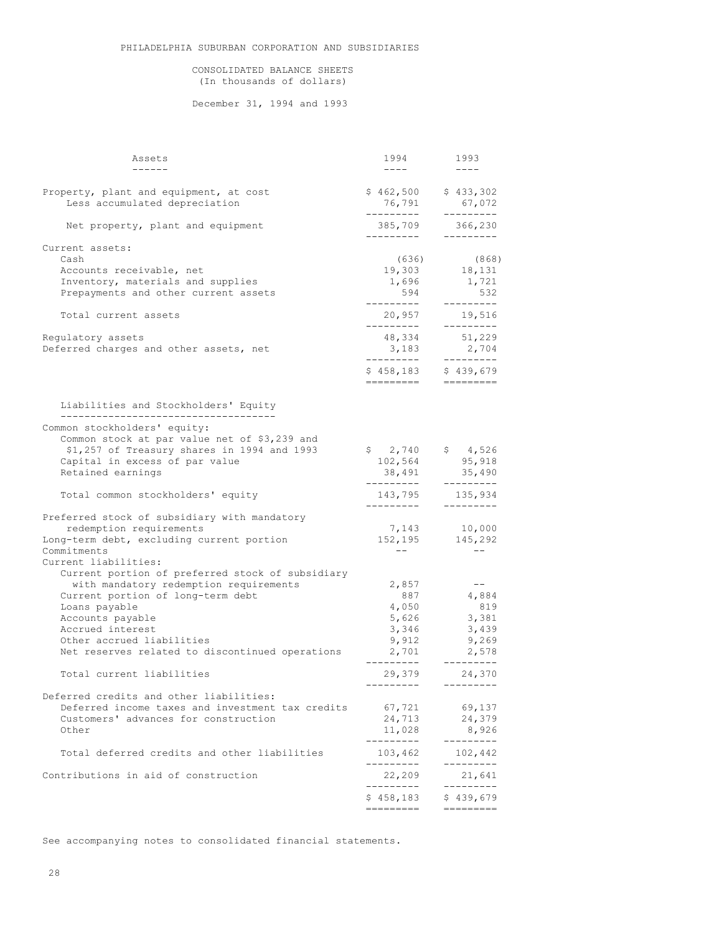# CONSOLIDATED BALANCE SHEETS (In thousands of dollars)

December 31, 1994 and 1993

| Assets                                                                                      | 1994                                         | 1993                                      |
|---------------------------------------------------------------------------------------------|----------------------------------------------|-------------------------------------------|
| $\frac{1}{2}$                                                                               | $\frac{1}{2}$                                | $- - - -$                                 |
| Property, plant and equipment, at cost<br>Less accumulated depreciation                     | $$462,500$ $$433,302$<br>76,791<br>--------- | 67,072<br>---------                       |
| Net property, plant and equipment                                                           | 385,709<br>----------                        | 366,230<br>----------                     |
| Current assets:<br>Cash                                                                     | (636)                                        | (868)                                     |
| Accounts receivable, net                                                                    | 19,303                                       | 18,131                                    |
| Inventory, materials and supplies                                                           | 1,696                                        | 1,721                                     |
| Prepayments and other current assets                                                        | 594<br>----------                            | 532<br>---------                          |
| Total current assets                                                                        | 20,957<br>----------                         | 19,516<br>---------                       |
| Regulatory assets                                                                           | 48,334                                       | 51,229                                    |
| Deferred charges and other assets, net                                                      | 3,183<br>---------                           | 2,704<br>---------                        |
|                                                                                             | \$458,183<br>=========                       | \$439,679                                 |
|                                                                                             |                                              |                                           |
| Liabilities and Stockholders' Equity                                                        |                                              |                                           |
| Common stockholders' equity:                                                                |                                              |                                           |
| Common stock at par value net of \$3,239 and<br>\$1,257 of Treasury shares in 1994 and 1993 | \$2,740                                      | \$4,526                                   |
| Capital in excess of par value                                                              | 102,564                                      | 95,918                                    |
| Retained earnings                                                                           | 38,491                                       | 35,490                                    |
| Total common stockholders' equity                                                           | ---------<br>----------                      | ---------<br>143,795 135,934<br>--------- |
| Preferred stock of subsidiary with mandatory                                                |                                              |                                           |
| redemption requirements                                                                     | 7,143                                        | 10,000                                    |
| Long-term debt, excluding current portion                                                   | 152,195<br>$  \,$                            | 145,292                                   |
| Commitments<br>Current liabilities:                                                         |                                              | $ -$                                      |
| Current portion of preferred stock of subsidiary                                            |                                              |                                           |
| with mandatory redemption requirements                                                      | 2,857                                        | $- -$                                     |
| Current portion of long-term debt<br>Loans payable                                          | 887<br>4,050                                 | 4,884<br>819                              |
| Accounts payable                                                                            | 5,626                                        | 3,381                                     |
| Accrued interest                                                                            | 3,346                                        | 3,439                                     |
| Other accrued liabilities                                                                   | 9,912                                        | 9,269                                     |
| Net reserves related to discontinued operations                                             | 2,701<br>---------                           | 2,578<br>---------                        |
| Total current liabilities                                                                   | 29,379                                       | 24,370                                    |
| Deferred credits and other liabilities:                                                     |                                              |                                           |
| Deferred income taxes and investment tax credits                                            | 67,721                                       | 69,137                                    |
| Customers' advances for construction<br>Other                                               | 24,713<br>11,028                             | 24,379<br>8,926                           |
|                                                                                             | ---------                                    | ---------                                 |
| Total deferred credits and other liabilities                                                | 103,462<br>---------                         | 102,442<br>---------                      |
| Contributions in aid of construction                                                        | 22,209<br>---------                          | 21,641                                    |
|                                                                                             | \$458,183                                    | \$439,679                                 |
|                                                                                             | =======                                      |                                           |

See accompanying notes to consolidated financial statements.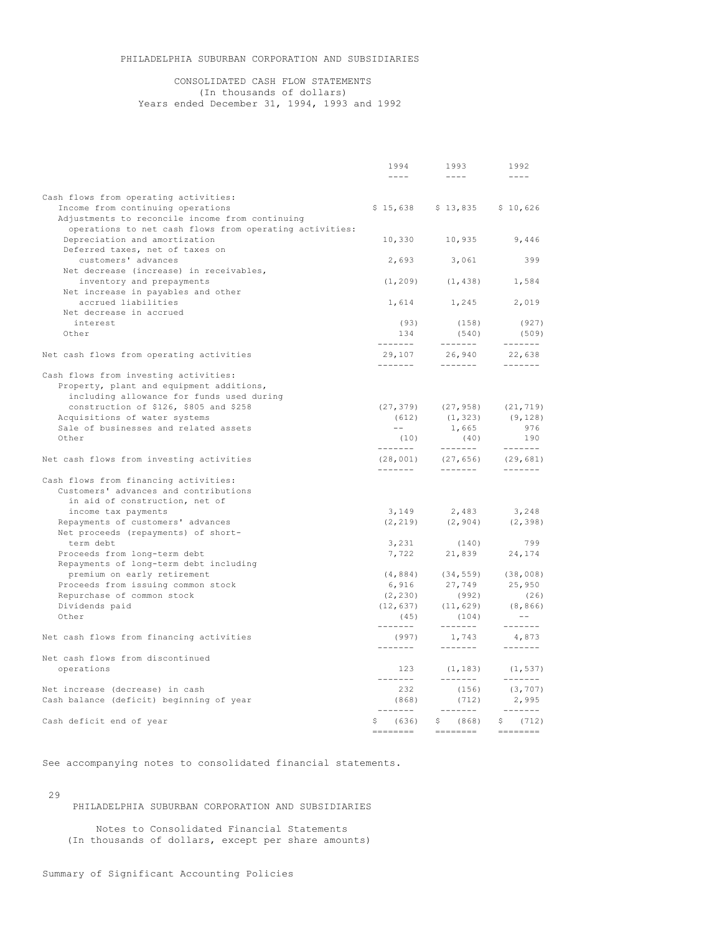# PHILADELPHIA SUBURBAN CORPORATION AND SUBSIDIARIES

# CONSOLIDATED CASH FLOW STATEMENTS (In thousands of dollars) Years ended December 31, 1994, 1993 and 1992

|                                                           | 1994                                              | 1993                                | 1992                                                                                                                                                                                                                                                                                                                                                                                                                                                                                   |
|-----------------------------------------------------------|---------------------------------------------------|-------------------------------------|----------------------------------------------------------------------------------------------------------------------------------------------------------------------------------------------------------------------------------------------------------------------------------------------------------------------------------------------------------------------------------------------------------------------------------------------------------------------------------------|
|                                                           | $\omega = \omega =$                               | $\omega = \omega =$                 | $\sim$ $\sim$ $\sim$ $\sim$                                                                                                                                                                                                                                                                                                                                                                                                                                                            |
| Cash flows from operating activities:                     |                                                   |                                     |                                                                                                                                                                                                                                                                                                                                                                                                                                                                                        |
| Income from continuing operations                         |                                                   | \$15,638 \$13,835 \$10,626          |                                                                                                                                                                                                                                                                                                                                                                                                                                                                                        |
| Adjustments to reconcile income from continuing           |                                                   |                                     |                                                                                                                                                                                                                                                                                                                                                                                                                                                                                        |
| operations to net cash flows from operating activities:   |                                                   |                                     |                                                                                                                                                                                                                                                                                                                                                                                                                                                                                        |
| Depreciation and amortization                             |                                                   | 10,330 10,935                       | 9,446                                                                                                                                                                                                                                                                                                                                                                                                                                                                                  |
| Deferred taxes, net of taxes on                           |                                                   |                                     |                                                                                                                                                                                                                                                                                                                                                                                                                                                                                        |
| customers' advances                                       | 2,693                                             | 3,061                               | 399                                                                                                                                                                                                                                                                                                                                                                                                                                                                                    |
| Net decrease (increase) in receivables,                   |                                                   |                                     |                                                                                                                                                                                                                                                                                                                                                                                                                                                                                        |
| inventory and prepayments                                 |                                                   | $(1, 209)$ $(1, 438)$ $1, 584$      |                                                                                                                                                                                                                                                                                                                                                                                                                                                                                        |
| Net increase in payables and other<br>accrued liabilities |                                                   |                                     |                                                                                                                                                                                                                                                                                                                                                                                                                                                                                        |
| Net decrease in accrued                                   |                                                   | 1,614 1,245 2,019                   |                                                                                                                                                                                                                                                                                                                                                                                                                                                                                        |
| interest                                                  | (93)                                              | (158)                               | (927)                                                                                                                                                                                                                                                                                                                                                                                                                                                                                  |
| Other                                                     | 134                                               | (540)                               | (509)                                                                                                                                                                                                                                                                                                                                                                                                                                                                                  |
|                                                           | --------                                          | ________                            |                                                                                                                                                                                                                                                                                                                                                                                                                                                                                        |
| Net cash flows from operating activities                  |                                                   | $29,107$ $26,940$<br>------ ------  | 22,638                                                                                                                                                                                                                                                                                                                                                                                                                                                                                 |
|                                                           |                                                   |                                     |                                                                                                                                                                                                                                                                                                                                                                                                                                                                                        |
| Cash flows from investing activities:                     |                                                   |                                     |                                                                                                                                                                                                                                                                                                                                                                                                                                                                                        |
| Property, plant and equipment additions,                  |                                                   |                                     |                                                                                                                                                                                                                                                                                                                                                                                                                                                                                        |
| including allowance for funds used during                 |                                                   |                                     |                                                                                                                                                                                                                                                                                                                                                                                                                                                                                        |
| construction of \$126, \$805 and \$258                    |                                                   | $(27, 379)$ $(27, 958)$ $(21, 719)$ |                                                                                                                                                                                                                                                                                                                                                                                                                                                                                        |
| Acquisitions of water systems                             | (612)                                             | (1, 323)                            | (9, 128)                                                                                                                                                                                                                                                                                                                                                                                                                                                                               |
| Sale of businesses and related assets                     | $\frac{1}{2}$ and $\frac{1}{2}$ and $\frac{1}{2}$ | 1,665                               | 976                                                                                                                                                                                                                                                                                                                                                                                                                                                                                    |
| Other                                                     |                                                   | (40)                                | 190<br>$\sim$ -------                                                                                                                                                                                                                                                                                                                                                                                                                                                                  |
|                                                           | --------                                          |                                     |                                                                                                                                                                                                                                                                                                                                                                                                                                                                                        |
| Net cash flows from investing activities                  | --------                                          | $(28,001)$ $(27,656)$ $(29,681)$    |                                                                                                                                                                                                                                                                                                                                                                                                                                                                                        |
| Cash flows from financing activities:                     |                                                   |                                     |                                                                                                                                                                                                                                                                                                                                                                                                                                                                                        |
| Customers' advances and contributions                     |                                                   |                                     |                                                                                                                                                                                                                                                                                                                                                                                                                                                                                        |
| in aid of construction, net of                            |                                                   |                                     |                                                                                                                                                                                                                                                                                                                                                                                                                                                                                        |
| income tax payments                                       |                                                   | 3, 149 2, 483 3, 248                |                                                                                                                                                                                                                                                                                                                                                                                                                                                                                        |
| Repayments of customers' advances                         |                                                   | $(2, 219)$ $(2, 904)$ $(2, 398)$    |                                                                                                                                                                                                                                                                                                                                                                                                                                                                                        |
| Net proceeds (repayments) of short-                       |                                                   |                                     |                                                                                                                                                                                                                                                                                                                                                                                                                                                                                        |
| term debt                                                 | 3,231                                             | (140)                               | 799                                                                                                                                                                                                                                                                                                                                                                                                                                                                                    |
| Proceeds from long-term debt                              |                                                   | 7,722 21,839 24,174                 |                                                                                                                                                                                                                                                                                                                                                                                                                                                                                        |
| Repayments of long-term debt including                    |                                                   |                                     |                                                                                                                                                                                                                                                                                                                                                                                                                                                                                        |
| premium on early retirement                               |                                                   | $(4, 884)$ $(34, 559)$ $(38, 008)$  |                                                                                                                                                                                                                                                                                                                                                                                                                                                                                        |
| Proceeds from issuing common stock                        |                                                   | 6,916 27,749                        | 25,950                                                                                                                                                                                                                                                                                                                                                                                                                                                                                 |
| Repurchase of common stock                                | (2, 230)                                          | (992)<br>$(12, 637)$ $(11, 629)$    | (26)                                                                                                                                                                                                                                                                                                                                                                                                                                                                                   |
| Dividends paid<br>Other                                   | (45)                                              | (104)                               | (8, 866)<br>$\sim$ $ -$                                                                                                                                                                                                                                                                                                                                                                                                                                                                |
|                                                           | --------                                          | --------                            |                                                                                                                                                                                                                                                                                                                                                                                                                                                                                        |
| Net cash flows from financing activities                  | (997)                                             | 1,743                               | 4,873                                                                                                                                                                                                                                                                                                                                                                                                                                                                                  |
|                                                           | --------                                          | -------                             |                                                                                                                                                                                                                                                                                                                                                                                                                                                                                        |
| Net cash flows from discontinued                          |                                                   |                                     |                                                                                                                                                                                                                                                                                                                                                                                                                                                                                        |
| operations                                                | 123                                               |                                     | $(1, 183)$ $(1, 537)$                                                                                                                                                                                                                                                                                                                                                                                                                                                                  |
|                                                           | --------                                          | --------                            |                                                                                                                                                                                                                                                                                                                                                                                                                                                                                        |
| Net increase (decrease) in cash                           | 232                                               | (156)                               | (3, 707)                                                                                                                                                                                                                                                                                                                                                                                                                                                                               |
| Cash balance (deficit) beginning of year                  | (868)                                             | (712)                               | 2,995                                                                                                                                                                                                                                                                                                                                                                                                                                                                                  |
|                                                           | --------                                          |                                     | $\begin{array}{cccccccccc} \multicolumn{2}{c}{} & \multicolumn{2}{c}{} & \multicolumn{2}{c}{} & \multicolumn{2}{c}{} & \multicolumn{2}{c}{} & \multicolumn{2}{c}{} & \multicolumn{2}{c}{} & \multicolumn{2}{c}{} & \multicolumn{2}{c}{} & \multicolumn{2}{c}{} & \multicolumn{2}{c}{} & \multicolumn{2}{c}{} & \multicolumn{2}{c}{} & \multicolumn{2}{c}{} & \multicolumn{2}{c}{} & \multicolumn{2}{c}{} & \multicolumn{2}{c}{} & \multicolumn{2}{c}{} & \multicolumn{2}{c}{} & \mult$ |
| Cash deficit end of year                                  | \$ (636)                                          | \$ (868)                            | \$ (712)                                                                                                                                                                                                                                                                                                                                                                                                                                                                               |
|                                                           |                                                   |                                     |                                                                                                                                                                                                                                                                                                                                                                                                                                                                                        |

See accompanying notes to consolidated financial statements.

29

PHILADELPHIA SUBURBAN CORPORATION AND SUBSIDIARIES

Notes to Consolidated Financial Statements (In thousands of dollars, except per share amounts)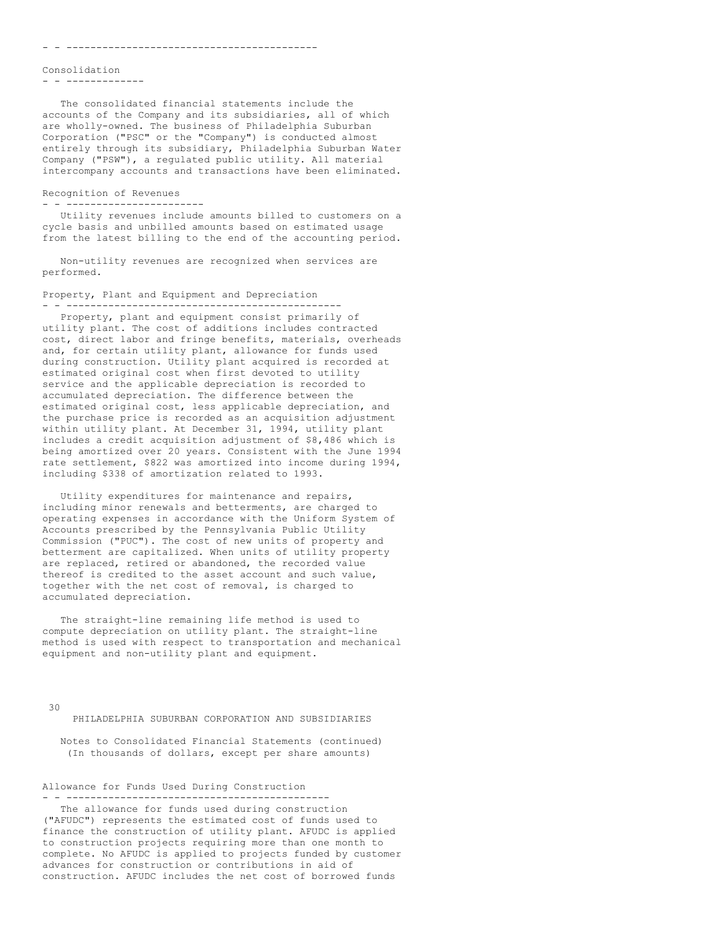Consolidation

- - -------------

The consolidated financial statements include the accounts of the Company and its subsidiaries, all of which are wholly-owned. The business of Philadelphia Suburban Corporation ("PSC" or the "Company") is conducted almost entirely through its subsidiary, Philadelphia Suburban Water Company ("PSW"), a regulated public utility. All material intercompany accounts and transactions have been eliminated.

## Recognition of Revenues

- - -----------------------

Utility revenues include amounts billed to customers on a cycle basis and unbilled amounts based on estimated usage from the latest billing to the end of the accounting period.

Non-utility revenues are recognized when services are performed.

### Property, Plant and Equipment and Depreciation - - ----------------------------------------------

Property, plant and equipment consist primarily of utility plant. The cost of additions includes contracted cost, direct labor and fringe benefits, materials, overheads and, for certain utility plant, allowance for funds used during construction. Utility plant acquired is recorded at estimated original cost when first devoted to utility service and the applicable depreciation is recorded to accumulated depreciation. The difference between the estimated original cost, less applicable depreciation, and the purchase price is recorded as an acquisition adjustment within utility plant. At December 31, 1994, utility plant includes a credit acquisition adjustment of \$8,486 which is being amortized over 20 years. Consistent with the June 1994 rate settlement, \$822 was amortized into income during 1994, including \$338 of amortization related to 1993.

Utility expenditures for maintenance and repairs, including minor renewals and betterments, are charged to operating expenses in accordance with the Uniform System of Accounts prescribed by the Pennsylvania Public Utility Commission ("PUC"). The cost of new units of property and betterment are capitalized. When units of utility property are replaced, retired or abandoned, the recorded value thereof is credited to the asset account and such value, together with the net cost of removal, is charged to accumulated depreciation.

The straight-line remaining life method is used to compute depreciation on utility plant. The straight-line method is used with respect to transportation and mechanical equipment and non-utility plant and equipment.

30

PHILADELPHIA SUBURBAN CORPORATION AND SUBSIDIARIES

Notes to Consolidated Financial Statements (continued) (In thousands of dollars, except per share amounts)

Allowance for Funds Used During Construction

- - --------------------------------------------

The allowance for funds used during construction ("AFUDC") represents the estimated cost of funds used to finance the construction of utility plant. AFUDC is applied to construction projects requiring more than one month to complete. No AFUDC is applied to projects funded by customer advances for construction or contributions in aid of construction. AFUDC includes the net cost of borrowed funds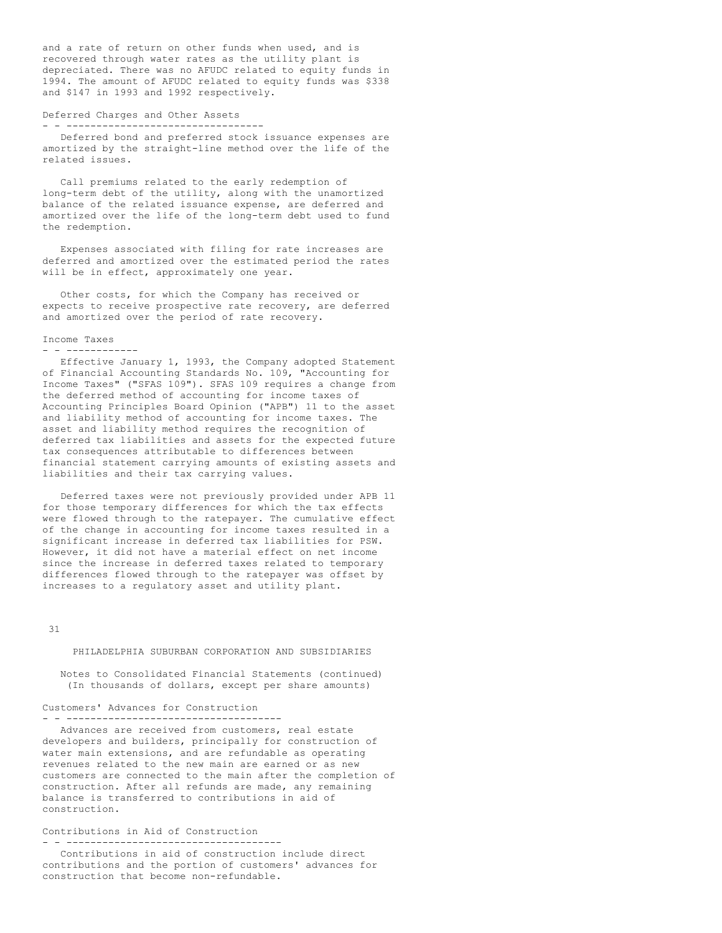and a rate of return on other funds when used, and is recovered through water rates as the utility plant is depreciated. There was no AFUDC related to equity funds in 1994. The amount of AFUDC related to equity funds was \$338 and \$147 in 1993 and 1992 respectively.

#### Deferred Charges and Other Assets - - ---------------------------------

Deferred bond and preferred stock issuance expenses are amortized by the straight-line method over the life of the related issues.

Call premiums related to the early redemption of long-term debt of the utility, along with the unamortized balance of the related issuance expense, are deferred and amortized over the life of the long-term debt used to fund the redemption.

Expenses associated with filing for rate increases are deferred and amortized over the estimated period the rates will be in effect, approximately one year.

Other costs, for which the Company has received or expects to receive prospective rate recovery, are deferred and amortized over the period of rate recovery.

#### Income Taxes

- - ------------

Effective January 1, 1993, the Company adopted Statement of Financial Accounting Standards No. 109, "Accounting for Income Taxes" ("SFAS 109"). SFAS 109 requires a change from the deferred method of accounting for income taxes of Accounting Principles Board Opinion ("APB") 11 to the asset and liability method of accounting for income taxes. The asset and liability method requires the recognition of deferred tax liabilities and assets for the expected future tax consequences attributable to differences between financial statement carrying amounts of existing assets and liabilities and their tax carrying values.

Deferred taxes were not previously provided under APB 11 for those temporary differences for which the tax effects were flowed through to the ratepayer. The cumulative effect of the change in accounting for income taxes resulted in a significant increase in deferred tax liabilities for PSW. However, it did not have a material effect on net income since the increase in deferred taxes related to temporary differences flowed through to the ratepayer was offset by increases to a regulatory asset and utility plant.

31

### PHILADELPHIA SUBURBAN CORPORATION AND SUBSIDIARIES

Notes to Consolidated Financial Statements (continued) (In thousands of dollars, except per share amounts)

Customers' Advances for Construction - - ------------------------------------

Advances are received from customers, real estate developers and builders, principally for construction of water main extensions, and are refundable as operating revenues related to the new main are earned or as new customers are connected to the main after the completion of construction. After all refunds are made, any remaining balance is transferred to contributions in aid of construction.

Contributions in Aid of Construction - - ------------------------------------

Contributions in aid of construction include direct contributions and the portion of customers' advances for construction that become non-refundable.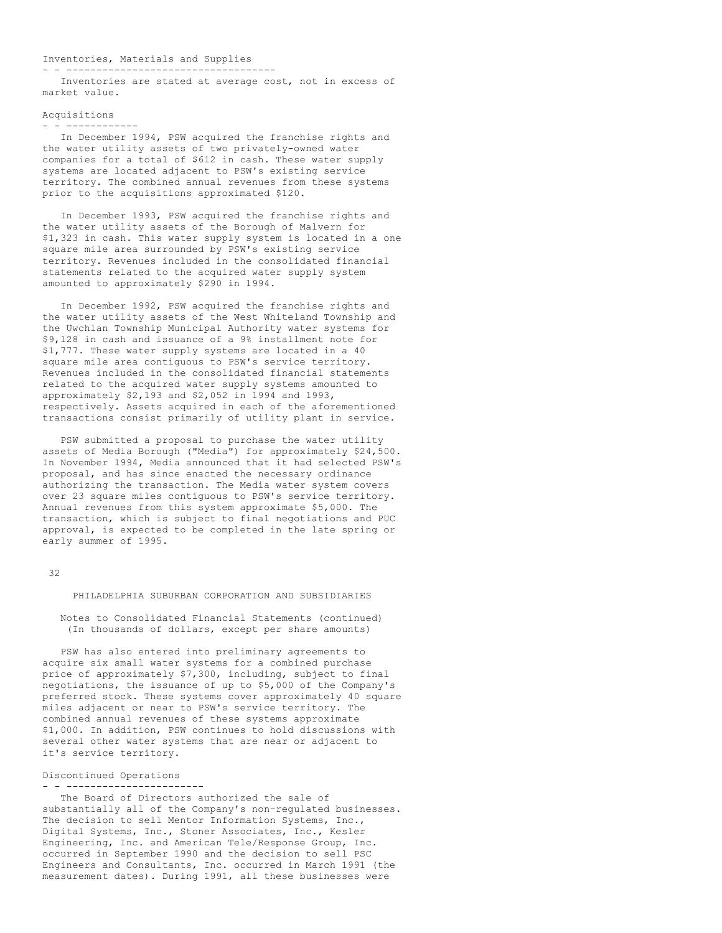### Inventories, Materials and Supplies

. <u>- ---------------------------------</u>---

Inventories are stated at average cost, not in excess of market value.

### Acquisitions - - ------------

In December 1994, PSW acquired the franchise rights and the water utility assets of two privately-owned water companies for a total of \$612 in cash. These water supply systems are located adjacent to PSW's existing service territory. The combined annual revenues from these systems prior to the acquisitions approximated \$120.

In December 1993, PSW acquired the franchise rights and the water utility assets of the Borough of Malvern for \$1,323 in cash. This water supply system is located in a one square mile area surrounded by PSW's existing service territory. Revenues included in the consolidated financial statements related to the acquired water supply system amounted to approximately \$290 in 1994.

In December 1992, PSW acquired the franchise rights and the water utility assets of the West Whiteland Township and the Uwchlan Township Municipal Authority water systems for \$9,128 in cash and issuance of a 9% installment note for \$1,777. These water supply systems are located in a 40 square mile area contiguous to PSW's service territory. Revenues included in the consolidated financial statements related to the acquired water supply systems amounted to approximately \$2,193 and \$2,052 in 1994 and 1993, respectively. Assets acquired in each of the aforementioned transactions consist primarily of utility plant in service.

PSW submitted a proposal to purchase the water utility assets of Media Borough ("Media") for approximately \$24,500. In November 1994, Media announced that it had selected PSW's proposal, and has since enacted the necessary ordinance authorizing the transaction. The Media water system covers over 23 square miles contiguous to PSW's service territory. Annual revenues from this system approximate \$5,000. The transaction, which is subject to final negotiations and PUC approval, is expected to be completed in the late spring or early summer of 1995.

### 32

## PHILADELPHIA SUBURBAN CORPORATION AND SUBSIDIARIES

Notes to Consolidated Financial Statements (continued) (In thousands of dollars, except per share amounts)

PSW has also entered into preliminary agreements to acquire six small water systems for a combined purchase price of approximately \$7,300, including, subject to final negotiations, the issuance of up to \$5,000 of the Company's preferred stock. These systems cover approximately 40 square miles adjacent or near to PSW's service territory. The combined annual revenues of these systems approximate \$1,000. In addition, PSW continues to hold discussions with several other water systems that are near or adjacent to it's service territory.

## Discontinued Operations - - -----------------------

The Board of Directors authorized the sale of substantially all of the Company's non-regulated businesses. The decision to sell Mentor Information Systems, Inc., Digital Systems, Inc., Stoner Associates, Inc., Kesler Engineering, Inc. and American Tele/Response Group, Inc. occurred in September 1990 and the decision to sell PSC Engineers and Consultants, Inc. occurred in March 1991 (the measurement dates). During 1991, all these businesses were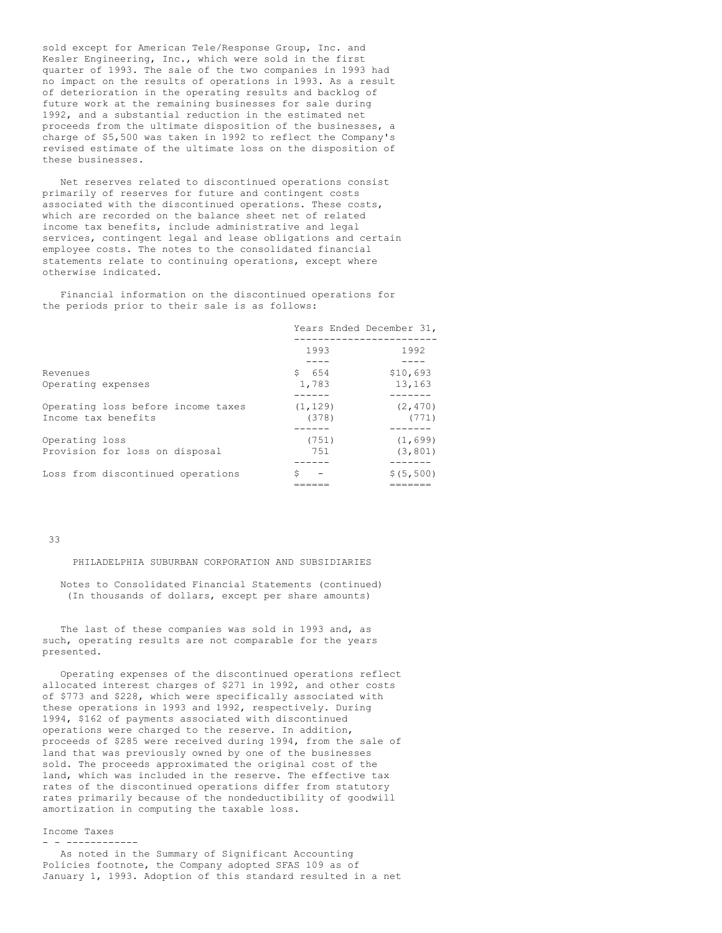sold except for American Tele/Response Group, Inc. and Kesler Engineering, Inc., which were sold in the first quarter of 1993. The sale of the two companies in 1993 had no impact on the results of operations in 1993. As a result of deterioration in the operating results and backlog of future work at the remaining businesses for sale during 1992, and a substantial reduction in the estimated net proceeds from the ultimate disposition of the businesses, a charge of \$5,500 was taken in 1992 to reflect the Company's revised estimate of the ultimate loss on the disposition of these businesses.

Net reserves related to discontinued operations consist primarily of reserves for future and contingent costs associated with the discontinued operations. These costs, which are recorded on the balance sheet net of related income tax benefits, include administrative and legal services, contingent legal and lease obligations and certain employee costs. The notes to the consolidated financial statements relate to continuing operations, except where otherwise indicated.

Financial information on the discontinued operations for the periods prior to their sale is as follows:

|                                                           | Years Ended December 31, |                               |
|-----------------------------------------------------------|--------------------------|-------------------------------|
|                                                           | 1993                     | 1992                          |
| Revenues<br>Operating expenses                            | \$654<br>1,783           | \$10,693<br>13,163<br>------- |
| Operating loss before income taxes<br>Income tax benefits | (1, 129)<br>(378)        | (2, 470)<br>(771)             |
| Operating loss<br>Provision for loss on disposal          | (751)<br>751             | (1, 699)<br>(3, 801)          |
| Loss from discontinued operations                         | S                        | \$ (5, 500)                   |

33

PHILADELPHIA SUBURBAN CORPORATION AND SUBSIDIARIES

Notes to Consolidated Financial Statements (continued) (In thousands of dollars, except per share amounts)

The last of these companies was sold in 1993 and, as such, operating results are not comparable for the years presented.

Operating expenses of the discontinued operations reflect allocated interest charges of \$271 in 1992, and other costs of \$773 and \$228, which were specifically associated with these operations in 1993 and 1992, respectively. During 1994, \$162 of payments associated with discontinued operations were charged to the reserve. In addition, proceeds of \$285 were received during 1994, from the sale of land that was previously owned by one of the businesses sold. The proceeds approximated the original cost of the land, which was included in the reserve. The effective tax rates of the discontinued operations differ from statutory rates primarily because of the nondeductibility of goodwill amortization in computing the taxable loss.

Income Taxes

### - - ------------

As noted in the Summary of Significant Accounting Policies footnote, the Company adopted SFAS 109 as of January 1, 1993. Adoption of this standard resulted in a net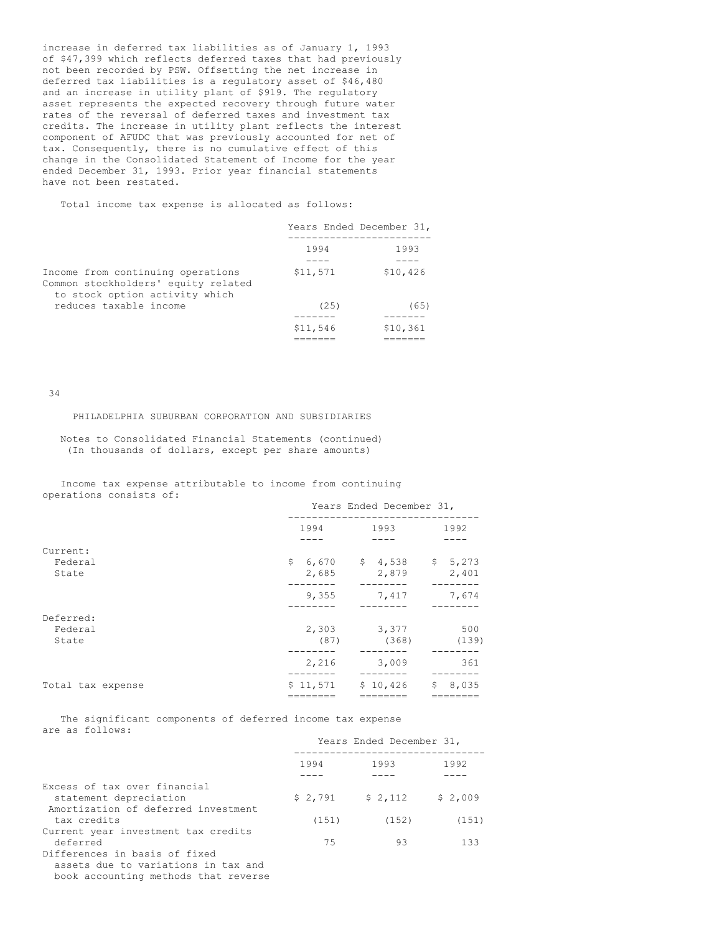increase in deferred tax liabilities as of January 1, 1993 of \$47,399 which reflects deferred taxes that had previously not been recorded by PSW. Offsetting the net increase in deferred tax liabilities is a regulatory asset of \$46,480 and an increase in utility plant of \$919. The regulatory asset represents the expected recovery through future water rates of the reversal of deferred taxes and investment tax credits. The increase in utility plant reflects the interest component of AFUDC that was previously accounted for net of tax. Consequently, there is no cumulative effect of this change in the Consolidated Statement of Income for the year ended December 31, 1993. Prior year financial statements have not been restated.

Total income tax expense is allocated as follows:

|                                                                                                            | Years Ended December 31, |          |
|------------------------------------------------------------------------------------------------------------|--------------------------|----------|
|                                                                                                            | 1994                     | 1993     |
| Income from continuing operations<br>Common stockholders' equity related<br>to stock option activity which | \$11,571                 | \$10,426 |
| reduces taxable income                                                                                     | (25)                     | (65)     |
|                                                                                                            |                          |          |
|                                                                                                            | \$11,546                 | \$10,361 |
|                                                                                                            | _______                  | -------- |

34

PHILADELPHIA SUBURBAN CORPORATION AND SUBSIDIARIES

Notes to Consolidated Financial Statements (continued) (In thousands of dollars, except per share amounts)

Income tax expense attributable to income from continuing operations consists of:

|                               | Years Ended December 31, |               |  |                                     |    |              |  |  |
|-------------------------------|--------------------------|---------------|--|-------------------------------------|----|--------------|--|--|
|                               |                          | 1994          |  | 1993                                |    | 1992         |  |  |
| Current:<br>Federal<br>State  |                          | 2,685         |  | $$6,670$ $$4,538$ $$5,273$<br>2,879 |    | 2,401        |  |  |
|                               |                          | 9,355         |  | 7,417                               |    | 7,674        |  |  |
| Deferred:<br>Federal<br>State |                          | 2,303<br>(87) |  | 3,377<br>(368)                      |    | 500<br>(139) |  |  |
|                               |                          | 2,216         |  | 3,009                               |    | 361          |  |  |
| Total tax expense             |                          | \$11,571      |  | \$10,426                            | \$ | 8,035        |  |  |

The significant components of deferred income tax expense are as follows:

|                                     | Years Ended December 31, |         |         |  |
|-------------------------------------|--------------------------|---------|---------|--|
|                                     | 1994<br>1993             |         | 1992    |  |
|                                     |                          |         |         |  |
| Excess of tax over financial        |                          |         |         |  |
| statement depreciation              | \$2,791                  | \$2,112 | \$2,009 |  |
| Amortization of deferred investment |                          |         |         |  |
| tax credits                         | (151)                    | (152)   | (151)   |  |
| Current year investment tax credits |                          |         |         |  |
| deferred                            | 75                       | 93      | 133     |  |
| Differences in basis of fixed       |                          |         |         |  |

assets due to variations in tax and book accounting methods that reverse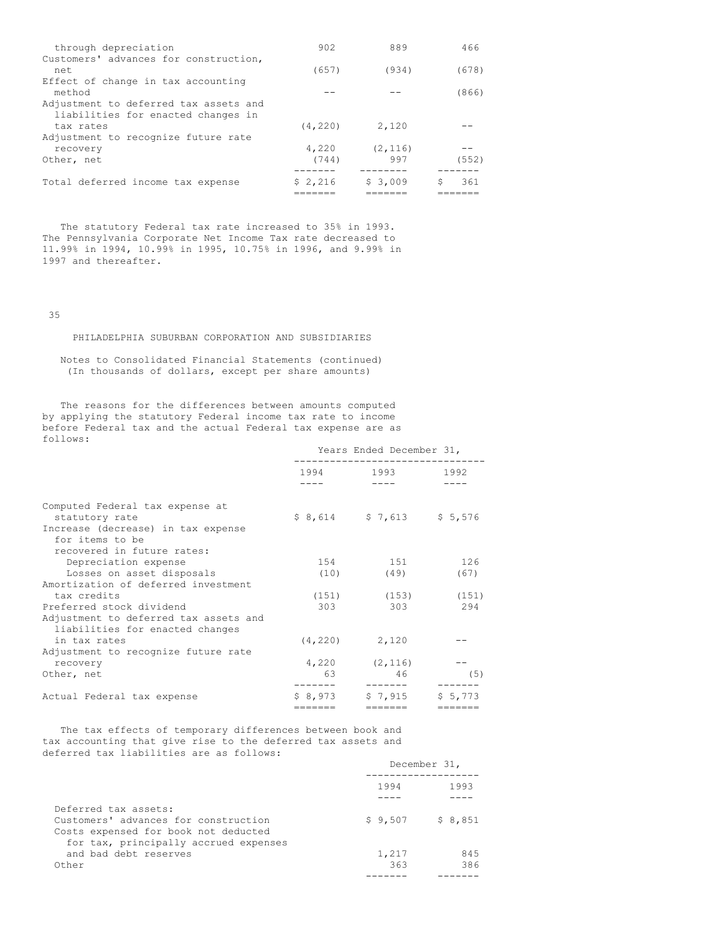| through depreciation                                                        | 902      | 889      | 466   |
|-----------------------------------------------------------------------------|----------|----------|-------|
| Customers' advances for construction,<br>net.                               | (657)    | (934)    | (678) |
| Effect of change in tax accounting<br>method                                |          |          | (866) |
| Adjustment to deferred tax assets and<br>liabilities for enacted changes in |          |          |       |
| tax rates                                                                   | (4, 220) | 2,120    |       |
| Adjustment to recognize future rate                                         |          |          |       |
| recovery                                                                    | 4,220    | (2, 116) |       |
| Other, net                                                                  | (744)    | 997      | (552) |
|                                                                             |          |          |       |
| Total deferred income tax expense                                           | \$2,216  | \$3,009  | 361   |
|                                                                             |          |          |       |

The statutory Federal tax rate increased to 35% in 1993. The Pennsylvania Corporate Net Income Tax rate decreased to 11.99% in 1994, 10.99% in 1995, 10.75% in 1996, and 9.99% in 1997 and thereafter.

35

PHILADELPHIA SUBURBAN CORPORATION AND SUBSIDIARIES

Notes to Consolidated Financial Statements (continued) (In thousands of dollars, except per share amounts)

The reasons for the differences between amounts computed by applying the statutory Federal income tax rate to income before Federal tax and the actual Federal tax expense are as follows:

|                                                                                     | Years Ended December 31,                                                                                            |                                                                                                                                                                                                                                 |                                    |  |
|-------------------------------------------------------------------------------------|---------------------------------------------------------------------------------------------------------------------|---------------------------------------------------------------------------------------------------------------------------------------------------------------------------------------------------------------------------------|------------------------------------|--|
|                                                                                     | 1994 — 1994 — 1995 — 1996 — 1996 — 1997 — 1997 — 1997 — 1997 — 1998 — 1998 — 1998 — 1998 — 1998 — 1998 — 1998 — 199 | 1993 — 1993 — 1994 — 1995 — 1995 — 1995 — 1995 — 1995 — 1995 — 1996 — 1996 — 1996 — 1996 — 1996 — 1996 — 1996 — 1996 — 1996 — 1996 — 1996 — 1996 — 1996 — 1996 — 1997 — 1998 — 1998 — 1998 — 1998 — 1998 — 1998 — 1998 — 1998 — | 1992                               |  |
|                                                                                     |                                                                                                                     |                                                                                                                                                                                                                                 |                                    |  |
| Computed Federal tax expense at<br>statutory rate                                   |                                                                                                                     | $$8,614$ $$7,613$ $$5,576$                                                                                                                                                                                                      |                                    |  |
| Increase (decrease) in tax expense<br>for items to be<br>recovered in future rates: |                                                                                                                     |                                                                                                                                                                                                                                 |                                    |  |
| Depreciation expense                                                                | 154                                                                                                                 | 151                                                                                                                                                                                                                             | 126                                |  |
| Losses on asset disposals                                                           |                                                                                                                     | $(10)$ $(49)$                                                                                                                                                                                                                   | (67)                               |  |
| Amortization of deferred investment                                                 |                                                                                                                     |                                                                                                                                                                                                                                 |                                    |  |
| tax credits                                                                         |                                                                                                                     | $(151)$ $(153)$ $(151)$                                                                                                                                                                                                         |                                    |  |
| Preferred stock dividend                                                            | 303                                                                                                                 | 303                                                                                                                                                                                                                             | 294                                |  |
| Adjustment to deferred tax assets and<br>liabilities for enacted changes            |                                                                                                                     |                                                                                                                                                                                                                                 |                                    |  |
| in tax rates                                                                        |                                                                                                                     | $(4, 220)$ 2,120                                                                                                                                                                                                                |                                    |  |
| Adjustment to recognize future rate                                                 |                                                                                                                     |                                                                                                                                                                                                                                 |                                    |  |
| recovery                                                                            |                                                                                                                     | $4,220$ $(2,116)$                                                                                                                                                                                                               |                                    |  |
| Other, net                                                                          | 63                                                                                                                  | 46<br>-------                                                                                                                                                                                                                   | (5)                                |  |
| Actual Federal tax expense                                                          | \$8,973<br>$========$                                                                                               | \$7,915<br>$=$                                                                                                                                                                                                                  | \$5,773<br>$=$ $=$ $=$ $=$ $=$ $=$ |  |

The tax effects of temporary differences between book and tax accounting that give rise to the deferred tax assets and deferred tax liabilities are as follows:

|                                                                                                                                               | December 31, |            |  |
|-----------------------------------------------------------------------------------------------------------------------------------------------|--------------|------------|--|
|                                                                                                                                               | 1994         | 1993       |  |
| Deferred tax assets:<br>Customers' advances for construction<br>Costs expensed for book not deducted<br>for tax, principally accrued expenses | \$9,507      | \$8,851    |  |
| and bad debt reserves<br>Other                                                                                                                | 1,217<br>363 | 845<br>386 |  |
|                                                                                                                                               |              |            |  |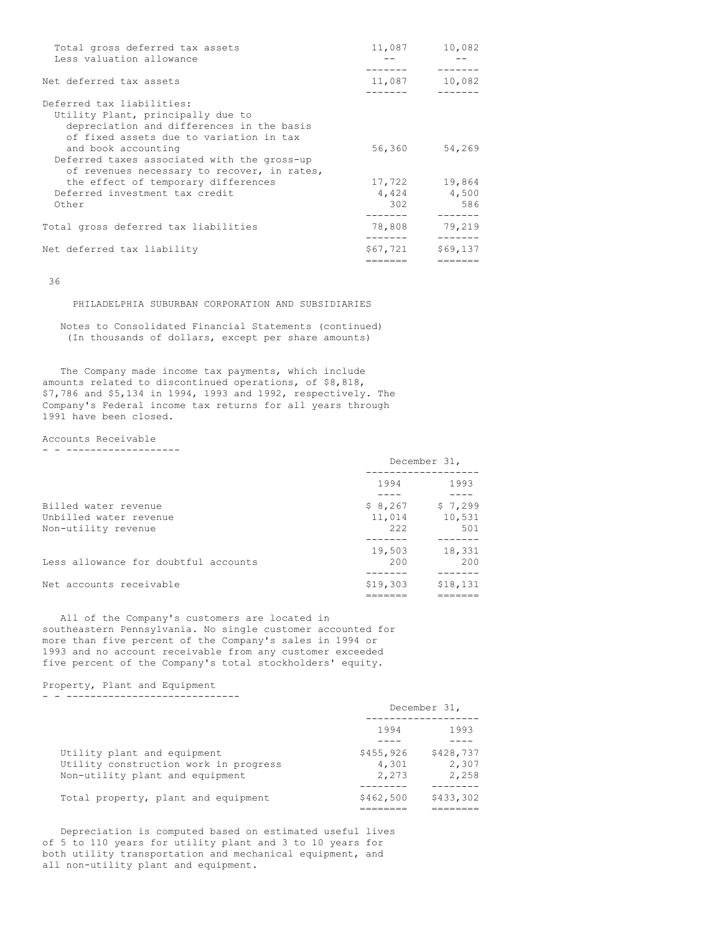| Total gross deferred tax assets<br>Less valuation allowance                                                                                            | 11,087         | 10,082                    |
|--------------------------------------------------------------------------------------------------------------------------------------------------------|----------------|---------------------------|
| Net deferred tax assets                                                                                                                                |                | 11,087 10,082             |
|                                                                                                                                                        |                |                           |
| Deferred tax liabilities:<br>Utility Plant, principally due to<br>depreciation and differences in the basis<br>of fixed assets due to variation in tax |                |                           |
| and book accounting<br>Deferred taxes associated with the gross-up<br>of revenues necessary to recover, in rates,                                      | 56,360         | 54,269                    |
| the effect of temporary differences                                                                                                                    |                | 17,722 19,864             |
| Deferred investment tax credit                                                                                                                         |                | 4,424 4,500               |
| Other                                                                                                                                                  | 302<br>------- | 586                       |
| Total gross deferred tax liabilities                                                                                                                   | 78,808         | 79,219<br>$- - - - - - -$ |
| Net deferred tax liability                                                                                                                             | \$67,721       | \$69,137                  |
|                                                                                                                                                        |                |                           |

36

PHILADELPHIA SUBURBAN CORPORATION AND SUBSIDIARIES

Notes to Consolidated Financial Statements (continued) (In thousands of dollars, except per share amounts)

The Company made income tax payments, which include amounts related to discontinued operations, of \$8,818, \$7,786 and \$5,134 in 1994, 1993 and 1992, respectively. The Company's Federal income tax returns for all years through 1991 have been closed.

Accounts Receivable

- - -------------------

|                                                                       | December 31,               |                          |  |
|-----------------------------------------------------------------------|----------------------------|--------------------------|--|
|                                                                       | 1994                       | 1993                     |  |
| Billed water revenue<br>Unbilled water revenue<br>Non-utility revenue | \$8,267<br>11,014<br>2.2.2 | \$7,299<br>10,531<br>501 |  |
| Less allowance for doubtful accounts                                  | 19,503<br>200              | 18,331<br>200            |  |
| Net accounts receivable                                               | \$19,303                   | \$18,131                 |  |

All of the Company's customers are located in southeastern Pennsylvania. No single customer accounted for more than five percent of the Company's sales in 1994 or 1993 and no account receivable from any customer exceeded five percent of the Company's total stockholders' equity.

Property, Plant and Equipment - - -----------------------------

|                                       | December 31, |           |  |
|---------------------------------------|--------------|-----------|--|
|                                       | 1994         | 1993      |  |
|                                       |              |           |  |
| Utility plant and equipment           | \$455,926    | \$428,737 |  |
| Utility construction work in progress | 4,301        | 2,307     |  |
| Non-utility plant and equipment       | 2,273        | 2,258     |  |
|                                       |              |           |  |
| Total property, plant and equipment   | \$462,500    | \$433,302 |  |
|                                       |              |           |  |

Depreciation is computed based on estimated useful lives of 5 to 110 years for utility plant and 3 to 10 years for both utility transportation and mechanical equipment, and all non-utility plant and equipment.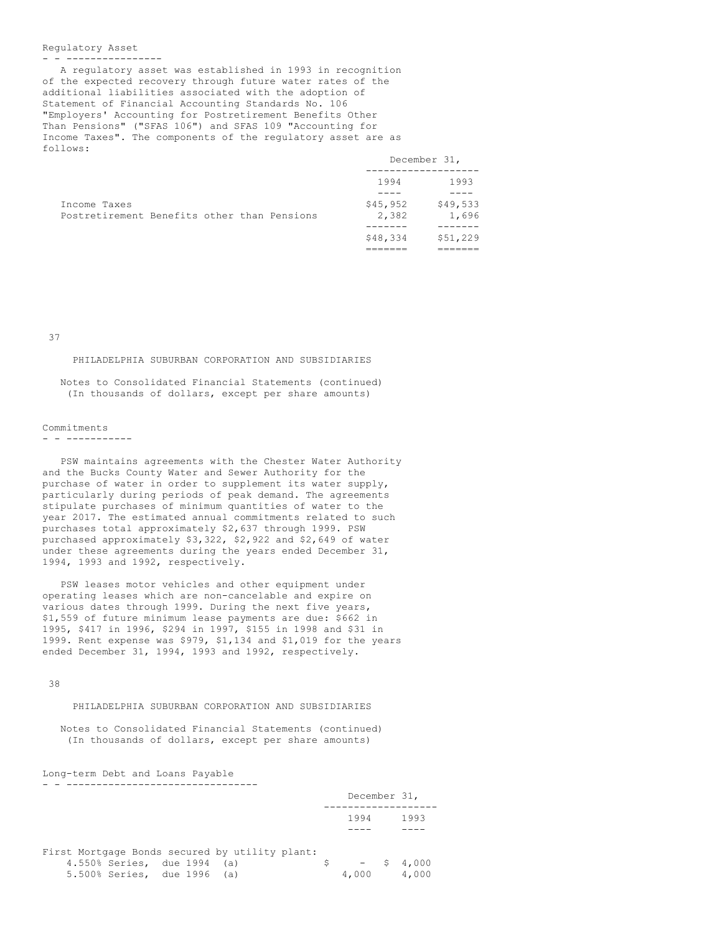### Regulatory Asset

- - ----------------

A regulatory asset was established in 1993 in recognition of the expected recovery through future water rates of the additional liabilities associated with the adoption of Statement of Financial Accounting Standards No. 106 "Employers' Accounting for Postretirement Benefits Other Than Pensions" ("SFAS 106") and SFAS 109 "Accounting for Income Taxes". The components of the regulatory asset are as follows:

|                                             |  | December 31, |          |
|---------------------------------------------|--|--------------|----------|
|                                             |  | 1994         | 1993     |
|                                             |  |              |          |
| Income Taxes                                |  | \$45,952     | \$49,533 |
| Postretirement Benefits other than Pensions |  | 2,382        | 1,696    |
|                                             |  |              |          |
|                                             |  | \$48,334     | \$51,229 |
|                                             |  |              |          |

37

### PHILADELPHIA SUBURBAN CORPORATION AND SUBSIDIARIES

Notes to Consolidated Financial Statements (continued) (In thousands of dollars, except per share amounts)

### Commitments

### - - -----------

PSW maintains agreements with the Chester Water Authority and the Bucks County Water and Sewer Authority for the purchase of water in order to supplement its water supply, particularly during periods of peak demand. The agreements stipulate purchases of minimum quantities of water to the year 2017. The estimated annual commitments related to such purchases total approximately \$2,637 through 1999. PSW purchased approximately \$3,322, \$2,922 and \$2,649 of water under these agreements during the years ended December 31, 1994, 1993 and 1992, respectively.

PSW leases motor vehicles and other equipment under operating leases which are non-cancelable and expire on various dates through 1999. During the next five years, \$1,559 of future minimum lease payments are due: \$662 in 1995, \$417 in 1996, \$294 in 1997, \$155 in 1998 and \$31 in 1999. Rent expense was \$979, \$1,134 and \$1,019 for the years ended December 31, 1994, 1993 and 1992, respectively.

38

## PHILADELPHIA SUBURBAN CORPORATION AND SUBSIDIARIES

Notes to Consolidated Financial Statements (continued) (In thousands of dollars, except per share amounts)

Long-term Debt and Loans Payable - - --------------------------------

|                                                |    | December 31, |              |
|------------------------------------------------|----|--------------|--------------|
|                                                |    | 1994         | 1993         |
|                                                |    |              |              |
| First Mortgage Bonds secured by utility plant: |    |              |              |
| 4.550% Series, due 1994 (a)                    | S. |              | $-$ \$ 4,000 |
| 5.500% Series, due 1996 (a)                    |    | 4,000        | 4,000        |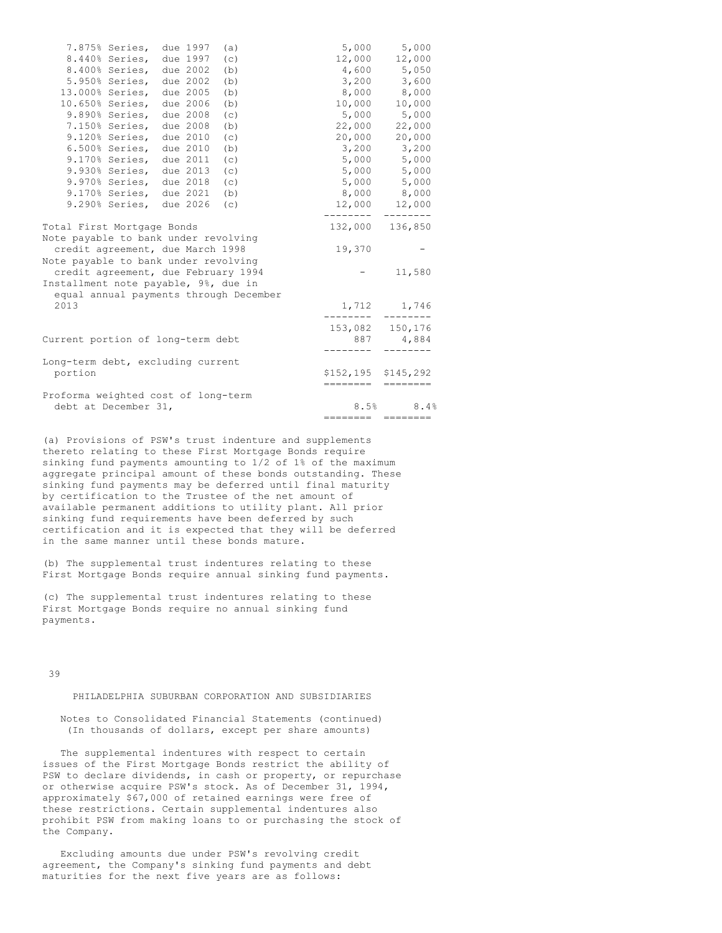| 7.875% Series,                                                                                                   | due 1997 | (a) | 5,000                                              | 5,000                       |
|------------------------------------------------------------------------------------------------------------------|----------|-----|----------------------------------------------------|-----------------------------|
| 8.440% Series,                                                                                                   | due 1997 | (c) | 12,000                                             | 12,000                      |
| 8.400% Series,                                                                                                   | due 2002 | (b) | 4,600                                              | 5,050                       |
| 5.950% Series,                                                                                                   | due 2002 | (b) | 3,200                                              | 3,600                       |
| 13.000% Series,                                                                                                  | due 2005 | (b) | 8,000                                              | 8,000                       |
| 10.650% Series,                                                                                                  | due 2006 | (b) | 10,000                                             | 10,000                      |
| 9.890% Series,                                                                                                   | due 2008 | (c) | 5,000                                              | 5,000                       |
| 7.150% Series,                                                                                                   | due 2008 | (b) | 22,000                                             | 22,000                      |
| 9.120% Series,                                                                                                   | due 2010 | (c) | 20,000                                             | 20,000                      |
| 6.500% Series,                                                                                                   | due 2010 | (b) | 3,200                                              | 3,200                       |
| 9.170% Series,                                                                                                   | due 2011 | (c) |                                                    | 5,000 5,000                 |
| 9.930% Series,                                                                                                   | due 2013 | (c) |                                                    | 5,000 5,000                 |
| $9.970%$ Series,                                                                                                 | due 2018 | (c) | 5,000                                              | 5,000                       |
| 9.170% Series,                                                                                                   | due 2021 | (b) |                                                    | 8,000 8,000                 |
| 9.290% Series,                                                                                                   | due 2026 | (c) | 12,000                                             | 12,000                      |
| Total First Mortgage Bonds                                                                                       |          |     | --------                                           | --------<br>132,000 136,850 |
| Note payable to bank under revolving<br>credit agreement, due March 1998<br>Note payable to bank under revolving |          |     | 19,370                                             |                             |
| credit agreement, due February 1994                                                                              |          |     |                                                    | 11,580                      |
| Installment note payable, 9%, due in<br>equal annual payments through December                                   |          |     |                                                    |                             |
| 2013                                                                                                             |          |     |                                                    | 1,712 1,746                 |
|                                                                                                                  |          |     |                                                    | 153,082 150,176             |
| Current portion of long-term debt                                                                                |          |     |                                                    | 887 4,884                   |
| Long-term debt, excluding current                                                                                |          |     |                                                    |                             |
| portion                                                                                                          |          |     | \$152,195 \$145,292<br>$=$ $=$ $=$ $=$ $=$ $=$ $=$ |                             |
| Proforma weighted cost of long-term                                                                              |          |     |                                                    |                             |
| debt at December 31,                                                                                             |          |     | 8.5%                                               | 8.4%                        |
|                                                                                                                  |          |     |                                                    | ===================         |

(a) Provisions of PSW's trust indenture and supplements thereto relating to these First Mortgage Bonds require sinking fund payments amounting to 1/2 of 1% of the maximum aggregate principal amount of these bonds outstanding. These sinking fund payments may be deferred until final maturity by certification to the Trustee of the net amount of available permanent additions to utility plant. All prior sinking fund requirements have been deferred by such certification and it is expected that they will be deferred in the same manner until these bonds mature.

(b) The supplemental trust indentures relating to these First Mortgage Bonds require annual sinking fund payments.

(c) The supplemental trust indentures relating to these First Mortgage Bonds require no annual sinking fund payments.

39

## PHILADELPHIA SUBURBAN CORPORATION AND SUBSIDIARIES

Notes to Consolidated Financial Statements (continued) (In thousands of dollars, except per share amounts)

The supplemental indentures with respect to certain issues of the First Mortgage Bonds restrict the ability of PSW to declare dividends, in cash or property, or repurchase or otherwise acquire PSW's stock. As of December 31, 1994, approximately \$67,000 of retained earnings were free of these restrictions. Certain supplemental indentures also prohibit PSW from making loans to or purchasing the stock of the Company.

Excluding amounts due under PSW's revolving credit agreement, the Company's sinking fund payments and debt maturities for the next five years are as follows: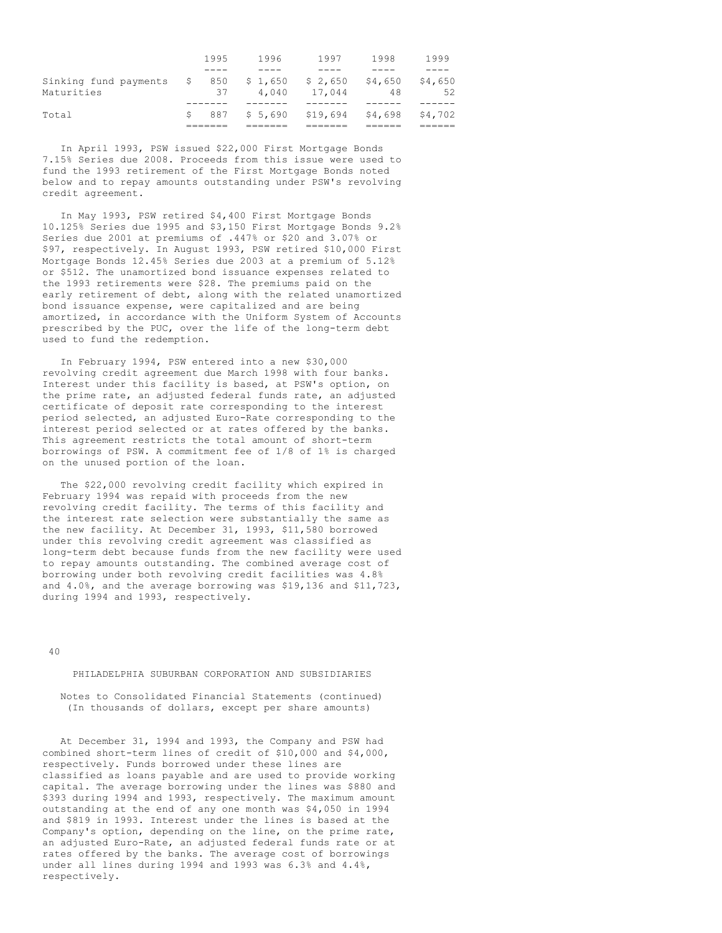|                                     |    | 1995      | 1996             | 1997              | 1998          | 1999          |
|-------------------------------------|----|-----------|------------------|-------------------|---------------|---------------|
|                                     |    |           |                  |                   |               |               |
| Sinking fund payments<br>Maturities | -S | 850<br>37 | \$1,650<br>4.040 | \$2,650<br>17.044 | \$4,650<br>48 | \$4,650<br>52 |
|                                     |    |           |                  |                   |               |               |
| Total                               | S  | 887       | \$5,690          | \$19,694          | \$4,698       | \$4,702       |
|                                     |    |           |                  |                   |               |               |

In April 1993, PSW issued \$22,000 First Mortgage Bonds 7.15% Series due 2008. Proceeds from this issue were used to fund the 1993 retirement of the First Mortgage Bonds noted below and to repay amounts outstanding under PSW's revolving credit agreement.

In May 1993, PSW retired \$4,400 First Mortgage Bonds 10.125% Series due 1995 and \$3,150 First Mortgage Bonds 9.2% Series due 2001 at premiums of .447% or \$20 and 3.07% or \$97, respectively. In August 1993, PSW retired \$10,000 First Mortgage Bonds 12.45% Series due 2003 at a premium of 5.12% or \$512. The unamortized bond issuance expenses related to the 1993 retirements were \$28. The premiums paid on the early retirement of debt, along with the related unamortized bond issuance expense, were capitalized and are being amortized, in accordance with the Uniform System of Accounts prescribed by the PUC, over the life of the long-term debt used to fund the redemption.

In February 1994, PSW entered into a new \$30,000 revolving credit agreement due March 1998 with four banks. Interest under this facility is based, at PSW's option, on the prime rate, an adjusted federal funds rate, an adjusted certificate of deposit rate corresponding to the interest period selected, an adjusted Euro-Rate corresponding to the interest period selected or at rates offered by the banks. This agreement restricts the total amount of short-term borrowings of PSW. A commitment fee of 1/8 of 1% is charged on the unused portion of the loan.

The \$22,000 revolving credit facility which expired in February 1994 was repaid with proceeds from the new revolving credit facility. The terms of this facility and the interest rate selection were substantially the same as the new facility. At December 31, 1993, \$11,580 borrowed under this revolving credit agreement was classified as long-term debt because funds from the new facility were used to repay amounts outstanding. The combined average cost of borrowing under both revolving credit facilities was 4.8% and 4.0%, and the average borrowing was \$19,136 and \$11,723, during 1994 and 1993, respectively.

 $40$ 

## PHILADELPHIA SUBURBAN CORPORATION AND SUBSIDIARIES

Notes to Consolidated Financial Statements (continued) (In thousands of dollars, except per share amounts)

At December 31, 1994 and 1993, the Company and PSW had combined short-term lines of credit of \$10,000 and \$4,000, respectively. Funds borrowed under these lines are classified as loans payable and are used to provide working capital. The average borrowing under the lines was \$880 and \$393 during 1994 and 1993, respectively. The maximum amount outstanding at the end of any one month was \$4,050 in 1994 and \$819 in 1993. Interest under the lines is based at the Company's option, depending on the line, on the prime rate, an adjusted Euro-Rate, an adjusted federal funds rate or at rates offered by the banks. The average cost of borrowings under all lines during 1994 and 1993 was 6.3% and 4.4%, respectively.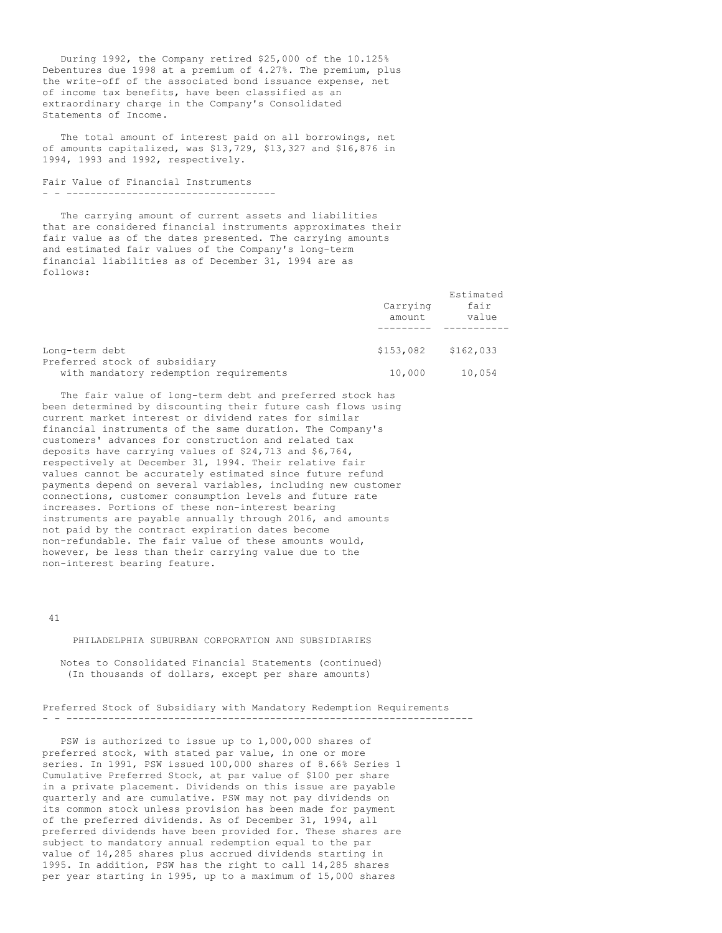During 1992, the Company retired \$25,000 of the 10.125% Debentures due 1998 at a premium of 4.27%. The premium, plus the write-off of the associated bond issuance expense, net of income tax benefits, have been classified as an extraordinary charge in the Company's Consolidated Statements of Income.

The total amount of interest paid on all borrowings, net of amounts capitalized, was \$13,729, \$13,327 and \$16,876 in 1994, 1993 and 1992, respectively.

Fair Value of Financial Instruments - - -----------------------------------

The carrying amount of current assets and liabilities that are considered financial instruments approximates their fair value as of the dates presented. The carrying amounts and estimated fair values of the Company's long-term financial liabilities as of December 31, 1994 are as follows:

|                                                                         | Carrying<br>amount | Estimated<br>fair<br>value |
|-------------------------------------------------------------------------|--------------------|----------------------------|
| Long-term debt                                                          | \$153,082          | \$162,033                  |
| Preferred stock of subsidiary<br>with mandatory redemption requirements | 10,000             | 10,054                     |

The fair value of long-term debt and preferred stock has been determined by discounting their future cash flows using current market interest or dividend rates for similar financial instruments of the same duration. The Company's customers' advances for construction and related tax deposits have carrying values of \$24,713 and \$6,764, respectively at December 31, 1994. Their relative fair values cannot be accurately estimated since future refund payments depend on several variables, including new customer connections, customer consumption levels and future rate increases. Portions of these non-interest bearing instruments are payable annually through 2016, and amounts not paid by the contract expiration dates become non-refundable. The fair value of these amounts would, however, be less than their carrying value due to the non-interest bearing feature.

#### 41

PHILADELPHIA SUBURBAN CORPORATION AND SUBSIDIARIES

Notes to Consolidated Financial Statements (continued) (In thousands of dollars, except per share amounts)

Preferred Stock of Subsidiary with Mandatory Redemption Requirements - - --------------------------------------------------------------------

PSW is authorized to issue up to 1,000,000 shares of preferred stock, with stated par value, in one or more series. In 1991, PSW issued 100,000 shares of 8.66% Series 1 Cumulative Preferred Stock, at par value of \$100 per share in a private placement. Dividends on this issue are payable quarterly and are cumulative. PSW may not pay dividends on its common stock unless provision has been made for payment of the preferred dividends. As of December 31, 1994, all preferred dividends have been provided for. These shares are subject to mandatory annual redemption equal to the par value of 14,285 shares plus accrued dividends starting in 1995. In addition, PSW has the right to call 14,285 shares per year starting in 1995, up to a maximum of 15,000 shares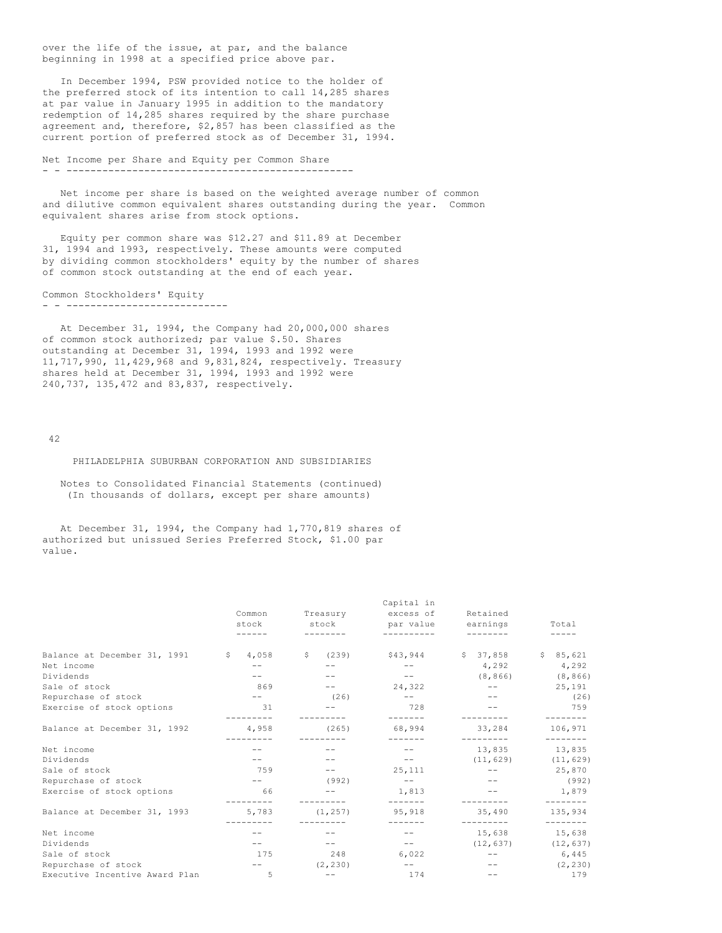over the life of the issue, at par, and the balance beginning in 1998 at a specified price above par.

In December 1994, PSW provided notice to the holder of the preferred stock of its intention to call 14,285 shares at par value in January 1995 in addition to the mandatory redemption of 14,285 shares required by the share purchase agreement and, therefore, \$2,857 has been classified as the current portion of preferred stock as of December 31, 1994.

Net Income per Share and Equity per Common Share - - ------------------------------------------------

Net income per share is based on the weighted average number of common and dilutive common equivalent shares outstanding during the year. Common equivalent shares arise from stock options.

Equity per common share was \$12.27 and \$11.89 at December 31, 1994 and 1993, respectively. These amounts were computed by dividing common stockholders' equity by the number of shares of common stock outstanding at the end of each year.

Common Stockholders' Equity - - ---------------------------

At December 31, 1994, the Company had 20,000,000 shares of common stock authorized; par value \$.50. Shares outstanding at December 31, 1994, 1993 and 1992 were 11,717,990, 11,429,968 and 9,831,824, respectively. Treasury shares held at December 31, 1994, 1993 and 1992 were 240,737, 135,472 and 83,837, respectively.

42

### PHILADELPHIA SUBURBAN CORPORATION AND SUBSIDIARIES

Notes to Consolidated Financial Statements (continued) (In thousands of dollars, except per share amounts)

At December 31, 1994, the Company had 1,770,819 shares of authorized but unissued Series Preferred Stock, \$1.00 par value.

|                                |                   |             | Capital in       |                     |                         |
|--------------------------------|-------------------|-------------|------------------|---------------------|-------------------------|
|                                | Common            | Treasury    | excess of        | Retained            |                         |
|                                | stock             | stock       | par value        | earnings            | Total                   |
|                                |                   |             |                  |                     |                         |
| Balance at December 31, 1991   | S<br>4,058        | S.<br>(239) |                  | \$43,944 \$37,858   | \$85,621                |
| Net income                     | $- -$             |             | $ -$             | 4,292               | 4,292                   |
| Dividends                      |                   |             | $- -$            | (8, 866)            | (8, 866)                |
| Sale of stock                  | 869               |             | 24,322           | $\qquad \qquad -$   | 25,191                  |
| Repurchase of stock            | $ -$              | (26)        | $ -$             |                     | (26)                    |
| Exercise of stock options      | 31                |             | 728<br>--------  |                     | 759                     |
| Balance at December 31, 1992   | 4,958             | (265)       | 68,994           | 33,284              | 106,971                 |
| Net income                     |                   |             |                  | 13,835              | 13,835                  |
| Dividends                      | $ -$              |             | $\sim$ $  -$     | (11, 629)           | (11, 629)               |
| Sale of stock                  | 759               |             | 25,111           | $ -$                | 25,870                  |
| Repurchase of stock            | $\qquad \qquad -$ | (992)       | $ -$             | $- -$               | (992)                   |
| Exercise of stock options      | 66<br>-------     |             | 1,813<br>------- |                     | 1,879<br>--------       |
| Balance at December 31, 1993   | 5,783             | (1, 257)    | 95,918           | 35,490<br>--------- | 135,934<br>--------     |
| Net income                     |                   |             | $ -$             | 15,638              | 15,638                  |
| Dividends                      |                   |             | $\sim$ $-$       |                     | $(12, 637)$ $(12, 637)$ |
| Sale of stock                  | 175               | 248         | 6,022            | $- -$               | 6,445                   |
| Repurchase of stock            | $\sim$ $ -$       | (2, 230)    | $ -$             |                     | (2, 230)                |
| Executive Incentive Award Plan | 5                 |             | 174              |                     | 179                     |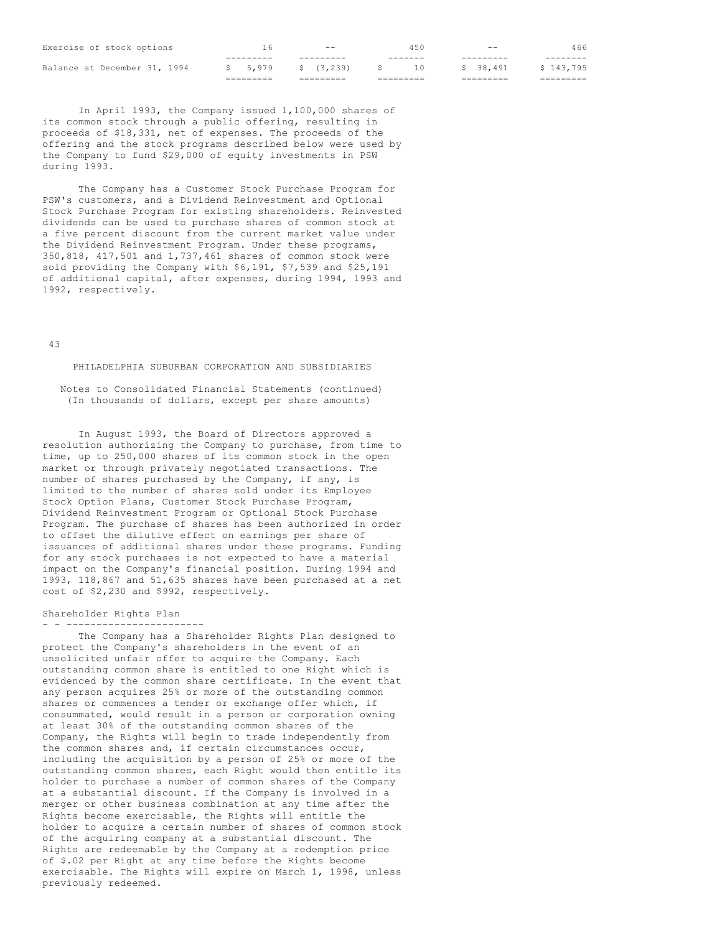| Exercise of stock options    | h                   | $- -$     | 450       | $- -$     | 466       |
|------------------------------|---------------------|-----------|-----------|-----------|-----------|
|                              | ---------           | --------- | -------   |           |           |
| Balance at December 31, 1994 | \$ 5,979            | \$(3,239) | 1 O       | \$ 38,491 | \$143,795 |
|                              | $=$ = = = = = = = = | ========= | --------- |           | =======   |

In April 1993, the Company issued 1,100,000 shares of its common stock through a public offering, resulting in proceeds of \$18,331, net of expenses. The proceeds of the offering and the stock programs described below were used by the Company to fund \$29,000 of equity investments in PSW during 1993.

The Company has a Customer Stock Purchase Program for PSW's customers, and a Dividend Reinvestment and Optional Stock Purchase Program for existing shareholders. Reinvested dividends can be used to purchase shares of common stock at a five percent discount from the current market value under the Dividend Reinvestment Program. Under these programs, 350,818, 417,501 and 1,737,461 shares of common stock were sold providing the Company with \$6,191, \$7,539 and \$25,191 of additional capital, after expenses, during 1994, 1993 and 1992, respectively.

43

## PHILADELPHIA SUBURBAN CORPORATION AND SUBSIDIARIES

Notes to Consolidated Financial Statements (continued) (In thousands of dollars, except per share amounts)

In August 1993, the Board of Directors approved a resolution authorizing the Company to purchase, from time to time, up to 250,000 shares of its common stock in the open market or through privately negotiated transactions. The number of shares purchased by the Company, if any, is limited to the number of shares sold under its Employee Stock Option Plans, Customer Stock Purchase Program, Dividend Reinvestment Program or Optional Stock Purchase Program. The purchase of shares has been authorized in order to offset the dilutive effect on earnings per share of issuances of additional shares under these programs. Funding for any stock purchases is not expected to have a material impact on the Company's financial position. During 1994 and 1993, 118,867 and 51,635 shares have been purchased at a net cost of \$2,230 and \$992, respectively.

### Shareholder Rights Plan

- - ----------------------- The Company has a Shareholder Rights Plan designed to protect the Company's shareholders in the event of an unsolicited unfair offer to acquire the Company. Each outstanding common share is entitled to one Right which is evidenced by the common share certificate. In the event that any person acquires 25% or more of the outstanding common shares or commences a tender or exchange offer which, if consummated, would result in a person or corporation owning at least 30% of the outstanding common shares of the Company, the Rights will begin to trade independently from the common shares and, if certain circumstances occur, including the acquisition by a person of 25% or more of the outstanding common shares, each Right would then entitle its holder to purchase a number of common shares of the Company at a substantial discount. If the Company is involved in a merger or other business combination at any time after the Rights become exercisable, the Rights will entitle the holder to acquire a certain number of shares of common stock of the acquiring company at a substantial discount. The Rights are redeemable by the Company at a redemption price of \$.02 per Right at any time before the Rights become exercisable. The Rights will expire on March 1, 1998, unless previously redeemed.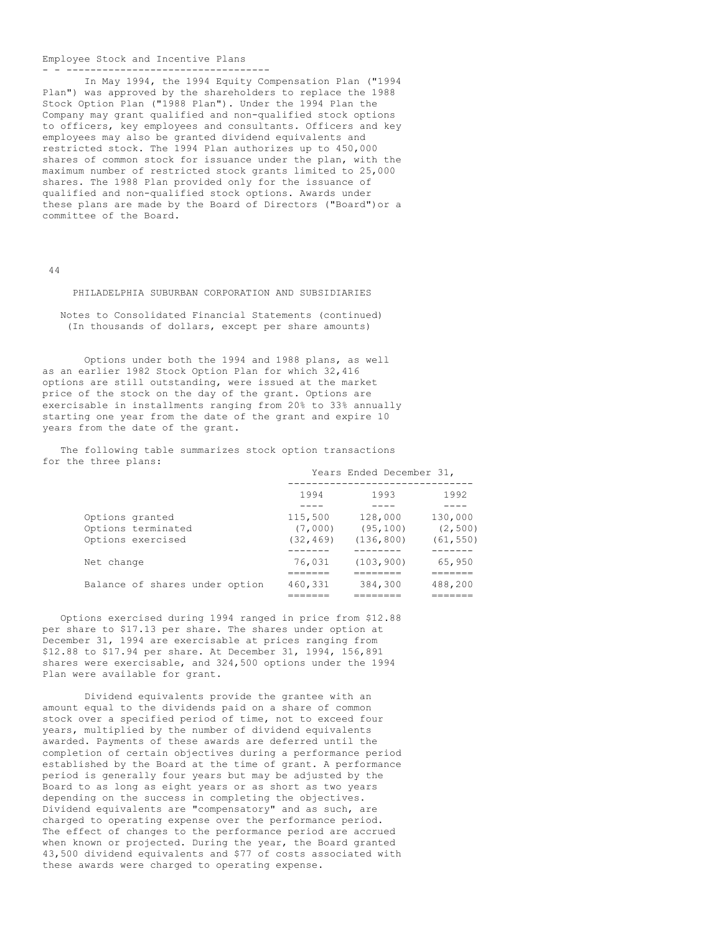#### Employee Stock and Incentive Plans - - ----------------------------------

In May 1994, the 1994 Equity Compensation Plan ("1994 Plan") was approved by the shareholders to replace the 1988 Stock Option Plan ("1988 Plan"). Under the 1994 Plan the Company may grant qualified and non-qualified stock options to officers, key employees and consultants. Officers and key employees may also be granted dividend equivalents and restricted stock. The 1994 Plan authorizes up to 450,000 shares of common stock for issuance under the plan, with the maximum number of restricted stock grants limited to 25,000 shares. The 1988 Plan provided only for the issuance of qualified and non-qualified stock options. Awards under these plans are made by the Board of Directors ("Board")or a committee of the Board.

#### 44

### PHILADELPHIA SUBURBAN CORPORATION AND SUBSIDIARIES

Notes to Consolidated Financial Statements (continued) (In thousands of dollars, except per share amounts)

Options under both the 1994 and 1988 plans, as well as an earlier 1982 Stock Option Plan for which 32,416 options are still outstanding, were issued at the market price of the stock on the day of the grant. Options are exercisable in installments ranging from 20% to 33% annually starting one year from the date of the grant and expire 10 years from the date of the grant.

The following table summarizes stock option transactions for the three plans:

|                                                            |                                 | Years Ended December 31,           |                                  |
|------------------------------------------------------------|---------------------------------|------------------------------------|----------------------------------|
|                                                            | 1994                            | 1993                               | 1992                             |
| Options granted<br>Options terminated<br>Options exercised | 115,500<br>(7,000)<br>(32, 469) | 128,000<br>(95, 100)<br>(136, 800) | 130,000<br>(2, 500)<br>(61, 550) |
| Net change                                                 | 76,031<br>_______               | (103, 900)                         | 65,950<br>-------                |
| Balance of shares under option                             | 460,331<br>------               | =======<br>384,300<br>--------     | 488,200<br>______                |

Options exercised during 1994 ranged in price from \$12.88 per share to \$17.13 per share. The shares under option at December 31, 1994 are exercisable at prices ranging from \$12.88 to \$17.94 per share. At December 31, 1994, 156,891 shares were exercisable, and 324,500 options under the 1994 Plan were available for grant.

Dividend equivalents provide the grantee with an amount equal to the dividends paid on a share of common stock over a specified period of time, not to exceed four years, multiplied by the number of dividend equivalents awarded. Payments of these awards are deferred until the completion of certain objectives during a performance period established by the Board at the time of grant. A performance period is generally four years but may be adjusted by the Board to as long as eight years or as short as two years depending on the success in completing the objectives. Dividend equivalents are "compensatory" and as such, are charged to operating expense over the performance period. The effect of changes to the performance period are accrued when known or projected. During the year, the Board granted 43,500 dividend equivalents and \$77 of costs associated with these awards were charged to operating expense.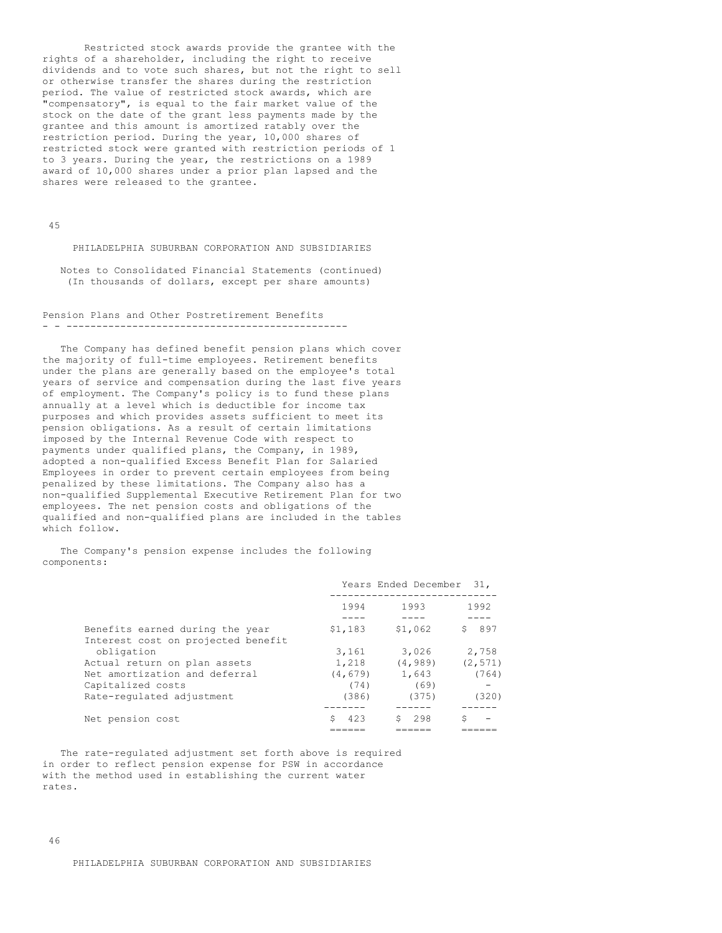Restricted stock awards provide the grantee with the rights of a shareholder, including the right to receive dividends and to vote such shares, but not the right to sell or otherwise transfer the shares during the restriction period. The value of restricted stock awards, which are "compensatory", is equal to the fair market value of the stock on the date of the grant less payments made by the grantee and this amount is amortized ratably over the restriction period. During the year, 10,000 shares of restricted stock were granted with restriction periods of 1 to 3 years. During the year, the restrictions on a 1989 award of 10,000 shares under a prior plan lapsed and the shares were released to the grantee.

45

PHILADELPHIA SUBURBAN CORPORATION AND SUBSIDIARIES

Notes to Consolidated Financial Statements (continued) (In thousands of dollars, except per share amounts)

Pension Plans and Other Postretirement Benefits - - -----------------------------------------------

The Company has defined benefit pension plans which cover the majority of full-time employees. Retirement benefits under the plans are generally based on the employee's total years of service and compensation during the last five years of employment. The Company's policy is to fund these plans annually at a level which is deductible for income tax purposes and which provides assets sufficient to meet its pension obligations. As a result of certain limitations imposed by the Internal Revenue Code with respect to payments under qualified plans, the Company, in 1989, adopted a non-qualified Excess Benefit Plan for Salaried Employees in order to prevent certain employees from being penalized by these limitations. The Company also has a non-qualified Supplemental Executive Retirement Plan for two employees. The net pension costs and obligations of the qualified and non-qualified plans are included in the tables which follow.

The Company's pension expense includes the following components:

|                                    |          | Years Ended December | 31.      |
|------------------------------------|----------|----------------------|----------|
|                                    | 1994     | 1993                 | 1992     |
|                                    |          |                      |          |
| Benefits earned during the year    | \$1,183  | \$1,062              | 897<br>S |
| Interest cost on projected benefit |          |                      |          |
| obligation                         | 3,161    | 3,026                | 2,758    |
| Actual return on plan assets       | 1,218    | (4, 989)             | (2, 571) |
| Net amortization and deferral      | (4, 679) | 1,643                | (764)    |
| Capitalized costs                  | (74)     | (69)                 |          |
| Rate-regulated adjustment          | (386)    | (375)                | (320)    |
|                                    |          |                      |          |
| Net pension cost                   | 423      | 298                  |          |
|                                    |          |                      |          |

The rate-regulated adjustment set forth above is required in order to reflect pension expense for PSW in accordance with the method used in establishing the current water rates.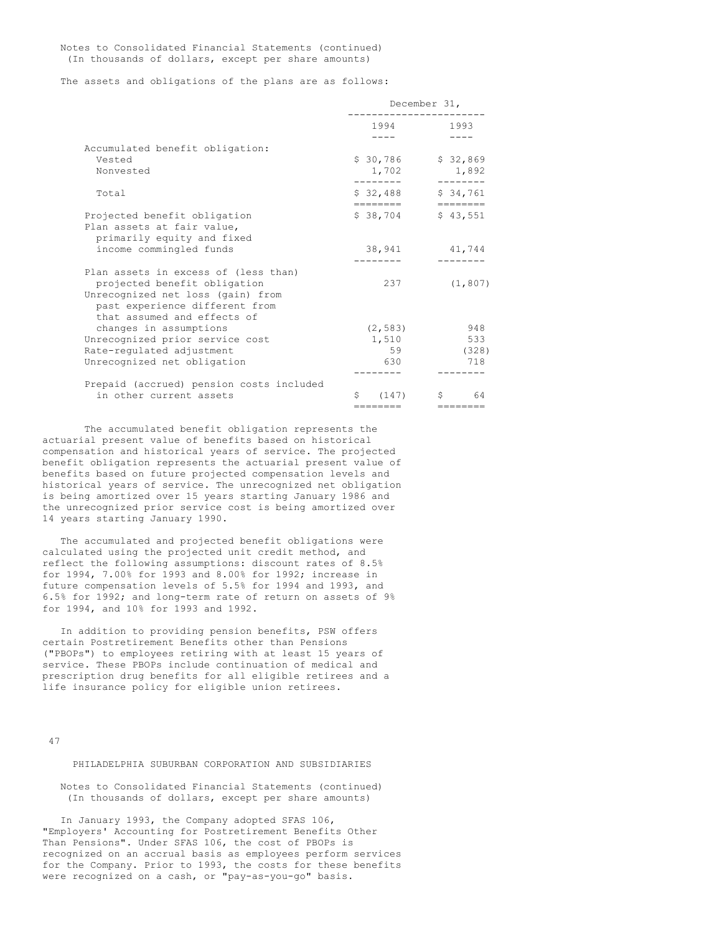Notes to Consolidated Financial Statements (continued) (In thousands of dollars, except per share amounts)

The assets and obligations of the plans are as follows:

|                                          |                      | December 31,                                |
|------------------------------------------|----------------------|---------------------------------------------|
|                                          | 1994                 | 1993                                        |
|                                          |                      |                                             |
| Accumulated benefit obligation:          |                      |                                             |
| Vested                                   | \$30,786             | \$32,869                                    |
| Nonvested                                | 1,702                | 1,892                                       |
|                                          |                      |                                             |
| Total                                    | \$32,488<br>======== | \$34,761<br>$=$ $=$ $=$ $=$ $=$ $=$ $=$ $=$ |
| Projected benefit obligation             | $$38,704$ $$43,551$  |                                             |
| Plan assets at fair value,               |                      |                                             |
| primarily equity and fixed               |                      |                                             |
| income commingled funds                  | 38,941               | 41,744                                      |
|                                          |                      |                                             |
| Plan assets in excess of (less than)     |                      |                                             |
| projected benefit obligation             | 237                  | (1, 807)                                    |
| Unrecognized net loss (gain) from        |                      |                                             |
| past experience different from           |                      |                                             |
| that assumed and effects of              |                      |                                             |
| changes in assumptions                   | (2, 583)             | 948                                         |
| Unrecognized prior service cost          | 1,510                | 533                                         |
| Rate-regulated adjustment                | 59                   | (328)                                       |
| Unrecognized net obligation              | 630                  | 718                                         |
| Prepaid (accrued) pension costs included |                      |                                             |
| in other current assets                  | \$ (147)             | $S$ and $S$<br>64                           |
|                                          | ========    ======== |                                             |

The accumulated benefit obligation represents the actuarial present value of benefits based on historical compensation and historical years of service. The projected benefit obligation represents the actuarial present value of benefits based on future projected compensation levels and historical years of service. The unrecognized net obligation is being amortized over 15 years starting January 1986 and the unrecognized prior service cost is being amortized over 14 years starting January 1990.

The accumulated and projected benefit obligations were calculated using the projected unit credit method, and reflect the following assumptions: discount rates of 8.5% for 1994, 7.00% for 1993 and 8.00% for 1992; increase in future compensation levels of 5.5% for 1994 and 1993, and 6.5% for 1992; and long-term rate of return on assets of 9% for 1994, and 10% for 1993 and 1992.

In addition to providing pension benefits, PSW offers certain Postretirement Benefits other than Pensions ("PBOPs") to employees retiring with at least 15 years of service. These PBOPs include continuation of medical and prescription drug benefits for all eligible retirees and a life insurance policy for eligible union retirees.

47

PHILADELPHIA SUBURBAN CORPORATION AND SUBSIDIARIES

Notes to Consolidated Financial Statements (continued) (In thousands of dollars, except per share amounts)

In January 1993, the Company adopted SFAS 106, "Employers' Accounting for Postretirement Benefits Other Than Pensions". Under SFAS 106, the cost of PBOPs is recognized on an accrual basis as employees perform services for the Company. Prior to 1993, the costs for these benefits were recognized on a cash, or "pay-as-you-go" basis.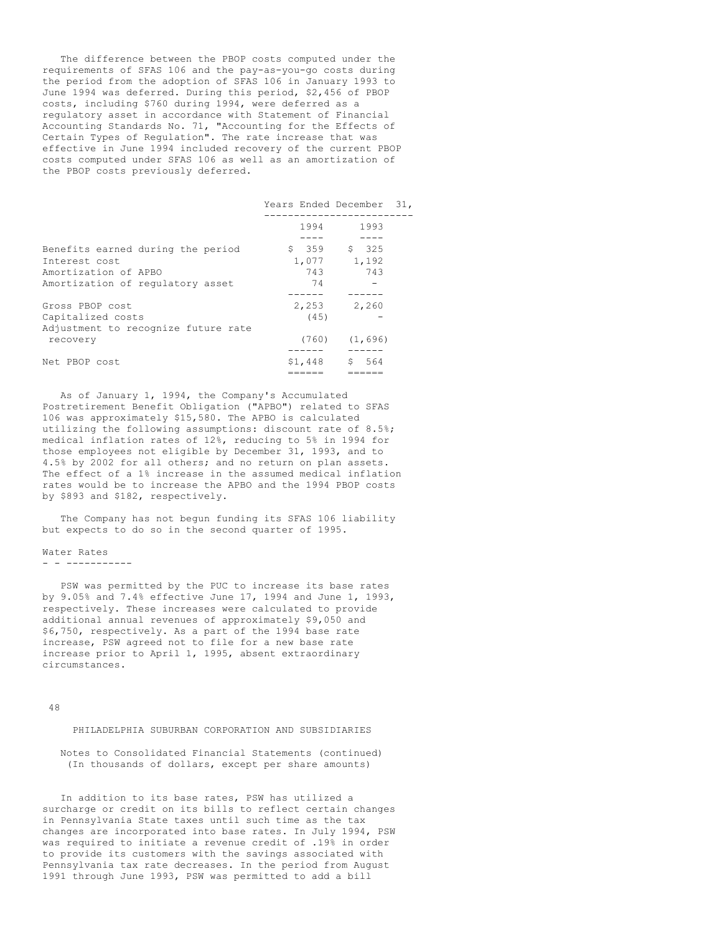The difference between the PBOP costs computed under the requirements of SFAS 106 and the pay-as-you-go costs during the period from the adoption of SFAS 106 in January 1993 to June 1994 was deferred. During this period, \$2,456 of PBOP costs, including \$760 during 1994, were deferred as a regulatory asset in accordance with Statement of Financial Accounting Standards No. 71, "Accounting for the Effects of Certain Types of Regulation". The rate increase that was effective in June 1994 included recovery of the current PBOP costs computed under SFAS 106 as well as an amortization of the PBOP costs previously deferred.

|                                     | Years Ended December 31, |               |  |
|-------------------------------------|--------------------------|---------------|--|
|                                     | 1994                     | 1993          |  |
|                                     |                          |               |  |
| Benefits earned during the period   |                          | $$359$ $$325$ |  |
| Interest cost                       | 1,077                    | 1,192         |  |
| Amortization of APBO                | 743                      | 743           |  |
| Amortization of regulatory asset    | 74                       |               |  |
|                                     |                          |               |  |
| Gross PBOP cost                     | 2,253                    | 2,260         |  |
| Capitalized costs                   | (45)                     |               |  |
| Adjustment to recognize future rate |                          |               |  |
| recovery                            | (760)                    | (1,696)       |  |
|                                     |                          |               |  |
| Net PBOP cost                       | \$1,448                  | S<br>564      |  |
|                                     |                          |               |  |

As of January 1, 1994, the Company's Accumulated Postretirement Benefit Obligation ("APBO") related to SFAS 106 was approximately \$15,580. The APBO is calculated utilizing the following assumptions: discount rate of 8.5%; medical inflation rates of 12%, reducing to 5% in 1994 for those employees not eligible by December 31, 1993, and to 4.5% by 2002 for all others; and no return on plan assets. The effect of a 1% increase in the assumed medical inflation rates would be to increase the APBO and the 1994 PBOP costs by \$893 and \$182, respectively.

The Company has not begun funding its SFAS 106 liability but expects to do so in the second quarter of 1995.

## Water Rates - - -----------

PSW was permitted by the PUC to increase its base rates by 9.05% and 7.4% effective June 17, 1994 and June 1, 1993, respectively. These increases were calculated to provide additional annual revenues of approximately \$9,050 and \$6,750, respectively. As a part of the 1994 base rate increase, PSW agreed not to file for a new base rate increase prior to April 1, 1995, absent extraordinary circumstances.

48

## PHILADELPHIA SUBURBAN CORPORATION AND SUBSIDIARIES

Notes to Consolidated Financial Statements (continued) (In thousands of dollars, except per share amounts)

In addition to its base rates, PSW has utilized a surcharge or credit on its bills to reflect certain changes in Pennsylvania State taxes until such time as the tax changes are incorporated into base rates. In July 1994, PSW was required to initiate a revenue credit of .19% in order to provide its customers with the savings associated with Pennsylvania tax rate decreases. In the period from August 1991 through June 1993, PSW was permitted to add a bill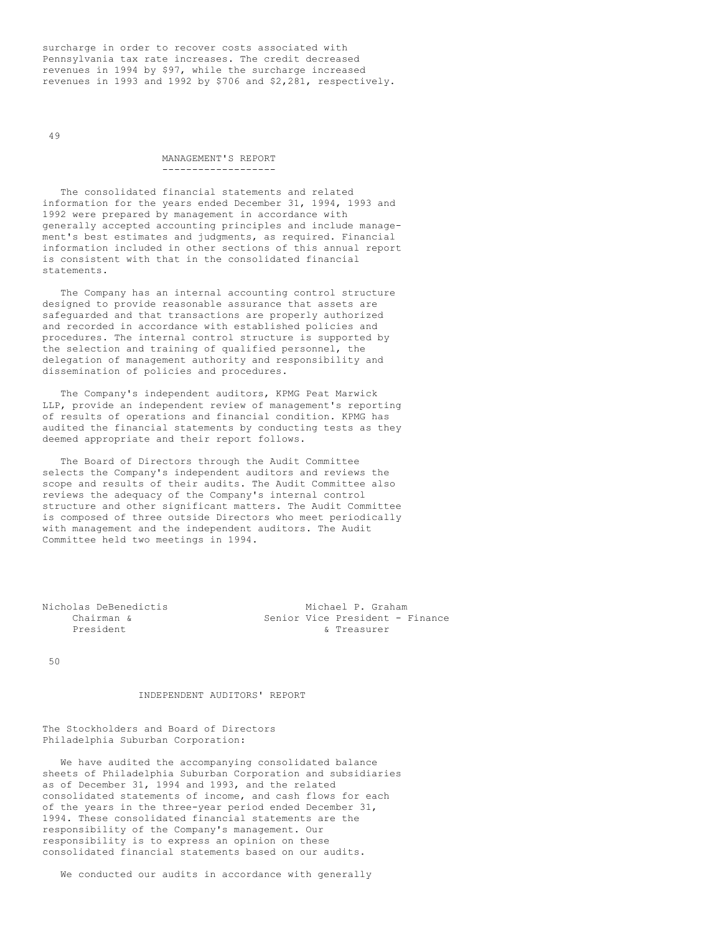surcharge in order to recover costs associated with Pennsylvania tax rate increases. The credit decreased revenues in 1994 by \$97, while the surcharge increased revenues in 1993 and 1992 by \$706 and \$2,281, respectively.

49

#### MANAGEMENT'S REPORT -------------------

The consolidated financial statements and related information for the years ended December 31, 1994, 1993 and 1992 were prepared by management in accordance with generally accepted accounting principles and include management's best estimates and judgments, as required. Financial information included in other sections of this annual report is consistent with that in the consolidated financial statements.

The Company has an internal accounting control structure designed to provide reasonable assurance that assets are safeguarded and that transactions are properly authorized and recorded in accordance with established policies and procedures. The internal control structure is supported by the selection and training of qualified personnel, the delegation of management authority and responsibility and dissemination of policies and procedures.

The Company's independent auditors, KPMG Peat Marwick LLP, provide an independent review of management's reporting of results of operations and financial condition. KPMG has audited the financial statements by conducting tests as they deemed appropriate and their report follows.

The Board of Directors through the Audit Committee selects the Company's independent auditors and reviews the scope and results of their audits. The Audit Committee also reviews the adequacy of the Company's internal control structure and other significant matters. The Audit Committee is composed of three outside Directors who meet periodically with management and the independent auditors. The Audit Committee held two meetings in 1994.

| Nicholas DeBenedictis<br>Michael P. Graham    |  |
|-----------------------------------------------|--|
| Senior Vice President - Finance<br>Chairman & |  |
| President<br>& Treasurer                      |  |

50

# INDEPENDENT AUDITORS' REPORT

The Stockholders and Board of Directors Philadelphia Suburban Corporation:

We have audited the accompanying consolidated balance sheets of Philadelphia Suburban Corporation and subsidiaries as of December 31, 1994 and 1993, and the related consolidated statements of income, and cash flows for each of the years in the three-year period ended December 31, 1994. These consolidated financial statements are the responsibility of the Company's management. Our responsibility is to express an opinion on these consolidated financial statements based on our audits.

We conducted our audits in accordance with generally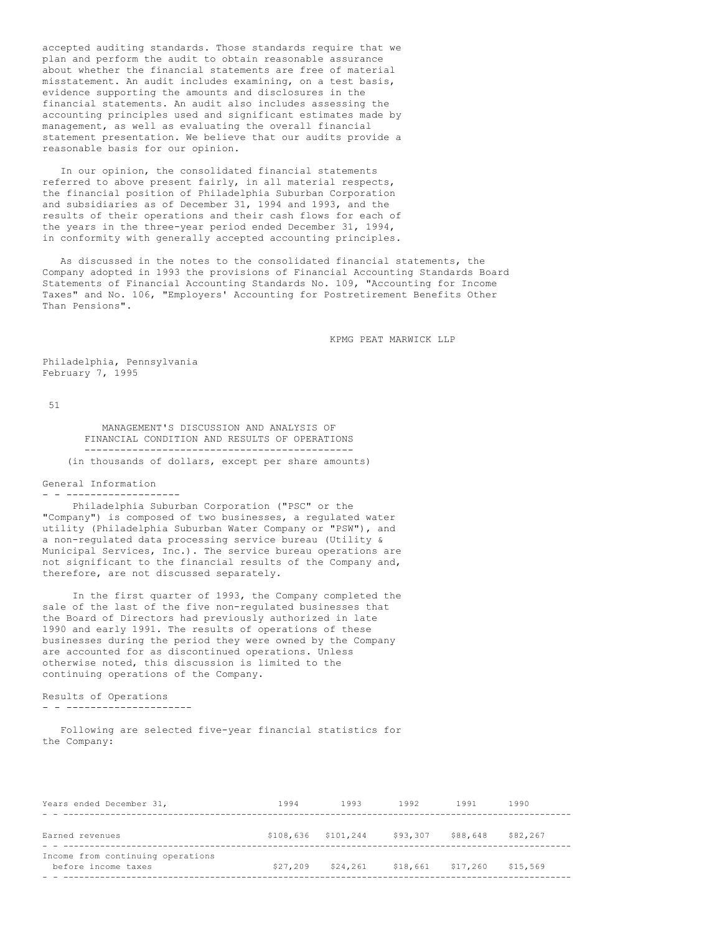accepted auditing standards. Those standards require that we plan and perform the audit to obtain reasonable assurance about whether the financial statements are free of material misstatement. An audit includes examining, on a test basis, evidence supporting the amounts and disclosures in the financial statements. An audit also includes assessing the accounting principles used and significant estimates made by management, as well as evaluating the overall financial statement presentation. We believe that our audits provide a reasonable basis for our opinion.

In our opinion, the consolidated financial statements referred to above present fairly, in all material respects, the financial position of Philadelphia Suburban Corporation and subsidiaries as of December 31, 1994 and 1993, and the results of their operations and their cash flows for each of the years in the three-year period ended December 31, 1994, in conformity with generally accepted accounting principles.

As discussed in the notes to the consolidated financial statements, the Company adopted in 1993 the provisions of Financial Accounting Standards Board Statements of Financial Accounting Standards No. 109, "Accounting for Income Taxes" and No. 106, "Employers' Accounting for Postretirement Benefits Other Than Pensions".

KPMG PEAT MARWICK LLP

Philadelphia, Pennsylvania February 7, 1995

51

MANAGEMENT'S DISCUSSION AND ANALYSIS OF FINANCIAL CONDITION AND RESULTS OF OPERATIONS --------------------------------------------- (in thousands of dollars, except per share amounts)

### General Information - - -------------------

Philadelphia Suburban Corporation ("PSC" or the "Company") is composed of two businesses, a regulated water utility (Philadelphia Suburban Water Company or "PSW"), and a non-regulated data processing service bureau (Utility & Municipal Services, Inc.). The service bureau operations are not significant to the financial results of the Company and, therefore, are not discussed separately.

In the first quarter of 1993, the Company completed the sale of the last of the five non-regulated businesses that the Board of Directors had previously authorized in late 1990 and early 1991. The results of operations of these businesses during the period they were owned by the Company are accounted for as discontinued operations. Unless otherwise noted, this discussion is limited to the continuing operations of the Company.

#### Results of Operations - - ---------------------

Following are selected five-year financial statistics for the Company:

| Years ended December 31,                                 | 1994                | 1993     | 1992              | 1991     | 1990     |
|----------------------------------------------------------|---------------------|----------|-------------------|----------|----------|
|                                                          |                     |          |                   |          |          |
| Earned revenues                                          | \$108,636 \$101,244 |          | \$93,307          | \$88,648 | \$82,267 |
| Income from continuing operations<br>before income taxes | \$27,209            | \$24,261 | \$18,661 \$17,260 |          | \$15,569 |
|                                                          |                     |          |                   |          |          |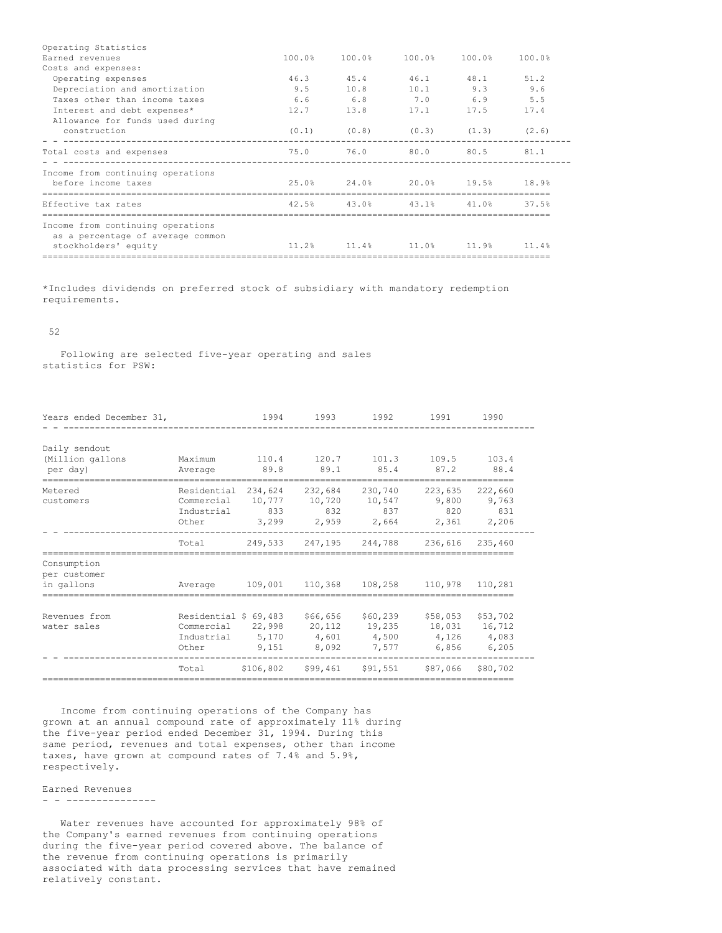| Operating Statistics              |                                              |           |                                                   |           |      |
|-----------------------------------|----------------------------------------------|-----------|---------------------------------------------------|-----------|------|
| Earned revenues                   |                                              |           | $100.0$ % $100.0$ % $100.0$ % $100.0$ % $100.0$ % |           |      |
| Costs and expenses:               |                                              |           |                                                   |           |      |
| Operating expenses                |                                              | 46.3 45.4 |                                                   | 46.1 48.1 | 51.2 |
| Depreciation and amortization     |                                              |           | 9.5 10.8 10.1 9.3 9.6                             |           |      |
| Taxes other than income taxes     |                                              |           | 6.6 6.8 7.0 6.9 5.5                               |           |      |
| Interest and debt expenses*       |                                              |           | $12.7$ 13.8 17.1 17.5                             |           | 17.4 |
| Allowance for funds used during   |                                              |           |                                                   |           |      |
| construction                      |                                              |           | $(0.1)$ $(0.8)$ $(0.3)$ $(1.3)$ $(2.6)$           |           |      |
| Total costs and expenses          | 75.0 76.0 80.0 80.5 81.1                     |           |                                                   |           |      |
| Income from continuing operations |                                              |           |                                                   |           |      |
| before income taxes               | $25.0\%$ 24.0% 20.0% 19.5% 18.9%             |           |                                                   |           |      |
|                                   |                                              |           |                                                   |           |      |
| Effective tax rates               | $42.5\%$ $43.0\%$ $43.1\%$ $41.0\%$ $37.5\%$ |           |                                                   |           |      |
|                                   |                                              |           |                                                   |           |      |
| Income from continuing operations |                                              |           |                                                   |           |      |
| as a percentage of average common |                                              |           |                                                   |           |      |
| stockholders' equity              | $11.2\%$ 11.4% 11.0% 11.9% 11.4%             |           |                                                   |           |      |
|                                   |                                              |           |                                                   |           |      |

\*Includes dividends on preferred stock of subsidiary with mandatory redemption requirements.

## 52

Following are selected five-year operating and sales statistics for PSW:

| Years ended December 31,                      |                                                                                  | 1994          | 1993                     | 1992                                                          | 1991                    | 1990                               |
|-----------------------------------------------|----------------------------------------------------------------------------------|---------------|--------------------------|---------------------------------------------------------------|-------------------------|------------------------------------|
| Daily sendout<br>(Million gallons<br>per day) | Maximum<br>Average                                                               | 110.4<br>89.8 | 120.7<br>89.1            | 101.3<br>85.4                                                 | 109.5<br>87.2           | 103.4<br>88.4                      |
| Metered<br>customers                          | Residential 234,624<br>Commercial 10,777<br>Industrial<br>Other                  | 833           | 232,684<br>10,720<br>832 | 230,740<br>10,547<br>837<br>3,299 2,959 2,664 2,361 2,206     | 223,635<br>9,800<br>820 | 222,660<br>9,763<br>831            |
|                                               | Total                                                                            |               |                          | 249,533 247,195 244,788                                       | 236,616                 | 235,460                            |
| Consumption<br>per customer<br>in gallons     | Average 109,001 110,368 108,258 110,978 110,281                                  |               |                          |                                                               |                         |                                    |
| Revenues from<br>water sales                  | Residential \$ 69,483 \$66,656<br>Commercial 22,998<br>Industrial 5,170<br>Other | 9,151         | 8,092                    | \$60,239<br>20,112 19,235<br>4,601 4,500 4,126 4,083<br>7,577 | \$58,053<br>6,856       | \$53,702<br>18,031 16,712<br>6,205 |
|                                               | Total                                                                            |               | \$106,802 \$99,461       |                                                               | \$91,551 \$87,066       | \$80,702                           |

Income from continuing operations of the Company has grown at an annual compound rate of approximately 11% during the five-year period ended December 31, 1994. During this same period, revenues and total expenses, other than income taxes, have grown at compound rates of 7.4% and 5.9%, respectively.

Earned Revenues

### - - ---------------

Water revenues have accounted for approximately 98% of the Company's earned revenues from continuing operations during the five-year period covered above. The balance of the revenue from continuing operations is primarily associated with data processing services that have remained relatively constant.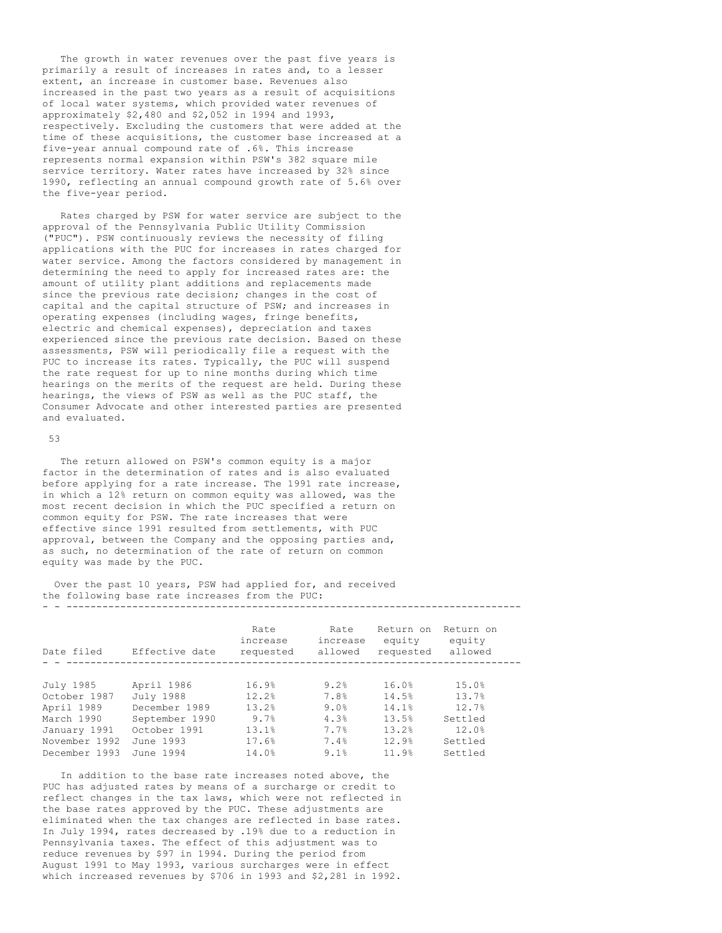The growth in water revenues over the past five years is primarily a result of increases in rates and, to a lesser extent, an increase in customer base. Revenues also increased in the past two years as a result of acquisitions of local water systems, which provided water revenues of approximately \$2,480 and \$2,052 in 1994 and 1993, respectively. Excluding the customers that were added at the time of these acquisitions, the customer base increased at a five-year annual compound rate of .6%. This increase represents normal expansion within PSW's 382 square mile service territory. Water rates have increased by 32% since 1990, reflecting an annual compound growth rate of 5.6% over the five-year period.

Rates charged by PSW for water service are subject to the approval of the Pennsylvania Public Utility Commission ("PUC"). PSW continuously reviews the necessity of filing applications with the PUC for increases in rates charged for water service. Among the factors considered by management in determining the need to apply for increased rates are: the amount of utility plant additions and replacements made since the previous rate decision; changes in the cost of capital and the capital structure of PSW; and increases in operating expenses (including wages, fringe benefits, electric and chemical expenses), depreciation and taxes experienced since the previous rate decision. Based on these assessments, PSW will periodically file a request with the PUC to increase its rates. Typically, the PUC will suspend the rate request for up to nine months during which time hearings on the merits of the request are held. During these hearings, the views of PSW as well as the PUC staff, the Consumer Advocate and other interested parties are presented and evaluated.

### 53

The return allowed on PSW's common equity is a major factor in the determination of rates and is also evaluated before applying for a rate increase. The 1991 rate increase, in which a 12% return on common equity was allowed, was the most recent decision in which the PUC specified a return on common equity for PSW. The rate increases that were effective since 1991 resulted from settlements, with PUC approval, between the Company and the opposing parties and, as such, no determination of the rate of return on common equity was made by the PUC.

Over the past 10 years, PSW had applied for, and received the following base rate increases from the PUC: - - ----------------------------------------------------------------------------

| Date filed    | Effective date | Rate<br>increase<br>requested | Rate<br>increase<br>allowed | Return on<br>equity<br>requested | Return on<br>equity<br>allowed |  |
|---------------|----------------|-------------------------------|-----------------------------|----------------------------------|--------------------------------|--|
|               |                |                               |                             |                                  |                                |  |
| July 1985     | April 1986     | 16.9%                         | 9.2%                        | 16.0%                            | 15.0%                          |  |
| October 1987  | July 1988      | 12.2%                         | 7.8%                        | 14.5%                            | 13.7%                          |  |
| April 1989    | December 1989  | 13.2%                         | 9.0%                        | 14.1%                            | 12.7%                          |  |
| March 1990    | September 1990 | 9.7%                          | 4.3%                        | 13.5%                            | Settled                        |  |
| January 1991  | October 1991   | 13.1%                         | 7.7%                        | 13.2%                            | 12.0%                          |  |
| November 1992 | June 1993      | 17.6%                         | 7.4%                        | 12.9%                            | Settled                        |  |
| December 1993 | June 1994      | 14.0%                         | 9.1%                        | 11.9%                            | Settled                        |  |

In addition to the base rate increases noted above, the PUC has adjusted rates by means of a surcharge or credit to reflect changes in the tax laws, which were not reflected in the base rates approved by the PUC. These adjustments are eliminated when the tax changes are reflected in base rates. In July 1994, rates decreased by .19% due to a reduction in Pennsylvania taxes. The effect of this adjustment was to reduce revenues by \$97 in 1994. During the period from August 1991 to May 1993, various surcharges were in effect which increased revenues by \$706 in 1993 and \$2,281 in 1992.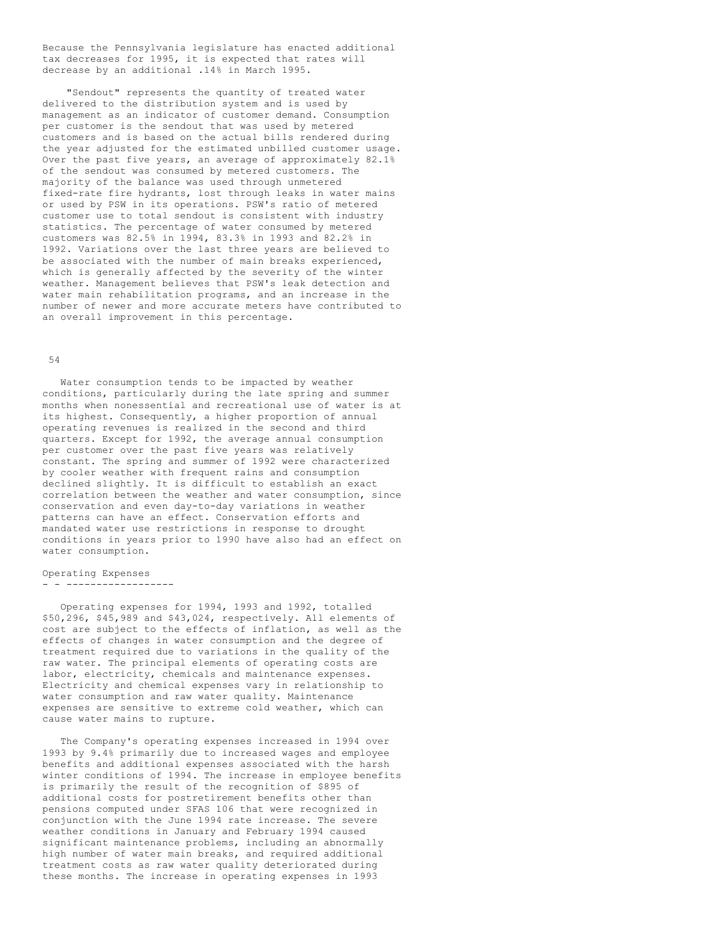Because the Pennsylvania legislature has enacted additional tax decreases for 1995, it is expected that rates will decrease by an additional .14% in March 1995.

"Sendout" represents the quantity of treated water delivered to the distribution system and is used by management as an indicator of customer demand. Consumption per customer is the sendout that was used by metered customers and is based on the actual bills rendered during the year adjusted for the estimated unbilled customer usage. Over the past five years, an average of approximately 82.1% of the sendout was consumed by metered customers. The majority of the balance was used through unmetered fixed-rate fire hydrants, lost through leaks in water mains or used by PSW in its operations. PSW's ratio of metered customer use to total sendout is consistent with industry statistics. The percentage of water consumed by metered customers was 82.5% in 1994, 83.3% in 1993 and 82.2% in 1992. Variations over the last three years are believed to be associated with the number of main breaks experienced, which is generally affected by the severity of the winter weather. Management believes that PSW's leak detection and water main rehabilitation programs, and an increase in the number of newer and more accurate meters have contributed to an overall improvement in this percentage.

### 54

Water consumption tends to be impacted by weather conditions, particularly during the late spring and summer months when nonessential and recreational use of water is at its highest. Consequently, a higher proportion of annual operating revenues is realized in the second and third quarters. Except for 1992, the average annual consumption per customer over the past five years was relatively constant. The spring and summer of 1992 were characterized by cooler weather with frequent rains and consumption declined slightly. It is difficult to establish an exact correlation between the weather and water consumption, since conservation and even day-to-day variations in weather patterns can have an effect. Conservation efforts and mandated water use restrictions in response to drought conditions in years prior to 1990 have also had an effect on water consumption.

### Operating Expenses

#### - - ------------------

Operating expenses for 1994, 1993 and 1992, totalled \$50,296, \$45,989 and \$43,024, respectively. All elements of cost are subject to the effects of inflation, as well as the effects of changes in water consumption and the degree of treatment required due to variations in the quality of the raw water. The principal elements of operating costs are labor, electricity, chemicals and maintenance expenses. Electricity and chemical expenses vary in relationship to water consumption and raw water quality. Maintenance expenses are sensitive to extreme cold weather, which can cause water mains to rupture.

The Company's operating expenses increased in 1994 over 1993 by 9.4% primarily due to increased wages and employee benefits and additional expenses associated with the harsh winter conditions of 1994. The increase in employee benefits is primarily the result of the recognition of \$895 of additional costs for postretirement benefits other than pensions computed under SFAS 106 that were recognized in conjunction with the June 1994 rate increase. The severe weather conditions in January and February 1994 caused significant maintenance problems, including an abnormally high number of water main breaks, and required additional treatment costs as raw water quality deteriorated during these months. The increase in operating expenses in 1993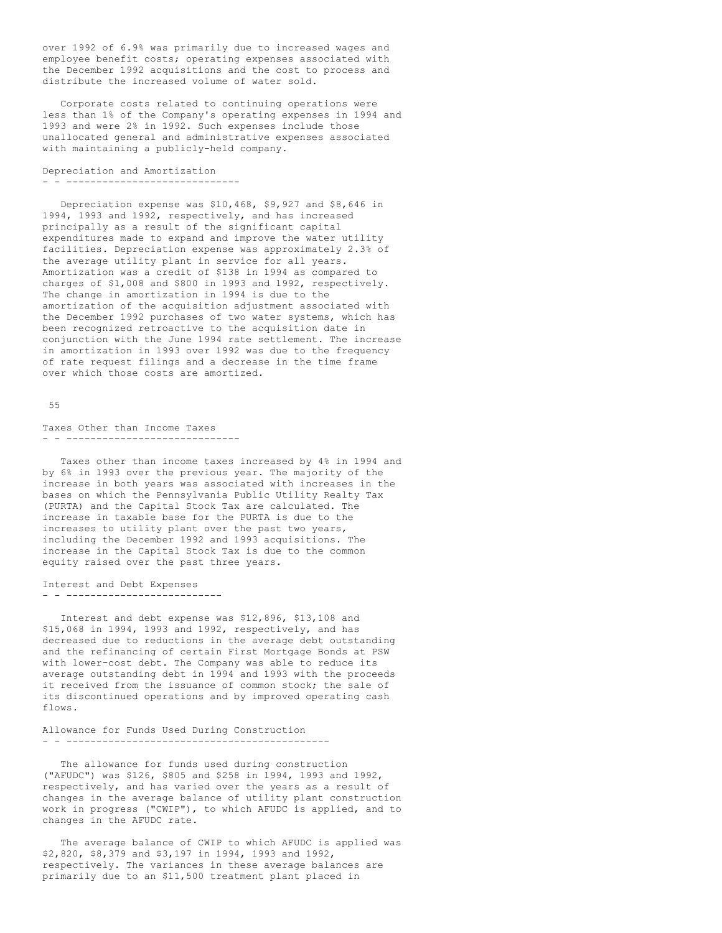over 1992 of 6.9% was primarily due to increased wages and employee benefit costs; operating expenses associated with the December 1992 acquisitions and the cost to process and distribute the increased volume of water sold.

Corporate costs related to continuing operations were less than 1% of the Company's operating expenses in 1994 and 1993 and were 2% in 1992. Such expenses include those unallocated general and administrative expenses associated with maintaining a publicly-held company.

Depreciation and Amortization - - -----------------------------

Depreciation expense was \$10,468, \$9,927 and \$8,646 in 1994, 1993 and 1992, respectively, and has increased principally as a result of the significant capital expenditures made to expand and improve the water utility facilities. Depreciation expense was approximately 2.3% of the average utility plant in service for all years. Amortization was a credit of \$138 in 1994 as compared to charges of \$1,008 and \$800 in 1993 and 1992, respectively. The change in amortization in 1994 is due to the amortization of the acquisition adjustment associated with the December 1992 purchases of two water systems, which has been recognized retroactive to the acquisition date in conjunction with the June 1994 rate settlement. The increase in amortization in 1993 over 1992 was due to the frequency of rate request filings and a decrease in the time frame over which those costs are amortized.

#### 55

Taxes Other than Income Taxes - - -----------------------------

Taxes other than income taxes increased by 4% in 1994 and by 6% in 1993 over the previous year. The majority of the increase in both years was associated with increases in the bases on which the Pennsylvania Public Utility Realty Tax (PURTA) and the Capital Stock Tax are calculated. The increase in taxable base for the PURTA is due to the increases to utility plant over the past two years, including the December 1992 and 1993 acquisitions. The increase in the Capital Stock Tax is due to the common equity raised over the past three years.

Interest and Debt Expenses - - --------------------------

Interest and debt expense was \$12,896, \$13,108 and \$15,068 in 1994, 1993 and 1992, respectively, and has decreased due to reductions in the average debt outstanding and the refinancing of certain First Mortgage Bonds at PSW with lower-cost debt. The Company was able to reduce its average outstanding debt in 1994 and 1993 with the proceeds it received from the issuance of common stock; the sale of its discontinued operations and by improved operating cash flows.

Allowance for Funds Used During Construction - - --------------------------------------------

The allowance for funds used during construction ("AFUDC") was \$126, \$805 and \$258 in 1994, 1993 and 1992, respectively, and has varied over the years as a result of changes in the average balance of utility plant construction work in progress ("CWIP"), to which AFUDC is applied, and to changes in the AFUDC rate.

The average balance of CWIP to which AFUDC is applied was \$2,820, \$8,379 and \$3,197 in 1994, 1993 and 1992, respectively. The variances in these average balances are primarily due to an \$11,500 treatment plant placed in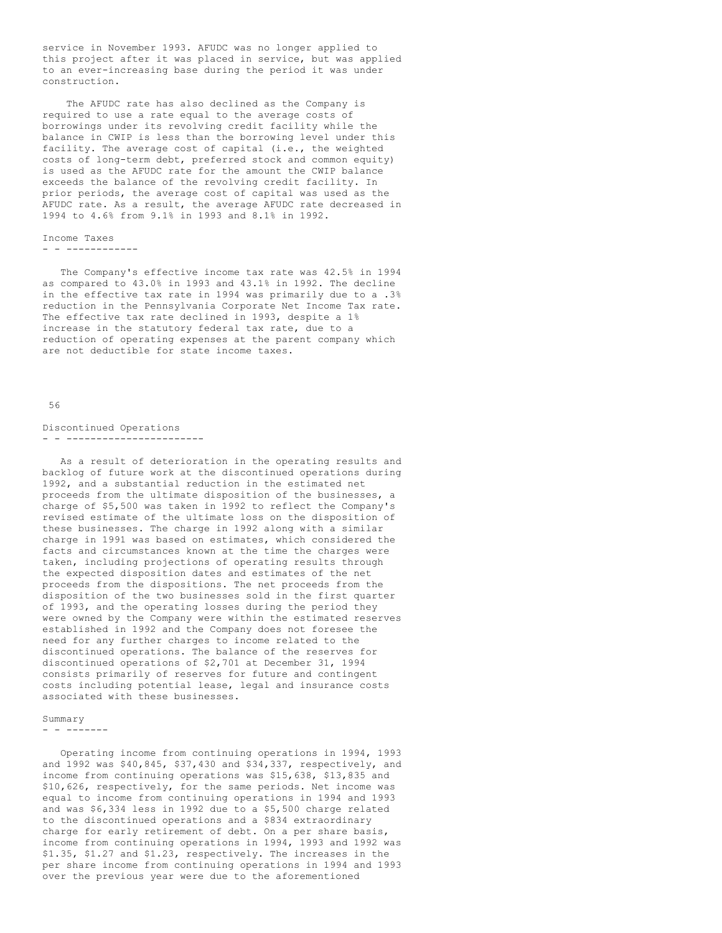service in November 1993. AFUDC was no longer applied to this project after it was placed in service, but was applied to an ever-increasing base during the period it was under construction.

The AFUDC rate has also declined as the Company is required to use a rate equal to the average costs of borrowings under its revolving credit facility while the balance in CWIP is less than the borrowing level under this facility. The average cost of capital (i.e., the weighted costs of long-term debt, preferred stock and common equity) is used as the AFUDC rate for the amount the CWIP balance exceeds the balance of the revolving credit facility. In prior periods, the average cost of capital was used as the AFUDC rate. As a result, the average AFUDC rate decreased in 1994 to 4.6% from 9.1% in 1993 and 8.1% in 1992.

# Income Taxes

- - ------------

The Company's effective income tax rate was 42.5% in 1994 as compared to 43.0% in 1993 and 43.1% in 1992. The decline in the effective tax rate in 1994 was primarily due to a .3% reduction in the Pennsylvania Corporate Net Income Tax rate. The effective tax rate declined in 1993, despite a 1% increase in the statutory federal tax rate, due to a reduction of operating expenses at the parent company which are not deductible for state income taxes.

### 56

# Discontinued Operations

## - - -----------------------

As a result of deterioration in the operating results and backlog of future work at the discontinued operations during 1992, and a substantial reduction in the estimated net proceeds from the ultimate disposition of the businesses, a charge of \$5,500 was taken in 1992 to reflect the Company's revised estimate of the ultimate loss on the disposition of these businesses. The charge in 1992 along with a similar charge in 1991 was based on estimates, which considered the facts and circumstances known at the time the charges were taken, including projections of operating results through the expected disposition dates and estimates of the net proceeds from the dispositions. The net proceeds from the disposition of the two businesses sold in the first quarter of 1993, and the operating losses during the period they were owned by the Company were within the estimated reserves established in 1992 and the Company does not foresee the need for any further charges to income related to the discontinued operations. The balance of the reserves for discontinued operations of \$2,701 at December 31, 1994 consists primarily of reserves for future and contingent costs including potential lease, legal and insurance costs associated with these businesses.

### Summary

- - -------

Operating income from continuing operations in 1994, 1993 and 1992 was \$40,845, \$37,430 and \$34,337, respectively, and income from continuing operations was \$15,638, \$13,835 and \$10,626, respectively, for the same periods. Net income was equal to income from continuing operations in 1994 and 1993 and was \$6,334 less in 1992 due to a \$5,500 charge related to the discontinued operations and a \$834 extraordinary charge for early retirement of debt. On a per share basis, income from continuing operations in 1994, 1993 and 1992 was \$1.35, \$1.27 and \$1.23, respectively. The increases in the per share income from continuing operations in 1994 and 1993 over the previous year were due to the aforementioned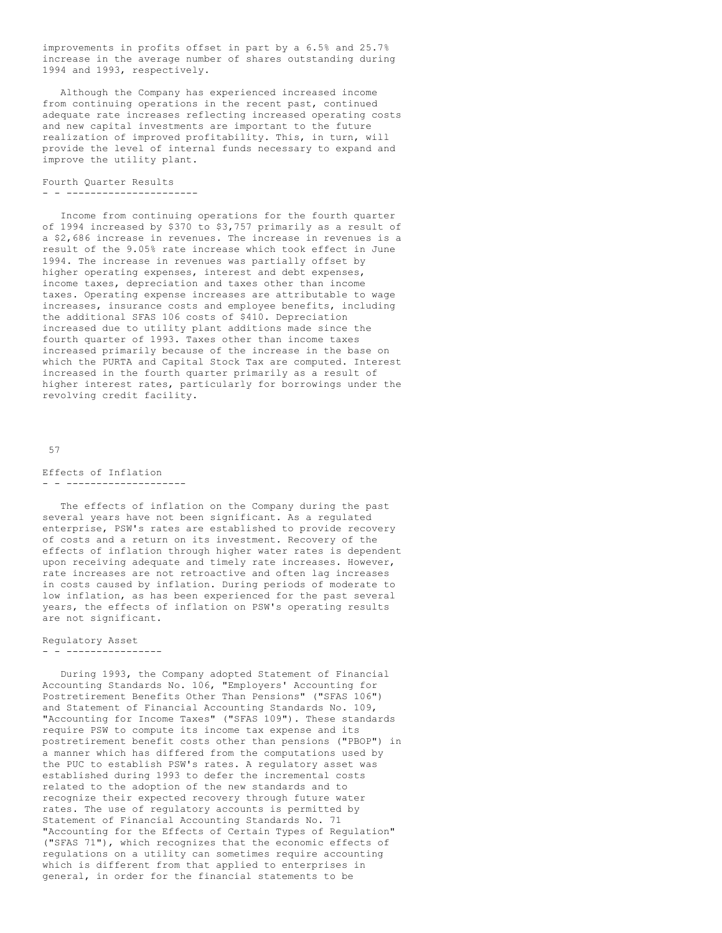improvements in profits offset in part by a 6.5% and 25.7% increase in the average number of shares outstanding during 1994 and 1993, respectively.

Although the Company has experienced increased income from continuing operations in the recent past, continued adequate rate increases reflecting increased operating costs and new capital investments are important to the future realization of improved profitability. This, in turn, will provide the level of internal funds necessary to expand and improve the utility plant.

## Fourth Quarter Results - - ----------------------

Income from continuing operations for the fourth quarter of 1994 increased by \$370 to \$3,757 primarily as a result of a \$2,686 increase in revenues. The increase in revenues is a result of the 9.05% rate increase which took effect in June 1994. The increase in revenues was partially offset by higher operating expenses, interest and debt expenses, income taxes, depreciation and taxes other than income taxes. Operating expense increases are attributable to wage increases, insurance costs and employee benefits, including the additional SFAS 106 costs of \$410. Depreciation increased due to utility plant additions made since the fourth quarter of 1993. Taxes other than income taxes increased primarily because of the increase in the base on which the PURTA and Capital Stock Tax are computed. Interest increased in the fourth quarter primarily as a result of higher interest rates, particularly for borrowings under the revolving credit facility.

#### 57

#### Effects of Inflation - - --------------------

The effects of inflation on the Company during the past several years have not been significant. As a regulated enterprise, PSW's rates are established to provide recovery of costs and a return on its investment. Recovery of the effects of inflation through higher water rates is dependent upon receiving adequate and timely rate increases. However, rate increases are not retroactive and often lag increases in costs caused by inflation. During periods of moderate to low inflation, as has been experienced for the past several years, the effects of inflation on PSW's operating results are not significant.

### Regulatory Asset

#### - - ----------------

During 1993, the Company adopted Statement of Financial Accounting Standards No. 106, "Employers' Accounting for Postretirement Benefits Other Than Pensions" ("SFAS 106") and Statement of Financial Accounting Standards No. 109, "Accounting for Income Taxes" ("SFAS 109"). These standards require PSW to compute its income tax expense and its postretirement benefit costs other than pensions ("PBOP") in a manner which has differed from the computations used by the PUC to establish PSW's rates. A regulatory asset was established during 1993 to defer the incremental costs related to the adoption of the new standards and to recognize their expected recovery through future water rates. The use of regulatory accounts is permitted by Statement of Financial Accounting Standards No. 71 "Accounting for the Effects of Certain Types of Regulation" ("SFAS 71"), which recognizes that the economic effects of regulations on a utility can sometimes require accounting which is different from that applied to enterprises in general, in order for the financial statements to be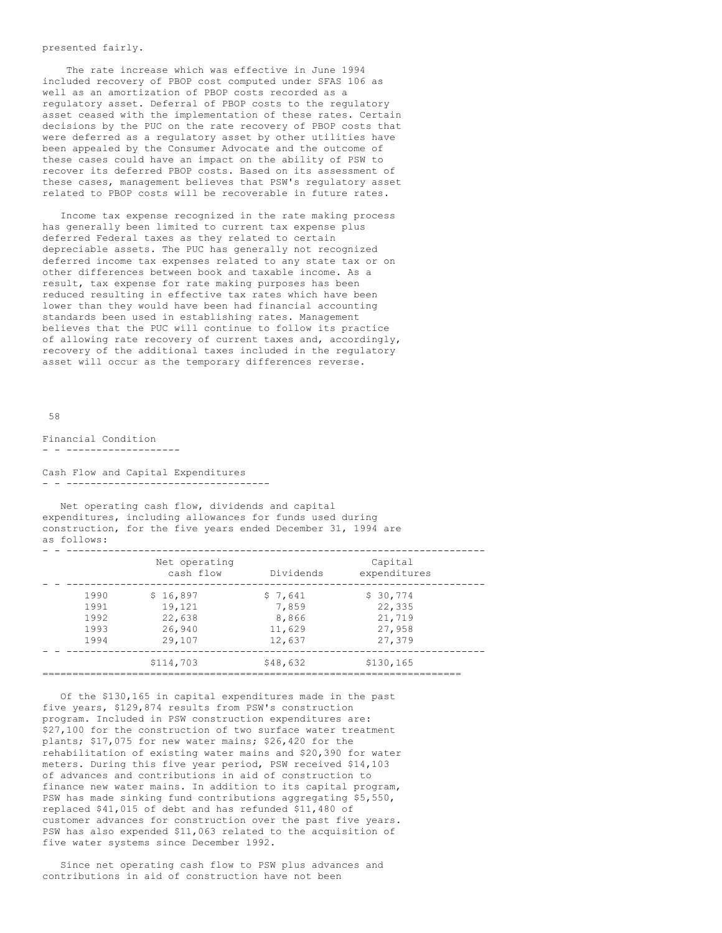## presented fairly.

The rate increase which was effective in June 1994 included recovery of PBOP cost computed under SFAS 106 as well as an amortization of PBOP costs recorded as a regulatory asset. Deferral of PBOP costs to the regulatory asset ceased with the implementation of these rates. Certain decisions by the PUC on the rate recovery of PBOP costs that were deferred as a regulatory asset by other utilities have been appealed by the Consumer Advocate and the outcome of these cases could have an impact on the ability of PSW to recover its deferred PBOP costs. Based on its assessment of these cases, management believes that PSW's regulatory asset related to PBOP costs will be recoverable in future rates.

Income tax expense recognized in the rate making process has generally been limited to current tax expense plus deferred Federal taxes as they related to certain depreciable assets. The PUC has generally not recognized deferred income tax expenses related to any state tax or on other differences between book and taxable income. As a result, tax expense for rate making purposes has been reduced resulting in effective tax rates which have been lower than they would have been had financial accounting standards been used in establishing rates. Management believes that the PUC will continue to follow its practice of allowing rate recovery of current taxes and, accordingly, recovery of the additional taxes included in the regulatory asset will occur as the temporary differences reverse.

58

Financial Condition - - -------------------

Cash Flow and Capital Expenditures - - ----------------------------------

Net operating cash flow, dividends and capital expenditures, including allowances for funds used during construction, for the five years ended December 31, 1994 are as follows:

|      | Net operating<br>cash flow | Dividends | Capital<br>expenditures |
|------|----------------------------|-----------|-------------------------|
| 1990 | \$16,897                   | \$7,641   | \$30,774                |
| 1991 | 19,121                     | 7,859     | 22,335                  |
| 1992 | 22,638                     | 8,866     | 21,719                  |
| 1993 | 26,940                     | 11,629    | 27,958                  |
| 1994 | 29,107                     | 12,637    | 27,379                  |
|      | \$114,703                  | \$48,632  | \$130,165               |

Of the \$130,165 in capital expenditures made in the past five years, \$129,874 results from PSW's construction program. Included in PSW construction expenditures are: \$27,100 for the construction of two surface water treatment plants; \$17,075 for new water mains; \$26,420 for the rehabilitation of existing water mains and \$20,390 for water meters. During this five year period, PSW received \$14,103 of advances and contributions in aid of construction to finance new water mains. In addition to its capital program, PSW has made sinking fund contributions aggregating \$5,550, replaced \$41,015 of debt and has refunded \$11,480 of customer advances for construction over the past five years. PSW has also expended \$11,063 related to the acquisition of five water systems since December 1992.

Since net operating cash flow to PSW plus advances and contributions in aid of construction have not been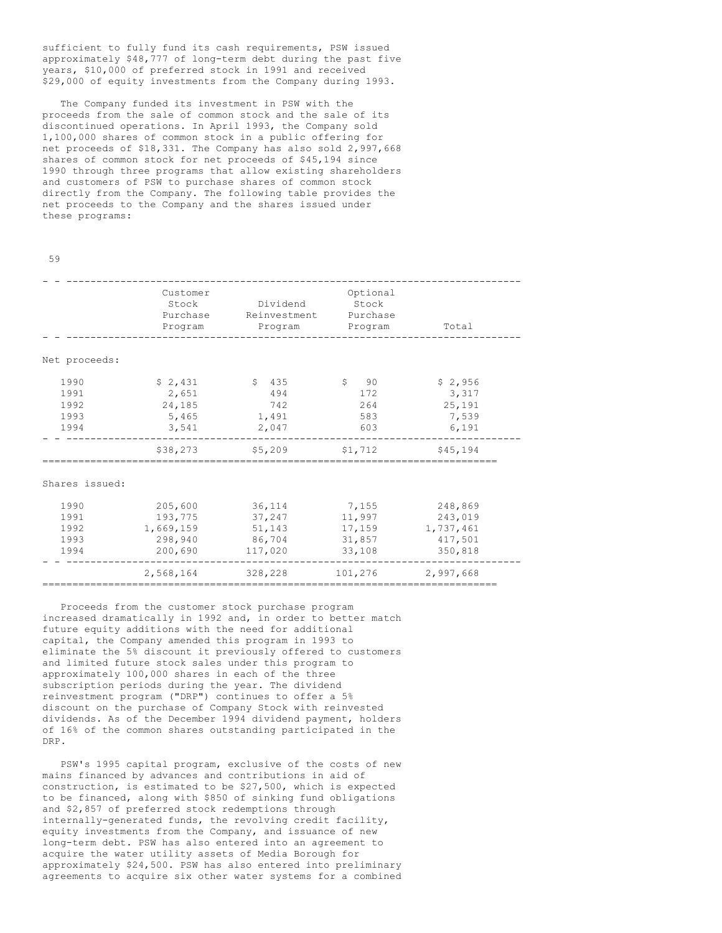sufficient to fully fund its cash requirements, PSW issued approximately \$48,777 of long-term debt during the past five years, \$10,000 of preferred stock in 1991 and received \$29,000 of equity investments from the Company during 1993.

The Company funded its investment in PSW with the proceeds from the sale of common stock and the sale of its discontinued operations. In April 1993, the Company sold 1,100,000 shares of common stock in a public offering for net proceeds of \$18,331. The Company has also sold 2,997,668 shares of common stock for net proceeds of \$45,194 since 1990 through three programs that allow existing shareholders and customers of PSW to purchase shares of common stock directly from the Company. The following table provides the net proceeds to the Company and the shares issued under these programs:

|             | 전 사     |
|-------------|---------|
| I<br>×<br>٧ | ۰.<br>۹ |

|                | Customer<br>Stock<br>Purchase<br>Program | Dividend<br>Reinvestment<br>Program | Optional<br>Stock<br>Purchase<br>Program | Total     |
|----------------|------------------------------------------|-------------------------------------|------------------------------------------|-----------|
| Net proceeds:  |                                          |                                     |                                          |           |
| 1990           | \$2,431                                  | \$435                               | $\sin 90$                                | \$2,956   |
| 1991           | 2,651                                    | 494                                 | 172                                      | 3,317     |
| 1992           | 24,185                                   | 742                                 | 264                                      | 25,191    |
| 1993           | 5,465                                    | 1,491                               | 583                                      | 7,539     |
| 1994           | 3,541                                    | 2,047                               | 603                                      | 6,191     |
|                | \$38,273                                 | \$5,209                             | \$1,712                                  | \$45,194  |
| Shares issued: |                                          |                                     |                                          |           |
| 1990           | 205,600                                  | 36,114                              | 7,155                                    | 248,869   |
| 1991           | 193,775                                  | 37,247                              | 11,997                                   | 243,019   |
| 1992           | 1,669,159                                | 51,143                              | 17,159                                   | 1,737,461 |
| 1993           | 298,940                                  | 86,704                              | 31,857                                   | 417,501   |
| 1994           | 200,690                                  | 117,020                             | 33,108                                   | 350,818   |
|                | 2,568,164                                | 328,228                             | 101,276                                  | 2,997,668 |
|                |                                          |                                     |                                          |           |

Proceeds from the customer stock purchase program increased dramatically in 1992 and, in order to better match future equity additions with the need for additional capital, the Company amended this program in 1993 to eliminate the 5% discount it previously offered to customers and limited future stock sales under this program to approximately 100,000 shares in each of the three subscription periods during the year. The dividend reinvestment program ("DRP") continues to offer a 5% discount on the purchase of Company Stock with reinvested dividends. As of the December 1994 dividend payment, holders of 16% of the common shares outstanding participated in the DRP.

PSW's 1995 capital program, exclusive of the costs of new mains financed by advances and contributions in aid of construction, is estimated to be \$27,500, which is expected to be financed, along with \$850 of sinking fund obligations and \$2,857 of preferred stock redemptions through internally-generated funds, the revolving credit facility, equity investments from the Company, and issuance of new long-term debt. PSW has also entered into an agreement to acquire the water utility assets of Media Borough for approximately \$24,500. PSW has also entered into preliminary agreements to acquire six other water systems for a combined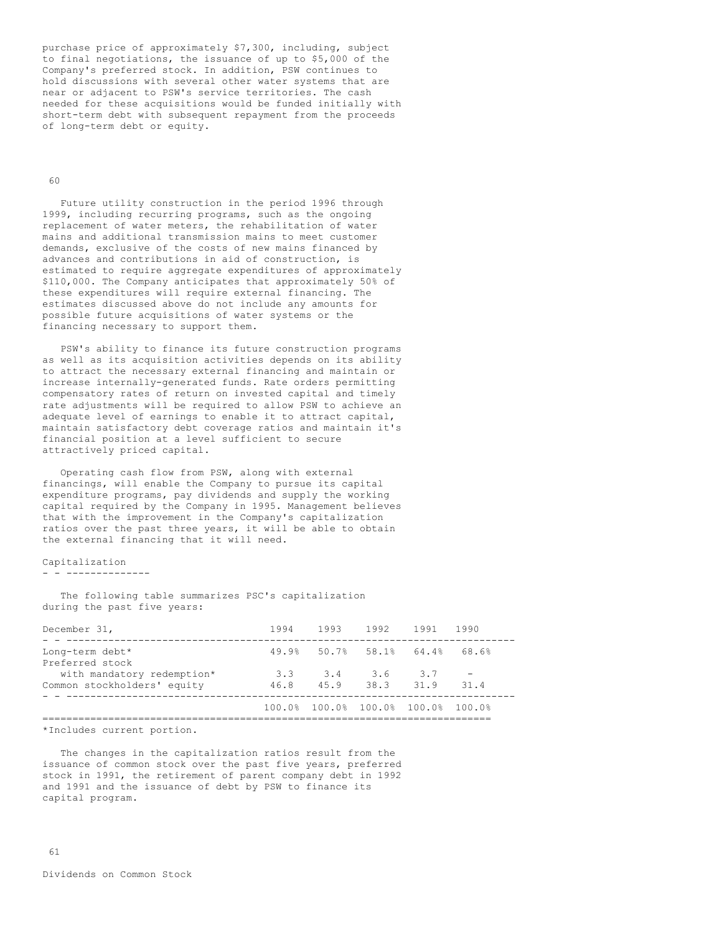purchase price of approximately \$7,300, including, subject to final negotiations, the issuance of up to \$5,000 of the Company's preferred stock. In addition, PSW continues to hold discussions with several other water systems that are near or adjacent to PSW's service territories. The cash needed for these acquisitions would be funded initially with short-term debt with subsequent repayment from the proceeds of long-term debt or equity.

### 60

Future utility construction in the period 1996 through 1999, including recurring programs, such as the ongoing replacement of water meters, the rehabilitation of water mains and additional transmission mains to meet customer demands, exclusive of the costs of new mains financed by advances and contributions in aid of construction, is estimated to require aggregate expenditures of approximately \$110,000. The Company anticipates that approximately 50% of these expenditures will require external financing. The estimates discussed above do not include any amounts for possible future acquisitions of water systems or the financing necessary to support them.

PSW's ability to finance its future construction programs as well as its acquisition activities depends on its ability to attract the necessary external financing and maintain or increase internally-generated funds. Rate orders permitting compensatory rates of return on invested capital and timely rate adjustments will be required to allow PSW to achieve an adequate level of earnings to enable it to attract capital, maintain satisfactory debt coverage ratios and maintain it's financial position at a level sufficient to secure attractively priced capital.

Operating cash flow from PSW, along with external financings, will enable the Company to pursue its capital expenditure programs, pay dividends and supply the working capital required by the Company in 1995. Management believes that with the improvement in the Company's capitalization ratios over the past three years, it will be able to obtain the external financing that it will need.

### Capitalization - - --------------

The following table summarizes PSC's capitalization during the past five years:

|     |     | 1994 1993 1992 1991 1990 |                                                                                                       |
|-----|-----|--------------------------|-------------------------------------------------------------------------------------------------------|
|     |     |                          |                                                                                                       |
| 3.3 |     |                          | 31.4                                                                                                  |
|     |     |                          |                                                                                                       |
|     | 3.4 |                          | 49.9% 50.7% 58.1% 64.4% 68.6%<br>3.6 3.7<br>46.8 45.9 38.3 31.9<br>100.0% 100.0% 100.0% 100.0% 100.0% |

\*Includes current portion.

The changes in the capitalization ratios result from the issuance of common stock over the past five years, preferred stock in 1991, the retirement of parent company debt in 1992 and 1991 and the issuance of debt by PSW to finance its capital program.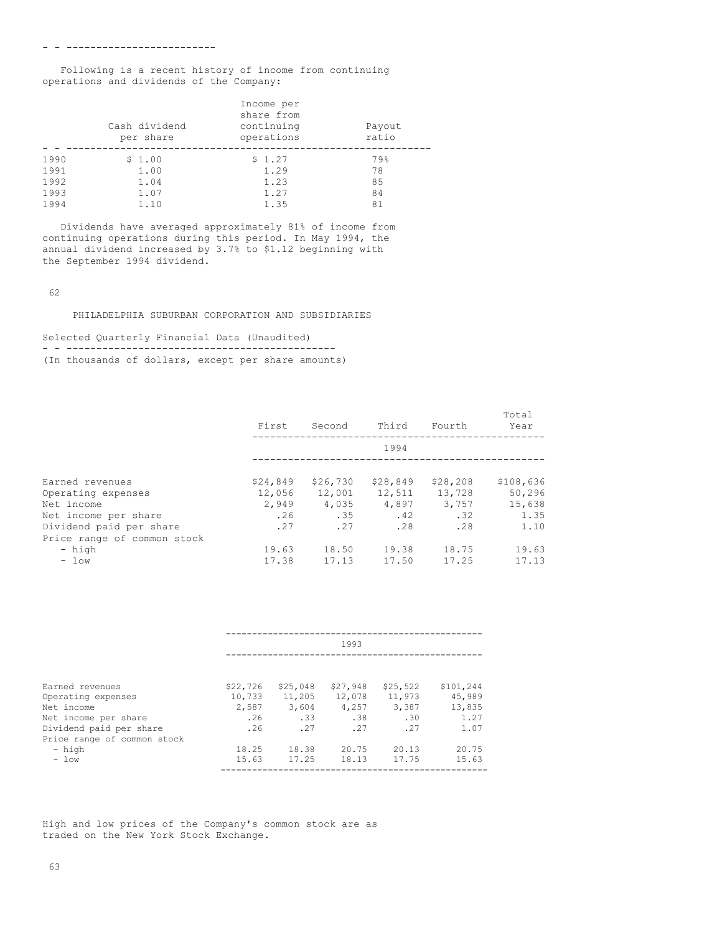Following is a recent history of income from continuing operations and dividends of the Company:

|      | Cash dividend<br>per share | Income per<br>share from<br>continuing<br>operations | Payout<br>ratio |
|------|----------------------------|------------------------------------------------------|-----------------|
| 1990 | \$1.00                     | \$1.27                                               | 79%             |
| 1991 | 1.00                       | 1.29                                                 | 78              |
| 1992 | 1.04                       | 1.23                                                 | 85              |
| 1993 | 1.07                       | 1.27                                                 | 84              |
| 1994 | 1.10                       | 1.35                                                 | 81              |

Dividends have averaged approximately 81% of income from continuing operations during this period. In May 1994, the annual dividend increased by 3.7% to \$1.12 beginning with the September 1994 dividend.

62

PHILADELPHIA SUBURBAN CORPORATION AND SUBSIDIARIES

Selected Quarterly Financial Data (Unaudited) - - --------------------------------------------- (In thousands of dollars, except per share amounts)

|                             | First    | Second   | Third    | Fourth    | Total<br>Year |
|-----------------------------|----------|----------|----------|-----------|---------------|
|                             |          |          | 1994     |           |               |
| Earned revenues             | \$24,849 | \$26,730 | \$28,849 | \$28, 208 | \$108,636     |
| Operating expenses          | 12,056   | 12,001   | 12,511   | 13,728    | 50,296        |
| Net income                  | 2,949    | 4,035    | 4,897    | 3,757     | 15,638        |
| Net income per share        | .26      | .35      | .42      | .32       | 1.35          |
| Dividend paid per share     | .27      | .27      | .28      | .28       | 1.10          |
| Price range of common stock |          |          |          |           |               |
| - high                      | 19.63    | 18.50    | 19.38    | 18.75     | 19.63         |
| $-$ low                     | 17.38    | 17.13    | 17.50    | 17.25     | 17.13         |
|                             |          |          |          |           |               |

|                             | 1993     |          |          |          |           |  |
|-----------------------------|----------|----------|----------|----------|-----------|--|
| Earned revenues             | \$22,726 | \$25,048 | \$27,948 | \$25,522 | \$101,244 |  |
|                             |          |          |          |          |           |  |
| Operating expenses          | 10,733   | 11,205   | 12,078   | 11,973   | 45,989    |  |
| Net income                  | 2,587    | 3.604    | 4,257    | 3.387    | 13,835    |  |
| Net income per share        | .26      | .33      | .38      | .30      | 1.27      |  |
| Dividend paid per share     | .26      | .27      | .27      | .27      | 1.07      |  |
| Price range of common stock |          |          |          |          |           |  |
| - high                      | 18.25    | 18.38    | 20.75    | 20.13    | 20.75     |  |
| $-$ low                     | 15.63    | 17.25    | 18.13    | 17.75    | 15.63     |  |

High and low prices of the Company's common stock are as traded on the New York Stock Exchange.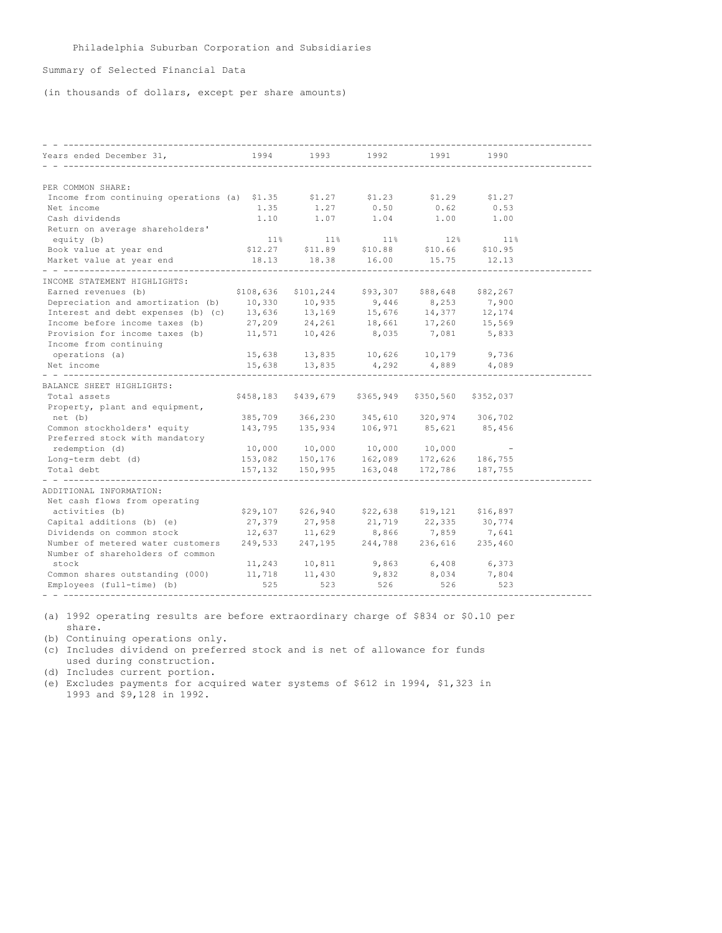# Summary of Selected Financial Data

(in thousands of dollars, except per share amounts)

| Years ended December 31,<br>__________________                                                                                         | 1994      | 1993                                                                                                                                                                                   | 1992  | 1991                        | 1990                     |  |
|----------------------------------------------------------------------------------------------------------------------------------------|-----------|----------------------------------------------------------------------------------------------------------------------------------------------------------------------------------------|-------|-----------------------------|--------------------------|--|
|                                                                                                                                        |           |                                                                                                                                                                                        |       |                             |                          |  |
| PER COMMON SHARE:                                                                                                                      |           |                                                                                                                                                                                        |       |                             |                          |  |
| Income from continuing operations (a) $$1.35$ $$1.27$ $$1.23$ $$1.29$ $$1.27$                                                          |           |                                                                                                                                                                                        |       |                             |                          |  |
| Net income                                                                                                                             |           | 1.35 1.27 0.50                                                                                                                                                                         |       | 0.62                        | 0.53                     |  |
| Cash dividends                                                                                                                         |           | $1.10$ $1.07$ $1.04$ $1.00$                                                                                                                                                            |       |                             | 1.00                     |  |
| Return on average shareholders'                                                                                                        |           |                                                                                                                                                                                        |       |                             |                          |  |
| equity (b)                                                                                                                             |           | $11\%$ $11\%$                                                                                                                                                                          |       | $11\%$ $12\%$               | 11%                      |  |
| Book value at year end                                                                                                                 |           | $$12.27$ $$11.89$ $$10.88$ $$10.66$ $$10.95$                                                                                                                                           |       |                             |                          |  |
| Market value at year end                                                                                                               | 18.13     | 18.38                                                                                                                                                                                  | 16.00 | 15.75                       | 12.13                    |  |
| INCOME STATEMENT HIGHLIGHTS:                                                                                                           |           |                                                                                                                                                                                        |       |                             |                          |  |
| Earned revenues (b)                                                                                                                    | \$108,636 |                                                                                                                                                                                        |       | \$101,244 \$93,307 \$88,648 | \$82,267                 |  |
| Depreciation and amortization (b) 10,330 10,935 9,446 8,253 7,900                                                                      |           |                                                                                                                                                                                        |       |                             |                          |  |
| Interest and debt expenses (b) (c) 13,636 13,169 15,676 14,377 12,174                                                                  |           |                                                                                                                                                                                        |       |                             |                          |  |
| Income before income taxes (b)                                                                                                         |           |                                                                                                                                                                                        |       |                             |                          |  |
| Provision for income taxes (b)                                                                                                         |           | 27,209  24,261  18,661  17,260  15,569<br>11,571  10,426  8,035  7,081  5,833                                                                                                          |       |                             |                          |  |
| Income from continuing                                                                                                                 |           |                                                                                                                                                                                        |       |                             |                          |  |
| operations (a)                                                                                                                         |           |                                                                                                                                                                                        |       |                             |                          |  |
| Net income                                                                                                                             |           | $\begin{array}{cccc} 15,638 & \quad & 13,835 & \quad & 10,626 & \quad & 10,179 & \quad & 9,736 \\ 15,638 & \quad & 13,835 & \quad & 4,292 & \quad & 4,889 & \quad & 4,089 \end{array}$ |       |                             |                          |  |
|                                                                                                                                        |           |                                                                                                                                                                                        |       |                             |                          |  |
| BALANCE SHEET HIGHLIGHTS:                                                                                                              |           |                                                                                                                                                                                        |       |                             |                          |  |
| Total assets                                                                                                                           |           | \$458,183 \$439,679 \$365,949 \$350,560 \$352,037                                                                                                                                      |       |                             |                          |  |
| Property, plant and equipment,                                                                                                         |           |                                                                                                                                                                                        |       |                             |                          |  |
| net (b)                                                                                                                                |           | 385,709 366,230 345,610 320,974 306,702                                                                                                                                                |       |                             |                          |  |
| Common stockholders' equity                                                                                                            |           | 143,795 135,934 106,971 85,621 85,456                                                                                                                                                  |       |                             |                          |  |
| Preferred stock with mandatory                                                                                                         |           |                                                                                                                                                                                        |       |                             |                          |  |
| redemption (d)                                                                                                                         |           | 10,000 10,000 10,000 10,000                                                                                                                                                            |       |                             | $\overline{\phantom{a}}$ |  |
| Long-term debt (d)                                                                                                                     |           |                                                                                                                                                                                        |       |                             |                          |  |
| Total debt                                                                                                                             |           | $153,082$ $150,176$ $162,089$ $172,626$ $186,755$<br>$157,132$ $150,995$ $163,048$ $172,786$ $187,755$                                                                                 |       |                             |                          |  |
|                                                                                                                                        |           |                                                                                                                                                                                        |       |                             |                          |  |
| ADDITIONAL INFORMATION:                                                                                                                |           |                                                                                                                                                                                        |       |                             |                          |  |
| Net cash flows from operating                                                                                                          |           |                                                                                                                                                                                        |       |                             |                          |  |
| activities (b)                                                                                                                         |           | \$29,107 \$26,940 \$22,638 \$19,121 \$16,897                                                                                                                                           |       |                             |                          |  |
| Capital additions (b) (e)                                                                                                              |           | 27,379 27,958 21,719 22,335 30,774                                                                                                                                                     |       |                             |                          |  |
| Dividends on common stock 12,637 11,629 8,866 7,859 7,641<br>Number of metered water customers 249,533 247,195 244,788 236,616 235,460 |           |                                                                                                                                                                                        |       |                             |                          |  |
|                                                                                                                                        |           |                                                                                                                                                                                        |       |                             |                          |  |
| Number of shareholders of common                                                                                                       |           |                                                                                                                                                                                        |       |                             |                          |  |
| stock                                                                                                                                  |           |                                                                                                                                                                                        |       |                             |                          |  |
| Common shares outstanding (000)                                                                                                        |           | $11,243$ $10,811$ $9,863$ $6,408$<br>$11,718$ $11,430$ $9,832$ $8,034$                                                                                                                 |       |                             | 6,373<br>7,804           |  |
| Employees (full-time) (b)                                                                                                              | 525       | 523                                                                                                                                                                                    | 526   | 526                         | 523                      |  |
|                                                                                                                                        |           |                                                                                                                                                                                        |       |                             |                          |  |

(a) 1992 operating results are before extraordinary charge of \$834 or \$0.10 per share.

(b) Continuing operations only.

(c) Includes dividend on preferred stock and is net of allowance for funds used during construction.

(d) Includes current portion.

(e) Excludes payments for acquired water systems of \$612 in 1994, \$1,323 in 1993 and \$9,128 in 1992.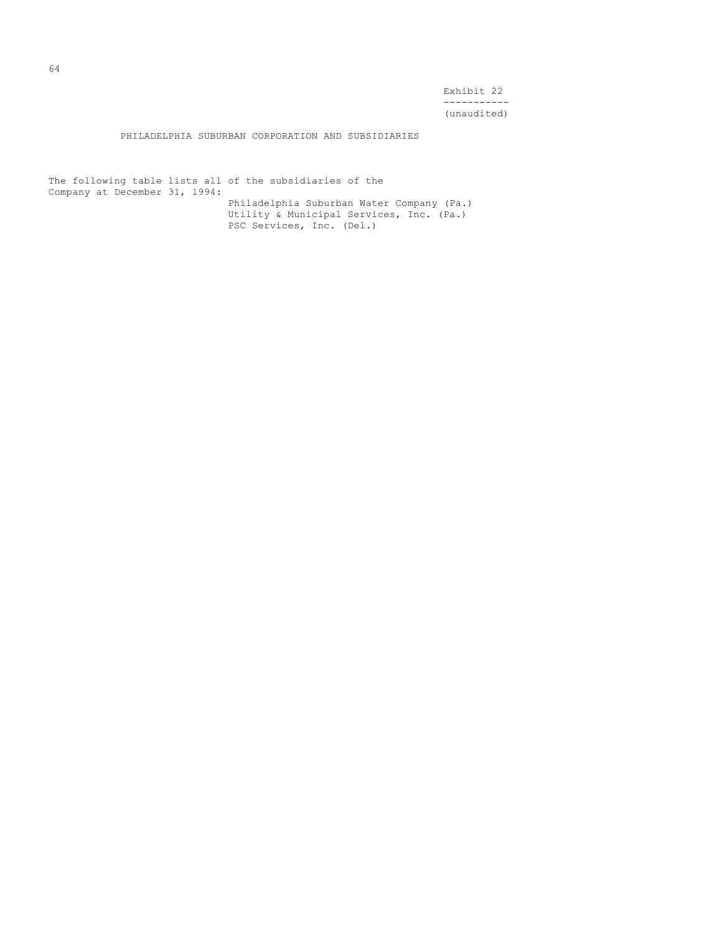Exhibit 22 ----------- (unaudited)

PHILADELPHIA SUBURBAN CORPORATION AND SUBSIDIARIES

The following table lists all of the subsidiaries of the Company at December 31, 1994: Philadelphia Suburban Water Company (Pa.) Utility & Municipal Services, Inc. (Pa.) PSC Services, Inc. (Del.)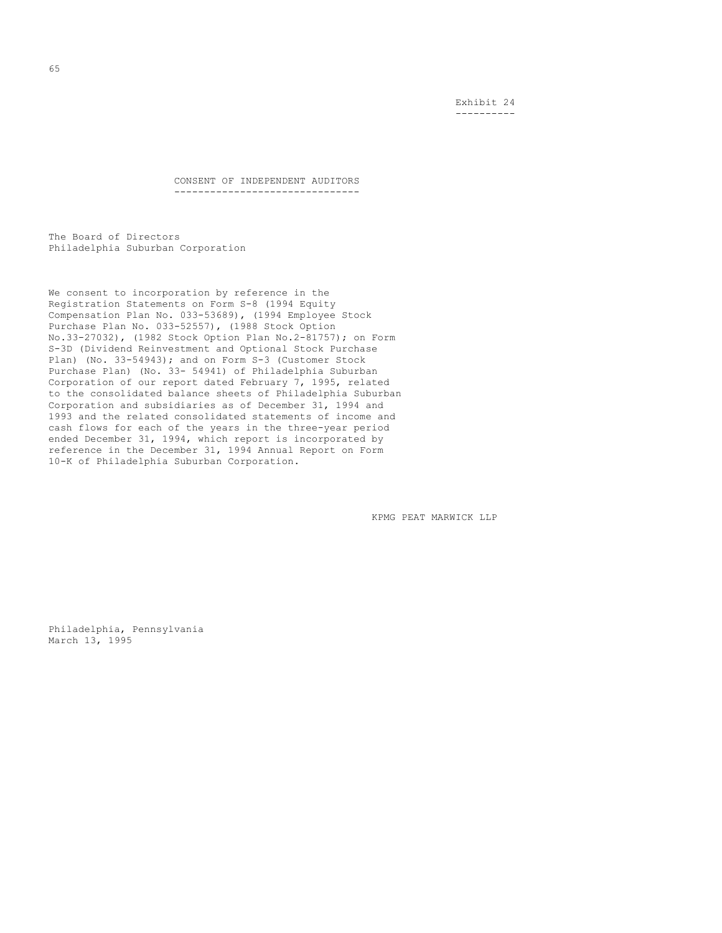Exhibit 24 ----------

CONSENT OF INDEPENDENT AUDITORS -------------------------------

The Board of Directors Philadelphia Suburban Corporation

We consent to incorporation by reference in the Registration Statements on Form S-8 (1994 Equity Compensation Plan No. 033-53689), (1994 Employee Stock Purchase Plan No. 033-52557), (1988 Stock Option No.33-27032), (1982 Stock Option Plan No.2-81757); on Form S-3D (Dividend Reinvestment and Optional Stock Purchase Plan) (No. 33-54943); and on Form S-3 (Customer Stock Purchase Plan) (No. 33- 54941) of Philadelphia Suburban Corporation of our report dated February 7, 1995, related to the consolidated balance sheets of Philadelphia Suburban Corporation and subsidiaries as of December 31, 1994 and 1993 and the related consolidated statements of income and cash flows for each of the years in the three-year period ended December 31, 1994, which report is incorporated by reference in the December 31, 1994 Annual Report on Form 10-K of Philadelphia Suburban Corporation.

KPMG PEAT MARWICK LLP

Philadelphia, Pennsylvania March 13, 1995